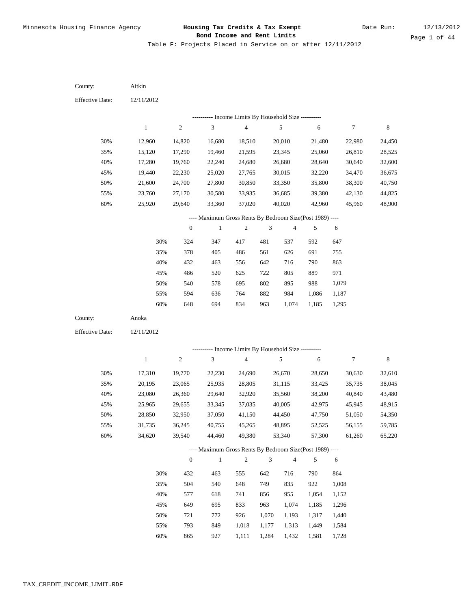| <b>Effective Date:</b><br>12/11/2012<br>--------- Income Limits By Household Size ----------<br>$\mathfrak{Z}$<br>$\overline{\mathcal{L}}$<br>5<br>8<br>$\mathbf{1}$<br>$\sqrt{2}$<br>6<br>7<br>30%<br>12,960<br>14,820<br>16,680<br>18,510<br>20,010<br>21,480<br>22,980<br>24,450 |
|-------------------------------------------------------------------------------------------------------------------------------------------------------------------------------------------------------------------------------------------------------------------------------------|
|                                                                                                                                                                                                                                                                                     |
|                                                                                                                                                                                                                                                                                     |
|                                                                                                                                                                                                                                                                                     |
|                                                                                                                                                                                                                                                                                     |
| 35%<br>15,120<br>17,290<br>19,460<br>21,595<br>23,345<br>25,060<br>26,810<br>28,525                                                                                                                                                                                                 |
| 40%<br>24,680<br>26,680<br>28,640<br>32,600<br>17,280<br>19,760<br>22,240<br>30,640                                                                                                                                                                                                 |
| 45%<br>22,230<br>25,020<br>27,765<br>30,015<br>32,220<br>34,470<br>36,675<br>19,440                                                                                                                                                                                                 |
| 50%<br>21,600<br>24,700<br>27,800<br>30,850<br>33,350<br>35,800<br>38,300<br>40,750                                                                                                                                                                                                 |
| 55%<br>44,825<br>23,760<br>27,170<br>30,580<br>33,935<br>36,685<br>39,380<br>42,130                                                                                                                                                                                                 |
| $60\%$<br>33,360<br>37,020<br>40,020<br>45,960<br>48,900<br>25,920<br>29,640<br>42,960                                                                                                                                                                                              |
| ---- Maximum Gross Rents By Bedroom Size(Post 1989) ----                                                                                                                                                                                                                            |
| 3<br>$\boldsymbol{0}$<br>$\mathbf{1}$<br>$\boldsymbol{2}$<br>4<br>5<br>6                                                                                                                                                                                                            |
| 30%<br>324<br>347<br>417<br>481<br>537<br>592<br>647                                                                                                                                                                                                                                |
| 35%<br>378<br>405<br>486<br>561<br>626<br>691<br>755                                                                                                                                                                                                                                |
| 40%<br>432<br>463<br>642<br>716<br>790<br>556<br>863                                                                                                                                                                                                                                |
| 45%<br>486<br>520<br>625<br>722<br>805<br>889<br>971                                                                                                                                                                                                                                |
| 50%<br>540<br>578<br>695<br>802<br>895<br>988<br>1,079                                                                                                                                                                                                                              |
| 55%<br>594<br>636<br>764<br>882<br>984<br>1,086<br>1,187                                                                                                                                                                                                                            |
| 60%<br>648<br>694<br>834<br>1,074<br>963<br>1,185<br>1,295                                                                                                                                                                                                                          |
| County:<br>Anoka                                                                                                                                                                                                                                                                    |
| <b>Effective Date:</b><br>12/11/2012                                                                                                                                                                                                                                                |
| --------- Income Limits By Household Size ----------                                                                                                                                                                                                                                |
| $\mathfrak{Z}$<br>$\sqrt{2}$<br>$\overline{\mathcal{L}}$<br>5<br>$\boldsymbol{7}$<br>$\mathbf{1}$<br>6<br>$\,$ 8 $\,$                                                                                                                                                               |
|                                                                                                                                                                                                                                                                                     |
| 30%<br>17,310<br>30,630<br>32,610<br>19,770<br>22,230<br>24,690<br>26,670<br>28,650                                                                                                                                                                                                 |
| 35%<br>23,065<br>28,805<br>31,115<br>38,045<br>20,195<br>25,935<br>33,425<br>35,735                                                                                                                                                                                                 |
| 40%<br>23,080<br>26,360<br>29,640<br>32,920<br>35,560<br>38,200<br>40,840<br>43,480                                                                                                                                                                                                 |
| 45%<br>37,035<br>40,005<br>45,945<br>48,915<br>25,965<br>29,655<br>33,345<br>42,975                                                                                                                                                                                                 |
| 50%<br>28,850<br>32,950<br>37,050<br>41,150<br>44,450<br>47,750<br>51,050<br>54,350                                                                                                                                                                                                 |
| 31,735<br>45,265<br>48,895<br>36,245<br>40,755<br>52,525<br>56,155<br>59,785<br>55%<br>60%<br>34,620<br>39,540<br>44,460<br>49,380<br>53,340<br>57,300<br>61,260<br>65,220                                                                                                          |
|                                                                                                                                                                                                                                                                                     |
| ---- Maximum Gross Rents By Bedroom Size(Post 1989) ----<br>$\sqrt{2}$<br>$\ensuremath{\mathfrak{Z}}$<br>$\overline{4}$<br>$\boldsymbol{0}$<br>$\mathbf{1}$<br>5<br>6                                                                                                               |
|                                                                                                                                                                                                                                                                                     |
| 30%<br>432<br>463<br>642<br>716<br>790<br>864<br>555                                                                                                                                                                                                                                |
| 35%<br>504<br>540<br>648<br>749<br>835<br>922<br>1,008                                                                                                                                                                                                                              |
| 40%<br>577<br>741<br>856<br>955<br>1,054<br>618<br>1,152                                                                                                                                                                                                                            |
| 45%<br>649<br>695<br>833<br>963<br>1,074<br>1,185<br>1,296                                                                                                                                                                                                                          |
| 50%<br>926<br>1,070<br>721<br>772<br>1,193<br>1,317<br>1,440                                                                                                                                                                                                                        |
| 55%<br>849<br>793<br>1,018<br>1,177<br>1,313<br>1,449<br>1,584<br>$60\%$<br>1,284<br>1,432<br>865<br>927<br>1,111<br>1,581<br>1,728                                                                                                                                                 |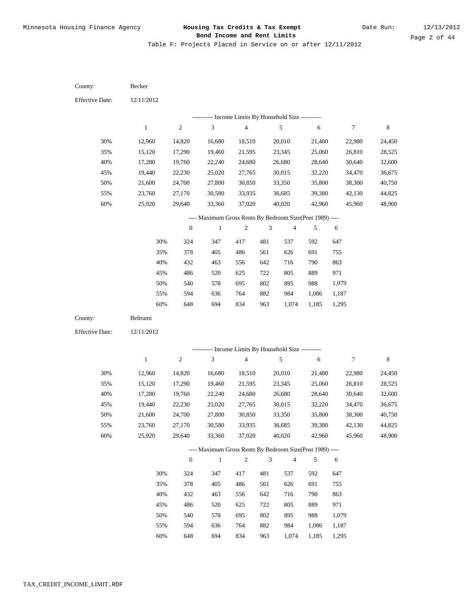Table F: Projects Placed in Service on or after 12/11/2012

| County:                | Becker           |                  |                                                                          |                  |                             |                  |                  |                  |                  |
|------------------------|------------------|------------------|--------------------------------------------------------------------------|------------------|-----------------------------|------------------|------------------|------------------|------------------|
| <b>Effective Date:</b> | 12/11/2012       |                  |                                                                          |                  |                             |                  |                  |                  |                  |
|                        |                  |                  | --------- Income Limits By Household Size ----------                     |                  |                             |                  |                  |                  |                  |
|                        | $\mathbf{1}$     | $\sqrt{2}$       | 3                                                                        | $\overline{4}$   |                             | 5                | $\sqrt{6}$       | 7                | 8                |
| 30%                    | 12,960           | 14,820           | 16,680                                                                   | 18,510           |                             | 20,010           | 21,480           | 22,980           | 24,450           |
| 35%                    | 15,120           | 17,290           | 19,460                                                                   | 21,595           |                             | 23,345           | 25,060           | 26,810           | 28,525           |
| 40%                    | 17,280           | 19,760           | 22,240                                                                   | 24,680           |                             | 26,680           | 28,640           | 30,640           | 32,600           |
| 45%                    | 19,440           | 22,230           | 25,020                                                                   | 27,765           |                             | 30,015           | 32,220           | 34,470           | 36,675           |
| 50%                    | 21,600           | 24,700           | 27,800                                                                   | 30,850           |                             | 33,350           | 35,800           | 38,300           | 40,750           |
| 55%                    | 23,760           | 27,170           | 30,580                                                                   | 33,935           |                             | 36,685           | 39,380           | 42,130           | 44,825           |
| $60\%$                 | 25,920           | 29,640           | 33,360                                                                   | 37,020           |                             | 40,020           | 42,960           | 45,960           | 48,900           |
|                        |                  |                  | ---- Maximum Gross Rents By Bedroom Size(Post 1989) ----                 |                  |                             |                  |                  |                  |                  |
|                        |                  | $\boldsymbol{0}$ | $\mathbf{1}$                                                             | $\boldsymbol{2}$ | $\mathfrak{Z}$              | $\overline{4}$   | 5                | 6                |                  |
|                        | 30%              | 324              | 347                                                                      | 417              | 481                         | 537              | 592              | 647              |                  |
|                        | 35%              | 378              | 405                                                                      | 486              | 561                         | 626              | 691              | 755              |                  |
|                        | 40%              | 432              | 463                                                                      | 556              | 642                         | 716              | 790              | 863              |                  |
|                        | 45%              | 486              | 520                                                                      | 625              | 722                         | 805              | 889              | 971              |                  |
|                        | 50%              | 540              | 578                                                                      | 695              | 802                         | 895              | 988              | 1,079            |                  |
|                        | 55%              | 594              | 636                                                                      | 764              | 882                         | 984              | 1,086            | 1,187            |                  |
|                        | 60%              | 648              | 694                                                                      | 834              | 963                         | 1,074            | 1,185            | 1,295            |                  |
|                        |                  |                  |                                                                          |                  |                             |                  |                  |                  |                  |
| County:                | Beltrami         |                  |                                                                          |                  |                             |                  |                  |                  |                  |
| <b>Effective Date:</b> | 12/11/2012       |                  |                                                                          |                  |                             |                  |                  |                  |                  |
|                        |                  |                  |                                                                          |                  |                             |                  |                  |                  |                  |
|                        |                  |                  | --------- Income Limits By Household Size ----------                     |                  |                             |                  |                  |                  |                  |
|                        | $\mathbf{1}$     | $\sqrt{2}$       | 3                                                                        | $\sqrt{4}$       |                             | 5                | 6                | 7                | 8                |
| 30%                    | 12,960           | 14,820           | 16,680                                                                   | 18,510           |                             | 20,010           | 21,480           | 22,980           | 24,450           |
| 35%                    | 15,120           | 17,290           | 19,460                                                                   | 21,595           |                             | 23,345           | 25,060           | 26,810           | 28,525           |
| 40%                    | 17,280           | 19,760           | 22,240                                                                   | 24,680           |                             | 26,680           | 28,640           | 30,640           | 32,600           |
| 45%                    | 19,440           | 22,230           | 25,020                                                                   | 27,765           |                             | 30,015           | 32,220           | 34,470           | 36,675           |
| 50%                    | 21,600           | 24,700           | 27,800                                                                   | 30,850           |                             | 33,350           | 35,800           | 38,300           | 40,750           |
| 55%<br>60%             | 23,760<br>25,920 | 27,170<br>29,640 | 30,580<br>33,360                                                         | 33,935<br>37,020 |                             | 36,685<br>40,020 | 39,380<br>42,960 | 42,130<br>45,960 | 44,825<br>48,900 |
|                        |                  |                  |                                                                          |                  |                             |                  |                  |                  |                  |
|                        |                  | $\boldsymbol{0}$ | ---- Maximum Gross Rents By Bedroom Size(Post 1989) ----<br>$\mathbf{1}$ | $\sqrt{2}$       | $\ensuremath{\mathfrak{Z}}$ | $\overline{4}$   | 5                | 6                |                  |
|                        | 30%              | 324              | 347                                                                      | 417              | 481                         | 537              | 592              | 647              |                  |
|                        | 35%              | 378              | 405                                                                      | 486              | 561                         | 626              | 691              | 755              |                  |
|                        | 40%              | 432              | 463                                                                      | 556              | 642                         | 716              | 790              | 863              |                  |
|                        | 45%              | 486              | 520                                                                      | 625              | 722                         | 805              | 889              | 971              |                  |
|                        | 50%              | 540              | 578                                                                      | 695              | 802                         | 895              | 988              | 1,079            |                  |
|                        | 55%              | 594              | 636                                                                      | 764              | 882                         | 984              | 1,086            | 1,187            |                  |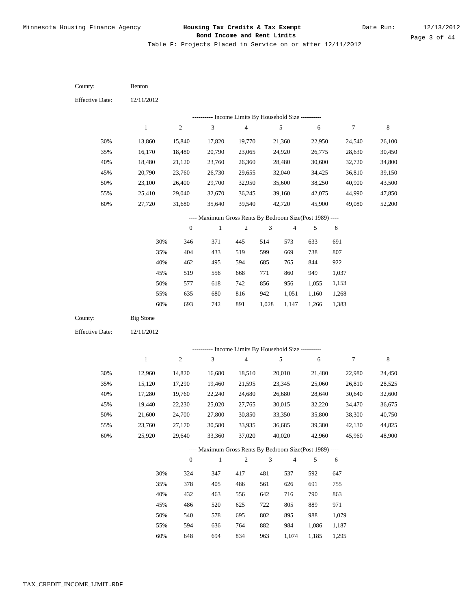| County:                | Benton           |                  |                                                          |                |                             |                |              |                |             |
|------------------------|------------------|------------------|----------------------------------------------------------|----------------|-----------------------------|----------------|--------------|----------------|-------------|
| <b>Effective Date:</b> | 12/11/2012       |                  |                                                          |                |                             |                |              |                |             |
|                        |                  |                  | --------- Income Limits By Household Size ----------     |                |                             |                |              |                |             |
|                        | $\mathbf{1}$     | $\boldsymbol{2}$ | 3                                                        | $\sqrt{4}$     |                             | 5              | $\sqrt{6}$   | 7              | $\,$ 8 $\,$ |
| 30%                    | 13,860           | 15,840           | 17,820                                                   | 19,770         |                             | 21,360         | 22,950       | 24,540         | 26,100      |
| 35%                    | 16,170           | 18,480           | 20,790                                                   | 23,065         |                             | 24,920         | 26,775       | 28,630         | 30,450      |
| 40%                    | 18,480           | 21,120           | 23,760                                                   | 26,360         |                             | 28,480         | 30,600       | 32,720         | 34,800      |
| 45%                    | 20,790           | 23,760           | 26,730                                                   | 29,655         |                             | 32,040         | 34,425       | 36,810         | 39,150      |
| 50%                    | 23,100           | 26,400           | 29,700                                                   | 32,950         |                             | 35,600         | 38,250       | 40,900         | 43,500      |
| 55%                    | 25,410           | 29,040           | 32,670                                                   | 36,245         |                             | 39,160         | 42,075       | 44,990         | 47,850      |
| 60%                    | 27,720           | 31,680           | 35,640                                                   | 39,540         |                             | 42,720         | 45,900       | 49,080         | 52,200      |
|                        |                  |                  | ---- Maximum Gross Rents By Bedroom Size(Post 1989) ---- |                |                             |                |              |                |             |
|                        |                  | $\boldsymbol{0}$ | $\mathbf{1}$                                             | $\sqrt{2}$     | $\ensuremath{\mathfrak{Z}}$ | $\overline{4}$ | 5            | 6              |             |
|                        | 30%              | 346              | 371                                                      | 445            | 514                         | 573            | 633          | 691            |             |
|                        | 35%              | 404              | 433                                                      | 519            | 599                         | 669            | 738          | 807            |             |
|                        | 40%              | 462              | 495                                                      | 594            | 685                         | 765            | 844          | 922            |             |
|                        | 45%              | 519              | 556                                                      | 668            | 771                         | 860            | 949          | 1,037          |             |
|                        | 50%              | 577              | 618                                                      | 742            | 856                         | 956            | 1,055        | 1,153          |             |
|                        | 55%              | 635              | 680                                                      | 816            | 942                         | 1,051          | 1,160        | 1,268          |             |
|                        | 60%              | 693              | 742                                                      | 891            | 1,028                       | 1,147          | 1,266        | 1,383          |             |
|                        |                  |                  |                                                          |                |                             |                |              |                |             |
| County:                | <b>Big Stone</b> |                  |                                                          |                |                             |                |              |                |             |
| <b>Effective Date:</b> | 12/11/2012       |                  |                                                          |                |                             |                |              |                |             |
|                        |                  |                  |                                                          |                |                             |                |              |                |             |
|                        |                  |                  | --------- Income Limits By Household Size ----------     |                |                             |                |              |                |             |
|                        | $\mathbf{1}$     | $\sqrt{2}$       | 3                                                        | $\overline{4}$ |                             | 5              | $\sqrt{6}$   | 7              | $\,8\,$     |
| 30%                    | 12,960           | 14,820           | 16,680                                                   | 18,510         |                             | 20,010         | 21,480       | 22,980         | 24,450      |
| 35%                    | 15,120           | 17,290           | 19,460                                                   | 21,595         |                             | 23,345         | 25,060       | 26,810         | 28,525      |
| 40%                    | 17,280           | 19,760           | 22,240                                                   | 24,680         |                             | 26,680         | 28,640       | 30,640         | 32,600      |
| 45%                    | 19,440           | 22,230           | 25,020                                                   | 27,765         |                             | 30,015         | 32,220       | 34,470         | 36,675      |
| 50%                    | 21,600           | 24,700           | 27,800                                                   | 30,850         |                             | 33,350         | 35,800       | 38,300         | 40,750      |
| 55%                    | 23,760           | 27,170           | 30,580                                                   | 33,935         |                             | 36,685         | 39,380       | 42,130         | 44,825      |
| 60%                    | 25,920           | 29,640           | 33,360                                                   | 37,020         |                             | 40,020         | 42,960       | 45,960         | 48,900      |
|                        |                  |                  | ---- Maximum Gross Rents By Bedroom Size(Post 1989) ---- |                |                             |                |              |                |             |
|                        |                  | $\mathbf{0}$     | $\,1\,$                                                  | $\sqrt{2}$     | $\mathfrak{Z}$              | $\overline{4}$ | 5            | 6              |             |
|                        | 30%              | 324              | 347                                                      | 417            | 481                         | 537            | 592          | 647            |             |
|                        | 35%              | 378              | 405                                                      | 486            | 561                         | 626            | 691          | 755            |             |
|                        | 40%              | 432              | 463                                                      | 556            | 642                         | 716            | 790          | 863            |             |
|                        | 45%              | 486              | 520                                                      | 625            | 722                         | 805            | 889          | 971            |             |
|                        | 50%<br>55%       | 540<br>594       | 578<br>636                                               | 695<br>764     | 802<br>882                  | 895<br>984     | 988<br>1,086 | 1,079<br>1,187 |             |
|                        |                  |                  |                                                          |                |                             |                |              |                |             |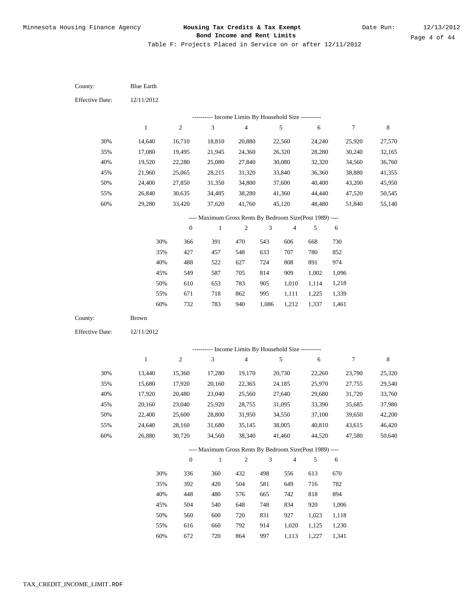| County:                | <b>Blue Earth</b> |                  |                                                          |                  |                |                |                |                |             |
|------------------------|-------------------|------------------|----------------------------------------------------------|------------------|----------------|----------------|----------------|----------------|-------------|
| <b>Effective Date:</b> | 12/11/2012        |                  |                                                          |                  |                |                |                |                |             |
|                        |                   |                  | --------- Income Limits By Household Size ----------     |                  |                |                |                |                |             |
|                        | $\mathbf{1}$      | $\sqrt{2}$       | $\ensuremath{\mathfrak{Z}}$                              | $\sqrt{4}$       |                | 5              | 6              | 7              | $\,$ 8 $\,$ |
| 30%                    | 14,640            | 16,710           | 18,810                                                   | 20,880           |                | 22,560         | 24,240         | 25,920         | 27,570      |
| 35%                    | 17,080            | 19,495           | 21,945                                                   | 24,360           |                | 26,320         | 28,280         | 30,240         | 32,165      |
| 40%                    | 19,520            | 22,280           | 25,080                                                   | 27,840           |                | 30,080         | 32,320         | 34,560         | 36,760      |
| 45%                    | 21,960            | 25,065           | 28,215                                                   | 31,320           |                | 33,840         | 36,360         | 38,880         | 41,355      |
| 50%                    | 24,400            | 27,850           | 31,350                                                   | 34,800           |                | 37,600         | 40,400         | 43,200         | 45,950      |
| 55%                    | 26,840            | 30,635           | 34,485                                                   | 38,280           |                | 41,360         | 44,440         | 47,520         | 50,545      |
| 60%                    | 29,280            | 33,420           | 37,620                                                   | 41,760           |                | 45,120         | 48,480         | 51,840         | 55,140      |
|                        |                   |                  | ---- Maximum Gross Rents By Bedroom Size(Post 1989) ---- |                  |                |                |                |                |             |
|                        |                   | $\boldsymbol{0}$ | $\mathbf{1}$                                             | $\boldsymbol{2}$ | $\sqrt{3}$     | $\overline{4}$ | 5              | 6              |             |
|                        | 30%               | 366              | 391                                                      | 470              | 543            | 606            | 668            | 730            |             |
|                        | 35%               | 427              | 457                                                      | 548              | 633            | 707            | 780            | 852            |             |
|                        | 40%               | 488              | 522                                                      | 627              | 724            | 808            | 891            | 974            |             |
|                        | 45%               | 549              | 587                                                      | 705              | 814            | 909            | 1,002          | 1,096          |             |
|                        | 50%               | 610              | 653                                                      | 783              | 905            | 1,010          | 1,114          | 1,218          |             |
|                        | 55%               | 671              | 718                                                      | 862              | 995            | 1,111          | 1,225          | 1,339          |             |
|                        | $60\%$            | 732              | 783                                                      | 940              | 1,086          | 1,212          | 1,337          | 1,461          |             |
|                        |                   |                  |                                                          |                  |                |                |                |                |             |
| County:                | Brown             |                  |                                                          |                  |                |                |                |                |             |
| <b>Effective Date:</b> | 12/11/2012        |                  |                                                          |                  |                |                |                |                |             |
|                        |                   |                  |                                                          |                  |                |                |                |                |             |
|                        |                   |                  | ---------- Income Limits By Household Size ----------    |                  |                |                |                |                |             |
|                        | $\mathbf{1}$      | $\sqrt{2}$       | $\ensuremath{\mathfrak{Z}}$                              | $\overline{4}$   |                | 5              | 6              | 7              | 8           |
| 30%                    | 13,440            | 15,360           | 17,280                                                   | 19,170           |                | 20,730         | 22,260         | 23,790         | 25,320      |
| 35%                    | 15,680            | 17,920           | 20,160                                                   | 22,365           |                | 24,185         | 25,970         | 27,755         | 29,540      |
| 40%                    | 17,920            | 20,480           | 23,040                                                   | 25,560           |                | 27,640         | 29,680         | 31,720         | 33,760      |
| 45%                    | 20,160            | 23,040           | 25,920                                                   | 28,755           |                | 31,095         | 33,390         | 35,685         | 37,980      |
| 50%                    | 22,400            | 25,600           | 28,800                                                   | 31,950           |                | 34,550         | 37,100         | 39,650         | 42,200      |
| 55%                    | 24,640            | 28,160           | 31,680                                                   | 35,145           |                | 38,005         | 40,810         | 43,615         | 46,420      |
| 60%                    | 26,880            | 30,720           | 34,560                                                   | 38,340           |                | 41,460         | 44,520         | 47,580         | 50,640      |
|                        |                   |                  | ---- Maximum Gross Rents By Bedroom Size(Post 1989) ---- |                  |                |                |                |                |             |
|                        |                   | $\mathbf{0}$     | $\mathbf{1}$                                             | $\overline{2}$   | $\mathfrak{Z}$ | $\overline{4}$ | 5              | 6              |             |
|                        | 30%               | 336              | 360                                                      | 432              | 498            | 556            | 613            | 670            |             |
|                        | 35%               | 392              | 420                                                      | 504              | 581            | 649            | 716            | 782            |             |
|                        | 40%               | 448              | 480                                                      | 576              | 665            | 742            | 818            | 894            |             |
|                        | 45%               | 504              | 540                                                      | 648              | 748            | 834            | 920            | 1,006          |             |
|                        | 50%<br>55%        | 560<br>616       | 600<br>660                                               | 720<br>792       | 831<br>914     | 927<br>1,020   | 1,023<br>1,125 | 1,118<br>1,230 |             |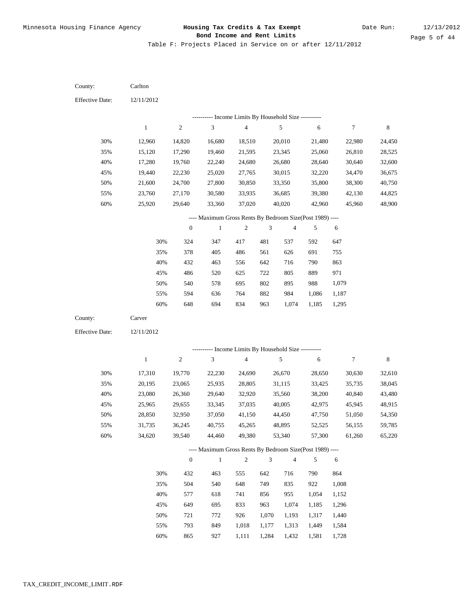| County:                | Carlton      |                  |                                                          |                |                             |                |                |                  |             |
|------------------------|--------------|------------------|----------------------------------------------------------|----------------|-----------------------------|----------------|----------------|------------------|-------------|
| <b>Effective Date:</b> | 12/11/2012   |                  |                                                          |                |                             |                |                |                  |             |
|                        |              |                  | --------- Income Limits By Household Size ----------     |                |                             |                |                |                  |             |
|                        | $\mathbf{1}$ | $\overline{c}$   | $\mathfrak{Z}$                                           | $\overline{4}$ |                             | 5              | 6              | 7                | 8           |
| 30%                    | 12,960       | 14,820           | 16,680                                                   | 18,510         |                             | 20,010         | 21,480         | 22,980           | 24,450      |
| 35%                    | 15,120       | 17,290           | 19,460                                                   | 21,595         |                             | 23,345         | 25,060         | 26,810           | 28,525      |
| 40%                    | 17,280       | 19,760           | 22,240                                                   | 24,680         |                             | 26,680         | 28,640         | 30,640           | 32,600      |
| 45%                    | 19,440       | 22,230           | 25,020                                                   | 27,765         |                             | 30,015         | 32,220         | 34,470           | 36,675      |
| 50%                    | 21,600       | 24,700           | 27,800                                                   | 30,850         |                             | 33,350         | 35,800         | 38,300           | 40,750      |
| 55%                    | 23,760       | 27,170           | 30,580                                                   | 33,935         |                             | 36,685         | 39,380         | 42,130           | 44,825      |
| 60%                    | 25,920       | 29,640           | 33,360                                                   | 37,020         |                             | 40,020         | 42,960         | 45,960           | 48,900      |
|                        |              |                  | ---- Maximum Gross Rents By Bedroom Size(Post 1989) ---- |                |                             |                |                |                  |             |
|                        |              | $\boldsymbol{0}$ | $\mathbf{1}$                                             | $\sqrt{2}$     | 3                           | $\overline{4}$ | 5              | 6                |             |
|                        | 30%          | 324              | 347                                                      | 417            | 481                         | 537            | 592            | 647              |             |
|                        | 35%          | 378              | 405                                                      | 486            | 561                         | 626            | 691            | 755              |             |
|                        | 40%          | 432              | 463                                                      | 556            | 642                         | 716            | 790            | 863              |             |
|                        | 45%          | 486              | 520                                                      | 625            | 722                         | 805            | 889            | 971              |             |
|                        | 50%          | 540              | 578                                                      | 695            | 802                         | 895            | 988            | 1,079            |             |
|                        | 55%          | 594              | 636                                                      | 764            | 882                         | 984            | 1,086          | 1,187            |             |
|                        | 60%          | 648              | 694                                                      | 834            | 963                         | 1,074          | 1,185          | 1,295            |             |
|                        |              |                  |                                                          |                |                             |                |                |                  |             |
| County:                | Carver       |                  |                                                          |                |                             |                |                |                  |             |
| <b>Effective Date:</b> | 12/11/2012   |                  |                                                          |                |                             |                |                |                  |             |
|                        |              |                  |                                                          |                |                             |                |                |                  |             |
|                        |              |                  | --------- Income Limits By Household Size ----------     |                |                             |                |                |                  |             |
|                        | $\mathbf{1}$ | $\boldsymbol{2}$ | $\mathfrak{Z}$                                           | $\overline{4}$ |                             | 5              | 6              | $\boldsymbol{7}$ | $\,$ 8 $\,$ |
| 30%                    | 17,310       | 19,770           | 22,230                                                   | 24,690         |                             | 26,670         | 28,650         | 30,630           | 32,610      |
| 35%                    | 20,195       | 23,065           | 25,935                                                   | 28,805         |                             | 31,115         | 33,425         | 35,735           | 38,045      |
| 40%                    | 23,080       | 26,360           | 29,640                                                   | 32,920         |                             | 35,560         | 38,200         | 40,840           | 43,480      |
| 45%                    | 25,965       | 29,655           | 33,345                                                   | 37,035         |                             | 40,005         | 42,975         | 45,945           | 48,915      |
| 50%                    | 28,850       | 32,950           | 37,050                                                   | 41,150         |                             | 44,450         | 47,750         | 51,050           | 54,350      |
| 55%                    | 31,735       | 36,245           | 40,755                                                   | 45,265         |                             | 48,895         | 52,525         | 56,155           | 59,785      |
| 60%                    | 34,620       | 39,540           | 44,460                                                   | 49,380         |                             | 53,340         | 57,300         | 61,260           | 65,220      |
|                        |              |                  | ---- Maximum Gross Rents By Bedroom Size(Post 1989) ---- |                |                             |                |                |                  |             |
|                        |              | $\mathbf{0}$     | $\mathbf{1}$                                             | $\sqrt{2}$     | $\ensuremath{\mathfrak{Z}}$ | $\overline{4}$ | 5              | 6                |             |
|                        | 30%          | 432              | 463                                                      | 555            | 642                         | 716            | 790            | 864              |             |
|                        | 35%          | 504              | 540                                                      | 648            | 749                         | 835            | 922            | 1,008            |             |
|                        | 40%          | 577              | 618                                                      | 741            | 856                         | 955            | 1,054          | 1,152            |             |
|                        | 45%          | 649              | 695                                                      | 833            | 963                         | 1,074          | 1,185          | 1,296            |             |
|                        | 50%<br>55%   | 721<br>793       | 772<br>849                                               | 926<br>1,018   | 1,070<br>1,177              | 1,193<br>1,313 | 1,317<br>1,449 | 1,440<br>1,584   |             |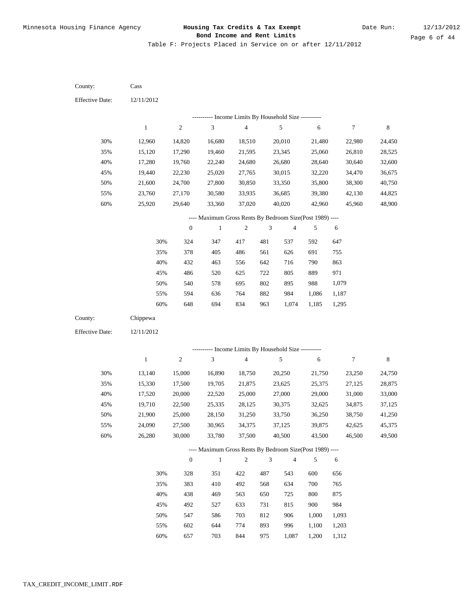Table F: Projects Placed in Service on or after 12/11/2012

| County:                | Cass             |                  |                                                                   |                          |                |                  |                  |                  |                  |
|------------------------|------------------|------------------|-------------------------------------------------------------------|--------------------------|----------------|------------------|------------------|------------------|------------------|
| <b>Effective Date:</b> | 12/11/2012       |                  |                                                                   |                          |                |                  |                  |                  |                  |
|                        |                  |                  | --------- Income Limits By Household Size ----------              |                          |                |                  |                  |                  |                  |
|                        | $\mathbf{1}$     | $\sqrt{2}$       | $\ensuremath{\mathfrak{Z}}$                                       | $\overline{\mathcal{L}}$ |                | $\sqrt{5}$       | $\sqrt{6}$       | $\tau$           | $\,$ 8 $\,$      |
|                        |                  |                  |                                                                   |                          |                |                  |                  |                  |                  |
| 30%                    | 12,960           | 14,820           | 16,680                                                            | 18,510                   |                | 20,010           | 21,480           | 22,980           | 24,450           |
| 35%                    | 15,120           | 17,290           | 19,460                                                            | 21,595                   |                | 23,345           | 25,060           | 26,810           | 28,525           |
| 40%                    | 17,280           | 19,760           | 22,240                                                            | 24,680                   |                | 26,680           | 28,640           | 30,640           | 32,600           |
| 45%                    | 19,440           | 22,230           | 25,020                                                            | 27,765                   |                | 30,015           | 32,220           | 34,470           | 36,675           |
| 50%                    | 21,600           | 24,700           | 27,800                                                            | 30,850                   |                | 33,350           | 35,800           | 38,300           | 40,750           |
| 55%                    | 23,760           | 27,170           | 30,580                                                            | 33,935                   |                | 36,685           | 39,380           | 42,130           | 44,825           |
| 60%                    | 25,920           | 29,640           | 33,360                                                            | 37,020                   |                | 40,020           | 42,960           | 45,960           | 48,900           |
|                        |                  |                  | ---- Maximum Gross Rents By Bedroom Size(Post 1989) ----          |                          |                |                  |                  |                  |                  |
|                        |                  | $\boldsymbol{0}$ | $\mathbf{1}$                                                      | $\sqrt{2}$               | $\mathfrak{Z}$ | $\overline{4}$   | 5                | 6                |                  |
|                        | 30%              | 324              | 347                                                               | 417                      | 481            | 537              | 592              | 647              |                  |
|                        | 35%              | 378              | 405                                                               | 486                      | 561            | 626              | 691              | 755              |                  |
|                        | 40%              | 432              | 463                                                               | 556                      | 642            | 716              | 790              | 863              |                  |
|                        | 45%              | 486              | 520                                                               | 625                      | 722            | 805              | 889              | 971              |                  |
|                        | 50%              | 540              | 578                                                               | 695                      | 802            | 895              | 988              | 1,079            |                  |
|                        | 55%              | 594              | 636                                                               | 764                      | 882            | 984              | 1,086            | 1,187            |                  |
|                        | 60%              | 648              | 694                                                               | 834                      | 963            | 1,074            | 1,185            | 1,295            |                  |
|                        |                  |                  |                                                                   |                          |                |                  |                  |                  |                  |
| County:                | Chippewa         |                  |                                                                   |                          |                |                  |                  |                  |                  |
| <b>Effective Date:</b> | 12/11/2012       |                  |                                                                   |                          |                |                  |                  |                  |                  |
|                        |                  |                  |                                                                   |                          |                |                  |                  |                  |                  |
|                        | $\mathbf{1}$     | $\mathbf{2}$     | --------- Income Limits By Household Size ----------<br>3         | $\overline{4}$           |                | 5                | $\sqrt{6}$       | 7                | 8                |
|                        |                  |                  |                                                                   |                          |                |                  |                  |                  |                  |
| 30%                    | 13,140           | 15,000           | 16,890                                                            | 18,750                   |                | 20,250           | 21,750           | 23,250           | 24,750           |
| 35%                    | 15,330           | 17,500           | 19,705                                                            | 21,875                   |                | 23,625           | 25,375           | 27,125           | 28,875           |
| 40%                    | 17,520           | 20,000           | 22,520                                                            | 25,000                   |                | 27,000           | 29,000           | 31,000           | 33,000           |
| 45%                    | 19,710           | 22,500           | 25,335                                                            | 28,125                   |                | 30,375           | 32,625           | 34,875           | 37,125           |
| 50%                    | 21,900           | 25,000           | 28,150                                                            | 31,250                   |                | 33,750           | 36,250           | 38,750           | 41,250           |
| 55%<br>60%             | 24,090<br>26,280 | 27,500<br>30,000 | 30,965<br>33,780                                                  | 34,375<br>37,500         |                | 37,125<br>40,500 | 39,875<br>43,500 | 42,625<br>46,500 | 45,375<br>49,500 |
|                        |                  |                  |                                                                   |                          |                |                  |                  |                  |                  |
|                        |                  | $\boldsymbol{0}$ | ---- Maximum Gross Rents By Bedroom Size(Post 1989) ----<br>$1\,$ | $\sqrt{2}$               | $\mathfrak z$  | $\overline{4}$   | 5                | 6                |                  |
|                        |                  |                  |                                                                   |                          |                |                  |                  |                  |                  |
|                        | 30%              | 328              | 351                                                               | 422                      | 487            | 543              | 600              | 656              |                  |
|                        | 35%              | 383              | 410                                                               | 492                      | 568            | 634              | 700              | 765              |                  |
|                        | 40%              | 438              | 469                                                               | 563                      | 650            | 725              | 800              | 875              |                  |
|                        | 45%              | 492              | 527                                                               | 633                      | 731            | 815              | 900              | 984              |                  |
|                        | 50%<br>55%       | 547<br>602       | 586<br>644                                                        | 703<br>774               | 812<br>893     | 906<br>996       | 1,000<br>1,100   | 1,093<br>1,203   |                  |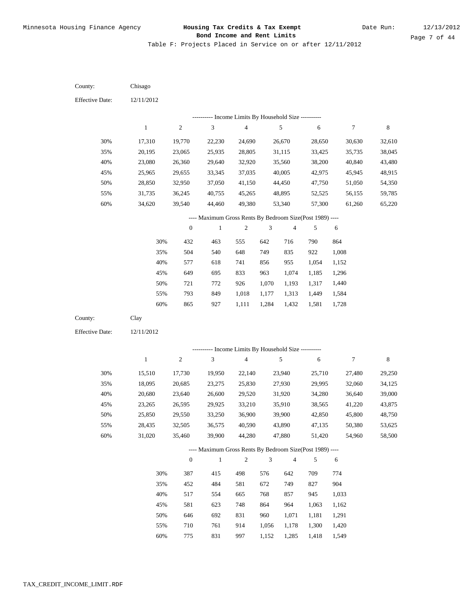Table F: Projects Placed in Service on or after 12/11/2012

| County:                | Chisago      |                  |                                                          |                |                             |                |        |                  |        |
|------------------------|--------------|------------------|----------------------------------------------------------|----------------|-----------------------------|----------------|--------|------------------|--------|
| <b>Effective Date:</b> | 12/11/2012   |                  |                                                          |                |                             |                |        |                  |        |
|                        |              |                  | --------- Income Limits By Household Size ----------     |                |                             |                |        |                  |        |
|                        | $\mathbf{1}$ | $\sqrt{2}$       | 3                                                        | $\overline{4}$ |                             | 5              | 6      | $\boldsymbol{7}$ | 8      |
| 30%                    | 17,310       | 19,770           | 22,230                                                   | 24,690         |                             | 26,670         | 28,650 | 30,630           | 32,610 |
| 35%                    | 20,195       | 23,065           | 25,935                                                   | 28,805         |                             | 31,115         | 33,425 | 35,735           | 38,045 |
| 40%                    | 23,080       | 26,360           | 29,640                                                   | 32,920         |                             | 35,560         | 38,200 | 40,840           | 43,480 |
| 45%                    | 25,965       | 29,655           | 33,345                                                   | 37,035         |                             | 40,005         | 42,975 | 45,945           | 48,915 |
| 50%                    | 28,850       | 32,950           | 37,050                                                   | 41,150         |                             | 44,450         | 47,750 | 51,050           | 54,350 |
| 55%                    | 31,735       | 36,245           | 40,755                                                   | 45,265         |                             | 48,895         | 52,525 | 56,155           | 59,785 |
| 60%                    | 34,620       | 39,540           | 44,460                                                   | 49,380         |                             | 53,340         | 57,300 | 61,260           | 65,220 |
|                        |              |                  | ---- Maximum Gross Rents By Bedroom Size(Post 1989) ---- |                |                             |                |        |                  |        |
|                        |              | $\boldsymbol{0}$ | $\mathbf{1}$                                             | $\sqrt{2}$     | 3                           | $\overline{4}$ | 5      | 6                |        |
|                        | 30%          | 432              | 463                                                      | 555            | 642                         | 716            | 790    | 864              |        |
|                        | 35%          | 504              | 540                                                      | 648            | 749                         | 835            | 922    | 1,008            |        |
|                        | 40%          | 577              | 618                                                      | 741            | 856                         | 955            | 1,054  | 1,152            |        |
|                        | 45%          | 649              | 695                                                      | 833            | 963                         | 1,074          | 1,185  | 1,296            |        |
|                        | 50%          | 721              | 772                                                      | 926            | 1,070                       | 1,193          | 1,317  | 1,440            |        |
|                        | 55%          | 793              | 849                                                      | 1,018          | 1,177                       | 1,313          | 1,449  | 1,584            |        |
|                        | 60%          | 865              | 927                                                      | 1,111          | 1,284                       | 1,432          | 1,581  | 1,728            |        |
| County:                | Clay         |                  |                                                          |                |                             |                |        |                  |        |
| <b>Effective Date:</b> | 12/11/2012   |                  |                                                          |                |                             |                |        |                  |        |
|                        |              |                  | --------- Income Limits By Household Size ----------     |                |                             |                |        |                  |        |
|                        | $\mathbf{1}$ | $\sqrt{2}$       | $\mathfrak{Z}$                                           | $\overline{4}$ |                             | 5              | 6      | 7                | 8      |
| 30%                    | 15,510       | 17,730           | 19,950                                                   | 22,140         |                             | 23,940         | 25,710 | 27,480           | 29,250 |
| 35%                    | 18,095       | 20,685           | 23,275                                                   | 25,830         |                             | 27,930         | 29,995 | 32,060           | 34,125 |
| 40%                    | 20,680       | 23,640           | 26,600                                                   | 29,520         |                             | 31,920         | 34,280 | 36,640           | 39,000 |
| 45%                    | 23,265       | 26,595           | 29,925                                                   | 33,210         |                             | 35,910         | 38,565 | 41,220           | 43,875 |
| 50%                    | 25,850       | 29,550           | 33,250                                                   | 36,900         |                             | 39,900         | 42,850 | 45,800           | 48,750 |
| 55%                    | 28,435       | 32,505           | 36,575                                                   | 40,590         |                             | 43,890         | 47,135 | 50,380           | 53,625 |
| 60%                    | 31,020       | 35,460           | 39,900                                                   | 44,280         |                             | 47,880         | 51,420 | 54,960           | 58,500 |
|                        |              |                  | ---- Maximum Gross Rents By Bedroom Size(Post 1989) ---- |                |                             |                |        |                  |        |
|                        |              | $\mathbf{0}$     | $\mathbf{1}$                                             | $\sqrt{2}$     | $\ensuremath{\mathfrak{Z}}$ | $\overline{4}$ | 5      | 6                |        |
|                        | 30%          | 387              | 415                                                      | 498            | 576                         | 642            | 709    | 774              |        |
|                        | 35%          | 452              | 484                                                      | 581            | 672                         | 749            | 827    | 904              |        |
|                        | 40%          | 517              | 554                                                      | 665            | 768                         | 857            | 945    | 1,033            |        |
|                        | 45%          | 581              | 623                                                      | 748            | 864                         | 964            | 1,063  | 1,162            |        |
|                        | 50%          | 646              | 692                                                      | 831            | 960                         | 1,071          | 1,181  | 1,291            |        |
|                        | 55%          | 710              | 761                                                      | 914            | 1,056                       | 1,178          | 1,300  | 1,420            |        |

775 831 997 1,152 1,285 1,418 1,549 60%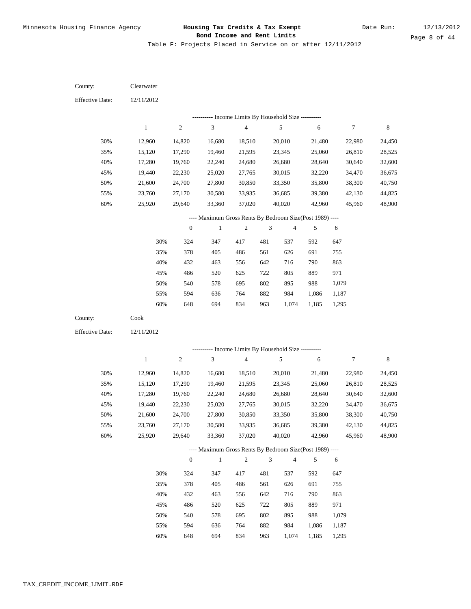Table F: Projects Placed in Service on or after 12/11/2012

| County:                | Clearwater    |                  |                                                          |                |                             |                |                |                |         |
|------------------------|---------------|------------------|----------------------------------------------------------|----------------|-----------------------------|----------------|----------------|----------------|---------|
| <b>Effective Date:</b> | 12/11/2012    |                  |                                                          |                |                             |                |                |                |         |
|                        |               |                  | --------- Income Limits By Household Size ----------     |                |                             |                |                |                |         |
|                        | $\mathbf{1}$  | $\sqrt{2}$       | 3                                                        | $\overline{4}$ |                             | $\sqrt{5}$     | $\sqrt{6}$     | 7              | $\,8\,$ |
| 30%                    | 12,960        | 14,820           | 16,680                                                   | 18,510         |                             | 20,010         | 21,480         | 22,980         | 24,450  |
| 35%                    | 15,120        | 17,290           | 19,460                                                   | 21,595         |                             | 23,345         | 25,060         | 26,810         | 28,525  |
| 40%                    | 17,280        | 19,760           | 22,240                                                   | 24,680         |                             | 26,680         | 28,640         | 30,640         | 32,600  |
| 45%                    | 19,440        | 22,230           | 25,020                                                   | 27,765         |                             | 30,015         | 32,220         | 34,470         | 36,675  |
| 50%                    | 21,600        | 24,700           | 27,800                                                   | 30,850         |                             | 33,350         | 35,800         | 38,300         | 40,750  |
| 55%                    | 23,760        | 27,170           | 30,580                                                   | 33,935         |                             | 36,685         | 39,380         | 42,130         | 44,825  |
| 60%                    | 25,920        | 29,640           | 33,360                                                   | 37,020         |                             | 40,020         | 42,960         | 45,960         | 48,900  |
|                        |               |                  | ---- Maximum Gross Rents By Bedroom Size(Post 1989) ---- |                |                             |                |                |                |         |
|                        |               | $\boldsymbol{0}$ | $\mathbf{1}$                                             | $\sqrt{2}$     | $\ensuremath{\mathfrak{Z}}$ | $\overline{4}$ | 5              | 6              |         |
|                        | 30%           | 324              | 347                                                      | 417            | 481                         | 537            | 592            | 647            |         |
|                        | 35%           | 378              | 405                                                      | 486            | 561                         | 626            | 691            | 755            |         |
|                        | 40%           | 432              | 463                                                      | 556            | 642                         | 716            | 790            | 863            |         |
|                        | 45%           | 486              | 520                                                      | 625            | 722                         | 805            | 889            | 971            |         |
|                        | 50%           | 540              | 578                                                      | 695            | 802                         | 895            | 988            | 1,079          |         |
|                        | 55%           | 594              | 636                                                      | 764            | 882                         | 984            | 1,086          | 1,187          |         |
|                        | 60%           | 648              | 694                                                      | 834            | 963                         | 1,074          | 1,185          | 1,295          |         |
| County:                | Cook          |                  |                                                          |                |                             |                |                |                |         |
| <b>Effective Date:</b> | 12/11/2012    |                  |                                                          |                |                             |                |                |                |         |
|                        |               |                  | ---------- Income Limits By Household Size ----------    |                |                             |                |                |                |         |
|                        | $\mathbf{1}$  | $\sqrt{2}$       | 3                                                        | $\overline{4}$ |                             | 5              | 6              | 7              | $\,8\,$ |
|                        |               |                  |                                                          |                |                             |                |                |                |         |
| 30%                    | 12,960        | 14,820           | 16,680                                                   | 18,510         |                             | 20,010         | 21,480         | 22,980         | 24,450  |
| 35%                    | 15,120        | 17,290           | 19,460                                                   | 21,595         |                             | 23,345         | 25,060         | 26,810         | 28,525  |
| 40%                    | 17,280        | 19,760           | 22,240                                                   | 24,680         |                             | 26,680         | 28,640         | 30,640         | 32,600  |
| 45%                    | 19,440        | 22,230           | 25,020                                                   | 27,765         |                             | 30,015         | 32,220         | 34,470         | 36,675  |
| 50%                    | 21,600        | 24,700           | 27,800                                                   | 30,850         |                             | 33,350         | 35,800         | 38,300         | 40,750  |
| 55%                    | 23,760        | 27,170           | 30,580                                                   | 33,935         |                             | 36,685         | 39,380         | 42,130         | 44,825  |
| 60%                    | 25,920        | 29,640           | 33,360                                                   | 37,020         |                             | 40,020         | 42,960         | 45,960         | 48,900  |
|                        |               |                  | ---- Maximum Gross Rents By Bedroom Size(Post 1989) ---- |                |                             |                |                |                |         |
|                        |               | $\mathbf{0}$     | $\,1\,$                                                  | $\overline{c}$ | $\mathfrak z$               | $\overline{4}$ | 5              | 6              |         |
|                        | 30%           | 324              | 347                                                      | 417            | 481                         | 537            | 592            | 647            |         |
|                        | 35%           | 378              | 405                                                      | 486            | 561                         | 626            | 691            | 755            |         |
|                        | 40%           | 432              | 463                                                      | 556            | 642                         | 716            | 790            | 863            |         |
|                        | 45%           | 486              | 520                                                      | 625            | 722                         | 805            | 889            | 971            |         |
|                        |               |                  |                                                          |                |                             |                |                |                |         |
|                        | 50%           | 540              | 578                                                      | 695            | 802                         | 895            | 988            | 1,079          |         |
|                        | 55%<br>$60\%$ | 594<br>648       | 636<br>694                                               | 764<br>834     | 882<br>963                  | 984<br>1,074   | 1,086<br>1,185 | 1,187<br>1,295 |         |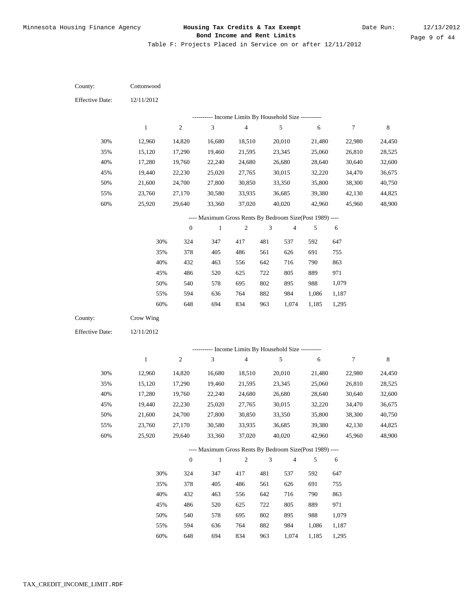Table F: Projects Placed in Service on or after 12/11/2012

| County:                | Cottonwood       |                  |                                                                          |                  |                             |                  |                  |                  |                  |
|------------------------|------------------|------------------|--------------------------------------------------------------------------|------------------|-----------------------------|------------------|------------------|------------------|------------------|
| <b>Effective Date:</b> | 12/11/2012       |                  |                                                                          |                  |                             |                  |                  |                  |                  |
|                        |                  |                  | --------- Income Limits By Household Size ----------                     |                  |                             |                  |                  |                  |                  |
|                        | $\mathbf{1}$     | $\boldsymbol{2}$ | 3                                                                        | $\overline{4}$   |                             | $\sqrt{5}$       | 6                | 7                | $\,$ 8 $\,$      |
| 30%                    | 12,960           | 14,820           | 16,680                                                                   | 18,510           |                             | 20,010           | 21,480           | 22,980           | 24,450           |
| 35%                    | 15,120           | 17,290           | 19,460                                                                   | 21,595           |                             | 23,345           | 25,060           | 26,810           | 28,525           |
| 40%                    | 17,280           | 19,760           | 22,240                                                                   | 24,680           |                             | 26,680           | 28,640           | 30,640           | 32,600           |
| 45%                    | 19,440           | 22,230           | 25,020                                                                   | 27,765           |                             | 30,015           | 32,220           | 34,470           | 36,675           |
| 50%                    | 21,600           | 24,700           | 27,800                                                                   | 30,850           |                             | 33,350           | 35,800           | 38,300           | 40,750           |
| 55%                    | 23,760           | 27,170           | 30,580                                                                   | 33,935           |                             | 36,685           | 39,380           | 42,130           | 44,825           |
| 60%                    | 25,920           | 29,640           | 33,360                                                                   | 37,020           |                             | 40,020           | 42,960           | 45,960           | 48,900           |
|                        |                  |                  | ---- Maximum Gross Rents By Bedroom Size(Post 1989) ----                 |                  |                             |                  |                  |                  |                  |
|                        |                  | $\boldsymbol{0}$ | $\mathbf{1}$                                                             | $\boldsymbol{2}$ | $\ensuremath{\mathfrak{Z}}$ | $\overline{4}$   | 5                | 6                |                  |
|                        | 30%              | 324              | 347                                                                      | 417              | 481                         | 537              | 592              | 647              |                  |
|                        | 35%              | 378              | 405                                                                      | 486              | 561                         | 626              | 691              | 755              |                  |
|                        | 40%              | 432              | 463                                                                      | 556              | 642                         | 716              | 790              | 863              |                  |
|                        | 45%              | 486              | 520                                                                      | 625              | 722                         | 805              | 889              | 971              |                  |
|                        | 50%              | 540              | 578                                                                      | 695              | 802                         | 895              | 988              | 1,079            |                  |
|                        | 55%              | 594              | 636                                                                      | 764              | 882                         | 984              | 1,086            | 1,187            |                  |
|                        | 60%              | 648              | 694                                                                      | 834              | 963                         | 1,074            | 1,185            | 1,295            |                  |
| County:                | Crow Wing        |                  |                                                                          |                  |                             |                  |                  |                  |                  |
| <b>Effective Date:</b> | 12/11/2012       |                  |                                                                          |                  |                             |                  |                  |                  |                  |
|                        |                  |                  | ---------- Income Limits By Household Size ----------                    |                  |                             |                  |                  |                  |                  |
|                        | $\mathbf{1}$     | $\sqrt{2}$       | $\mathfrak{Z}$                                                           | $\overline{4}$   |                             | 5                | 6                | 7                | $\,8\,$          |
|                        |                  |                  |                                                                          |                  |                             |                  |                  |                  |                  |
| 30%                    | 12,960           | 14,820           | 16,680                                                                   | 18,510           |                             | 20,010           | 21,480           | 22,980           | 24,450           |
| 35%                    | 15,120           | 17,290           | 19,460                                                                   | 21,595           |                             | 23,345           | 25,060           | 26,810           | 28,525           |
| 40%                    | 17,280           | 19,760           | 22,240                                                                   | 24,680           |                             | 26,680           | 28,640           | 30,640           | 32,600           |
| 45%<br>50%             | 19,440<br>21,600 | 22,230           | 25,020<br>27,800                                                         | 27,765           |                             | 30,015           | 32,220           | 34,470<br>38,300 | 36,675           |
| 55%                    | 23,760           | 24,700<br>27,170 | 30,580                                                                   | 30,850<br>33,935 |                             | 33,350<br>36,685 | 35,800<br>39,380 | 42,130           | 40,750<br>44,825 |
| 60%                    | 25,920           | 29,640           | 33,360                                                                   | 37,020           |                             | 40,020           | 42,960           | 45,960           | 48,900           |
|                        |                  |                  |                                                                          |                  |                             |                  |                  |                  |                  |
|                        |                  | $\mathbf{0}$     | ---- Maximum Gross Rents By Bedroom Size(Post 1989) ----<br>$\mathbf{1}$ | $\overline{2}$   | $\mathfrak{Z}$              | $\overline{4}$   | 5                | 6                |                  |
|                        |                  |                  |                                                                          |                  |                             |                  |                  |                  |                  |
|                        | 30%              | 324              | 347                                                                      | 417              | 481                         | 537              | 592              | 647              |                  |
|                        | 35%              | 378              | 405                                                                      | 486              | 561                         | 626              | 691              | 755              |                  |
|                        | 40%              | 432<br>486       | 463<br>520                                                               | 556<br>625       | 642                         | 716<br>805       | 790<br>889       | 863<br>971       |                  |
|                        |                  |                  |                                                                          |                  |                             |                  |                  |                  |                  |
|                        | 45%              |                  |                                                                          |                  | 722                         |                  |                  |                  |                  |
|                        | 50%<br>55%       | 540<br>594       | 578<br>636                                                               | 695<br>764       | 802<br>882                  | 895<br>984       | 988<br>1,086     | 1,079<br>1,187   |                  |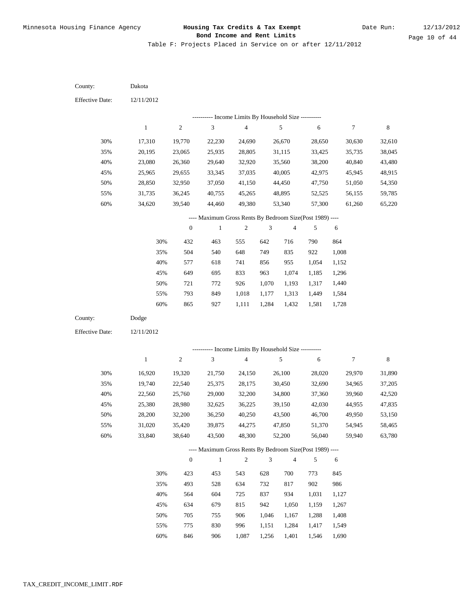| County:                | Dakota           |                  |                                                                          |                  |                             |                  |                  |                  |                  |
|------------------------|------------------|------------------|--------------------------------------------------------------------------|------------------|-----------------------------|------------------|------------------|------------------|------------------|
| <b>Effective Date:</b> | 12/11/2012       |                  |                                                                          |                  |                             |                  |                  |                  |                  |
|                        |                  |                  | --------- Income Limits By Household Size ----------                     |                  |                             |                  |                  |                  |                  |
|                        | $\mathbf{1}$     | $\sqrt{2}$       | $\mathfrak{Z}$                                                           | $\overline{4}$   |                             | $\sqrt{5}$       | $\sqrt{6}$       | 7                | 8                |
| 30%                    | 17,310           | 19,770           | 22,230                                                                   | 24,690           |                             | 26,670           | 28,650           | 30,630           | 32,610           |
| 35%                    | 20,195           | 23,065           | 25,935                                                                   | 28,805           |                             | 31,115           | 33,425           | 35,735           | 38,045           |
| 40%                    | 23,080           | 26,360           | 29,640                                                                   | 32,920           |                             | 35,560           | 38,200           | 40,840           | 43,480           |
| 45%                    | 25,965           | 29,655           | 33,345                                                                   | 37,035           |                             | 40,005           | 42,975           | 45,945           | 48,915           |
| 50%                    | 28,850           | 32,950           | 37,050                                                                   | 41,150           |                             | 44,450           | 47,750           | 51,050           | 54,350           |
| 55%                    | 31,735           | 36,245           | 40,755                                                                   | 45,265           |                             | 48,895           | 52,525           | 56,155           | 59,785           |
| 60%                    | 34,620           | 39,540           | 44,460                                                                   | 49,380           |                             | 53,340           | 57,300           | 61,260           | 65,220           |
|                        |                  |                  | ---- Maximum Gross Rents By Bedroom Size(Post 1989) ----                 |                  |                             |                  |                  |                  |                  |
|                        |                  | $\boldsymbol{0}$ | $\mathbf{1}$                                                             | $\boldsymbol{2}$ | 3                           | $\overline{4}$   | 5                | 6                |                  |
|                        | 30%              | 432              | 463                                                                      | 555              | 642                         | 716              | 790              | 864              |                  |
|                        | 35%              | 504              | 540                                                                      | 648              | 749                         | 835              | 922              | 1,008            |                  |
|                        | 40%              | 577              | 618                                                                      | 741              | 856                         | 955              | 1,054            | 1,152            |                  |
|                        | 45%              | 649              | 695                                                                      | 833              | 963                         | 1,074            | 1,185            | 1,296            |                  |
|                        | 50%              | 721              | 772                                                                      | 926              | 1,070                       | 1,193            | 1,317            | 1,440            |                  |
|                        | 55%              | 793              | 849                                                                      | 1,018            | 1,177                       | 1,313            | 1,449            | 1,584            |                  |
|                        | 60%              | 865              | 927                                                                      | 1,111            | 1,284                       | 1,432            | 1,581            | 1,728            |                  |
| County:                | Dodge            |                  |                                                                          |                  |                             |                  |                  |                  |                  |
| <b>Effective Date:</b> | 12/11/2012       |                  |                                                                          |                  |                             |                  |                  |                  |                  |
|                        |                  |                  | --------- Income Limits By Household Size ----------                     |                  |                             |                  |                  |                  |                  |
|                        | $\mathbf{1}$     | $\sqrt{2}$       | $\mathfrak{Z}$                                                           | $\overline{4}$   |                             | 5                | $\sqrt{6}$       | 7                | $\,8\,$          |
|                        |                  |                  |                                                                          |                  |                             |                  |                  |                  |                  |
| 30%                    | 16,920           | 19,320           | 21,750                                                                   | 24,150           |                             | 26,100           | 28,020           | 29,970           | 31,890           |
| 35%                    | 19,740           | 22,540           | 25,375                                                                   | 28,175           |                             | 30,450           | 32,690           | 34,965           | 37,205           |
| 40%                    | 22,560           | 25,760           | 29,000                                                                   | 32,200           |                             | 34,800           | 37,360           | 39,960           | 42,520           |
| 45%<br>50%             | 25,380<br>28,200 | 28,980           | 32,625                                                                   | 36,225           |                             | 39,150           | 42,030           | 44,955           | 47,835           |
|                        | 31,020           | 32,200           | 36,250<br>39,875                                                         | 40,250<br>44,275 |                             | 43,500<br>47,850 | 46,700<br>51,370 | 49,950<br>54,945 | 53,150           |
| 55%<br>60%             | 33,840           | 35,420<br>38,640 | 43,500                                                                   | 48,300           |                             | 52,200           | 56,040           | 59,940           | 58,465<br>63,780 |
|                        |                  |                  |                                                                          |                  |                             |                  |                  |                  |                  |
|                        |                  | $\mathbf{0}$     | ---- Maximum Gross Rents By Bedroom Size(Post 1989) ----<br>$\mathbf{1}$ | $\sqrt{2}$       | $\ensuremath{\mathfrak{Z}}$ | $\overline{4}$   | 5                | 6                |                  |
|                        |                  |                  |                                                                          |                  |                             |                  |                  |                  |                  |
|                        | 30%              | 423              | 453                                                                      | 543              | 628                         | 700              | 773              | 845              |                  |
|                        | 35%              | 493              | 528                                                                      | 634              | 732                         | 817<br>934       | 902<br>1,031     | 986<br>1,127     |                  |
|                        |                  |                  |                                                                          |                  |                             |                  |                  |                  |                  |
|                        | 40%              | 564              | 604                                                                      | 725              | 837                         |                  |                  |                  |                  |
|                        | 45%              | 634              | 679                                                                      | 815              | 942                         | 1,050            | 1,159            | 1,267            |                  |
|                        | 50%<br>55%       | 705<br>775       | 755<br>830                                                               | 906<br>996       | 1,046<br>1,151              | 1,167<br>1,284   | 1,288<br>1,417   | 1,408<br>1,549   |                  |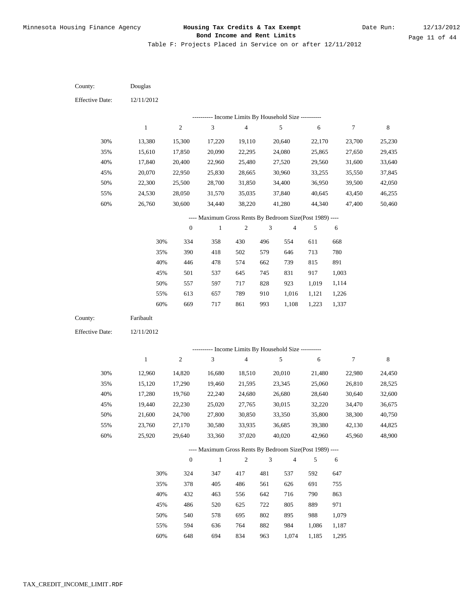| County:                | Douglas          |                  |                                                                          |                          |                |                  |                  |                  |                  |
|------------------------|------------------|------------------|--------------------------------------------------------------------------|--------------------------|----------------|------------------|------------------|------------------|------------------|
| <b>Effective Date:</b> | 12/11/2012       |                  |                                                                          |                          |                |                  |                  |                  |                  |
|                        |                  |                  | --------- Income Limits By Household Size ----------                     |                          |                |                  |                  |                  |                  |
|                        | $\mathbf{1}$     | $\boldsymbol{2}$ | $\mathfrak{Z}$                                                           | $\sqrt{4}$               |                | 5                | 6                | $\boldsymbol{7}$ | 8                |
| 30%                    | 13,380           | 15,300           | 17,220                                                                   | 19,110                   |                | 20,640           | 22,170           | 23,700           | 25,230           |
| 35%                    | 15,610           | 17,850           | 20,090                                                                   | 22,295                   |                | 24,080           | 25,865           | 27,650           | 29,435           |
| 40%                    | 17,840           | 20,400           | 22,960                                                                   | 25,480                   |                | 27,520           | 29,560           | 31,600           | 33,640           |
| 45%                    | 20,070           | 22,950           | 25,830                                                                   | 28,665                   |                | 30,960           | 33,255           | 35,550           | 37,845           |
| 50%                    | 22,300           | 25,500           | 28,700                                                                   | 31,850                   |                | 34,400           | 36,950           | 39,500           | 42,050           |
| 55%                    | 24,530           | 28,050           | 31,570                                                                   | 35,035                   |                | 37,840           | 40,645           | 43,450           | 46,255           |
| 60%                    | 26,760           | 30,600           | 34,440                                                                   | 38,220                   |                | 41,280           | 44,340           | 47,400           | 50,460           |
|                        |                  |                  | ---- Maximum Gross Rents By Bedroom Size(Post 1989) ----                 |                          |                |                  |                  |                  |                  |
|                        |                  | $\boldsymbol{0}$ | $\mathbf{1}$                                                             | $\sqrt{2}$               | 3              | $\overline{4}$   | 5                | 6                |                  |
|                        | 30%              | 334              | 358                                                                      | 430                      | 496            | 554              | 611              | 668              |                  |
|                        | 35%              | 390              | 418                                                                      | 502                      | 579            | 646              | 713              | 780              |                  |
|                        | 40%              | 446              | 478                                                                      | 574                      | 662            | 739              | 815              | 891              |                  |
|                        | 45%              | 501              | 537                                                                      | 645                      | 745            | 831              | 917              | 1,003            |                  |
|                        | 50%              | 557              | 597                                                                      | 717                      | 828            | 923              | 1,019            | 1,114            |                  |
|                        | 55%              | 613              | 657                                                                      | 789                      | 910            | 1,016            | 1,121            | 1,226            |                  |
|                        | 60%              | 669              | 717                                                                      | 861                      | 993            | 1,108            | 1,223            | 1,337            |                  |
|                        |                  |                  |                                                                          |                          |                |                  |                  |                  |                  |
| County:                | Faribault        |                  |                                                                          |                          |                |                  |                  |                  |                  |
| <b>Effective Date:</b> | 12/11/2012       |                  |                                                                          |                          |                |                  |                  |                  |                  |
|                        |                  |                  |                                                                          |                          |                |                  |                  |                  |                  |
|                        |                  |                  | --------- Income Limits By Household Size ----------                     |                          |                |                  |                  |                  |                  |
|                        | $\mathbf{1}$     | $\sqrt{2}$       | $\mathfrak{Z}$                                                           | $\overline{\mathcal{L}}$ |                | 5                | $\sqrt{6}$       | $\boldsymbol{7}$ | 8                |
| 30%                    | 12,960           | 14,820           | 16,680                                                                   | 18,510                   |                | 20,010           | 21,480           | 22,980           | 24,450           |
| 35%                    | 15,120           | 17,290           | 19,460                                                                   | 21,595                   |                | 23,345           | 25,060           | 26,810           | 28,525           |
| 40%                    | 17,280           | 19,760           | 22,240                                                                   | 24,680                   |                | 26,680           | 28,640           | 30,640           | 32,600           |
| 45%                    | 19,440           | 22,230           | 25,020                                                                   | 27,765                   |                | 30,015           | 32,220           | 34,470           | 36,675           |
| 50%                    | 21,600           | 24,700           | 27,800                                                                   | 30,850                   |                | 33,350           | 35,800           | 38,300           | 40,750           |
| 55%<br>60%             | 23,760<br>25,920 | 27,170<br>29,640 | 30,580<br>33,360                                                         | 33,935<br>37,020         |                | 36,685<br>40,020 | 39,380<br>42,960 | 42,130<br>45,960 | 44,825<br>48,900 |
|                        |                  |                  |                                                                          |                          |                |                  |                  |                  |                  |
|                        |                  | $\mathbf{0}$     | ---- Maximum Gross Rents By Bedroom Size(Post 1989) ----<br>$\mathbf{1}$ | $\sqrt{2}$               | $\mathfrak{Z}$ | $\overline{4}$   | 5                | 6                |                  |
|                        | 30%              | 324              | 347                                                                      | 417                      | 481            | 537              | 592              | 647              |                  |
|                        | 35%              | 378              | 405                                                                      | 486                      | 561            | 626              | 691              | 755              |                  |
|                        | 40%              | 432              | 463                                                                      | 556                      | 642            | 716              | 790              | 863              |                  |
|                        | 45%              | 486              | 520                                                                      | 625                      | 722            | 805              | 889              | 971              |                  |
|                        | 50%              | 540              | 578                                                                      | 695                      | 802            | 895              | 988              | 1,079            |                  |
|                        | 55%              | 594              | 636                                                                      | 764                      | 882            | 984              | 1,086            | 1,187            |                  |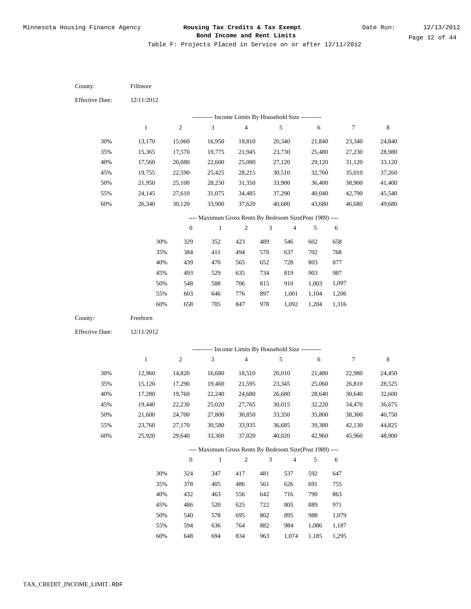| County:                | Fillmore         |                  |                                                                         |                          |                             |                  |                  |                  |                  |
|------------------------|------------------|------------------|-------------------------------------------------------------------------|--------------------------|-----------------------------|------------------|------------------|------------------|------------------|
| <b>Effective Date:</b> | 12/11/2012       |                  |                                                                         |                          |                             |                  |                  |                  |                  |
|                        |                  |                  | --------- Income Limits By Household Size ----------                    |                          |                             |                  |                  |                  |                  |
|                        | $\mathbf{1}$     | $\boldsymbol{2}$ | $\mathfrak{Z}$                                                          | $\sqrt{4}$               |                             | $\sqrt{5}$       | $\sqrt{6}$       | $\tau$           | $\,$ 8 $\,$      |
| 30%                    | 13,170           | 15,060           | 16,950                                                                  | 18,810                   |                             | 20,340           | 21,840           | 23,340           | 24,840           |
| 35%                    | 15,365           | 17,570           | 19,775                                                                  | 21,945                   |                             | 23,730           | 25,480           | 27,230           | 28,980           |
| 40%                    | 17,560           | 20,080           | 22,600                                                                  | 25,080                   |                             | 27,120           | 29,120           | 31,120           | 33,120           |
| 45%                    | 19,755           | 22,590           | 25,425                                                                  | 28,215                   |                             | 30,510           | 32,760           | 35,010           | 37,260           |
| 50%                    | 21,950           | 25,100           | 28,250                                                                  | 31,350                   |                             | 33,900           | 36,400           | 38,900           | 41,400           |
| 55%                    | 24,145           | 27,610           | 31,075                                                                  | 34,485                   |                             | 37,290           | 40,040           | 42,790           | 45,540           |
| 60%                    | 26,340           | 30,120           | 33,900                                                                  | 37,620                   |                             | 40,680           | 43,680           | 46,680           | 49,680           |
|                        |                  |                  | ---- Maximum Gross Rents By Bedroom Size(Post 1989) ----                |                          |                             |                  |                  |                  |                  |
|                        |                  | $\boldsymbol{0}$ | $\mathbf{1}$                                                            | $\sqrt{2}$               | $\ensuremath{\mathfrak{Z}}$ | $\overline{4}$   | 5                | 6                |                  |
|                        | 30%              | 329              | 352                                                                     | 423                      | 489                         | 546              | 602              | 658              |                  |
|                        | 35%              | 384              | 411                                                                     | 494                      | 570                         | 637              | 702              | 768              |                  |
|                        | 40%              | 439              | 470                                                                     | 565                      | 652                         | 728              | 803              | 877              |                  |
|                        | 45%              | 493              | 529                                                                     | 635                      | 734                         | 819              | 903              | 987              |                  |
|                        | 50%              | 548              | 588                                                                     | 706                      | 815                         | 910              | 1,003            | 1,097            |                  |
|                        | 55%              | 603              | 646                                                                     | 776                      | 897                         | 1,001            | 1,104            | 1,206            |                  |
|                        | 60%              | 658              | 705                                                                     | 847                      | 978                         | 1,092            | 1,204            | 1,316            |                  |
|                        |                  |                  |                                                                         |                          |                             |                  |                  |                  |                  |
| County:                | Freeborn         |                  |                                                                         |                          |                             |                  |                  |                  |                  |
| <b>Effective Date:</b> | 12/11/2012       |                  |                                                                         |                          |                             |                  |                  |                  |                  |
|                        |                  |                  |                                                                         |                          |                             |                  |                  |                  |                  |
|                        | $\mathbf{1}$     | $\sqrt{2}$       | ---------- Income Limits By Household Size ----------<br>$\mathfrak{Z}$ | $\overline{\mathcal{L}}$ |                             | 5                |                  | $\tau$           |                  |
|                        |                  |                  |                                                                         |                          |                             |                  | $\sqrt{6}$       |                  | 8                |
| 30%                    | 12,960           | 14,820           | 16,680                                                                  | 18,510                   |                             | 20,010           | 21,480           | 22,980           | 24,450           |
| 35%                    | 15,120           | 17,290           | 19,460                                                                  | 21,595                   |                             | 23,345           | 25,060           | 26,810           | 28,525           |
| 40%                    | 17,280           | 19,760           | 22,240                                                                  | 24,680                   |                             | 26,680           | 28,640           | 30,640           | 32,600           |
| 45%<br>50%             | 19,440           | 22,230<br>24,700 | 25,020<br>27,800                                                        | 27,765                   |                             | 30,015           | 32,220           | 34,470           | 36,675<br>40,750 |
| 55%                    | 21,600<br>23,760 | 27,170           | 30,580                                                                  | 30,850<br>33,935         |                             | 33,350<br>36,685 | 35,800<br>39,380 | 38,300<br>42,130 | 44,825           |
| 60%                    | 25,920           | 29,640           | 33,360                                                                  | 37,020                   |                             | 40,020           | 42,960           | 45,960           | 48,900           |
|                        |                  |                  | ---- Maximum Gross Rents By Bedroom Size(Post 1989) ----                |                          |                             |                  |                  |                  |                  |
|                        |                  | $\mathbf{0}$     | $\mathbf{1}$                                                            | $\sqrt{2}$               | $\mathfrak{Z}$              | $\overline{4}$   | 5                | 6                |                  |
|                        | 30%              | 324              | 347                                                                     | 417                      | 481                         | 537              | 592              | 647              |                  |
|                        | 35%              | 378              | 405                                                                     | 486                      | 561                         | 626              | 691              | 755              |                  |
|                        | 40%              | 432              | 463                                                                     | 556                      | 642                         | 716              | 790              | 863              |                  |
|                        | 45%              | 486              | 520                                                                     | 625                      | 722                         | 805              | 889              | 971              |                  |
|                        | 50%              | 540              | 578                                                                     | 695                      | 802                         | 895              | 988              | 1,079            |                  |
|                        | 55%              | 594              | 636                                                                     | 764                      | 882                         | 984              | 1,086            | 1,187            |                  |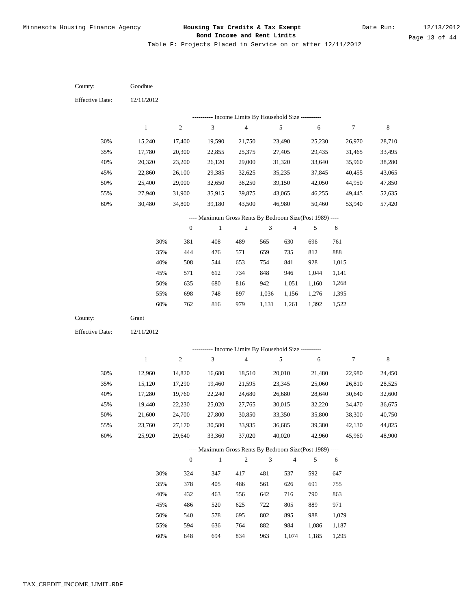| County:                | Goodhue      |                  |                                                          |                |                |                |                |                |             |
|------------------------|--------------|------------------|----------------------------------------------------------|----------------|----------------|----------------|----------------|----------------|-------------|
| <b>Effective Date:</b> | 12/11/2012   |                  |                                                          |                |                |                |                |                |             |
|                        |              |                  | --------- Income Limits By Household Size ----------     |                |                |                |                |                |             |
|                        | $\mathbf{1}$ | $\boldsymbol{2}$ | 3                                                        | $\sqrt{4}$     |                | 5              | 6              | 7              | $\,$ 8 $\,$ |
| 30%                    | 15,240       | 17,400           | 19,590                                                   | 21,750         |                | 23,490         | 25,230         | 26,970         | 28,710      |
| 35%                    | 17,780       | 20,300           | 22,855                                                   | 25,375         |                | 27,405         | 29,435         | 31,465         | 33,495      |
| 40%                    | 20,320       | 23,200           | 26,120                                                   | 29,000         |                | 31,320         | 33,640         | 35,960         | 38,280      |
| 45%                    | 22,860       | 26,100           | 29,385                                                   | 32,625         |                | 35,235         | 37,845         | 40,455         | 43,065      |
| 50%                    | 25,400       | 29,000           | 32,650                                                   | 36,250         |                | 39,150         | 42,050         | 44,950         | 47,850      |
| 55%                    | 27,940       | 31,900           | 35,915                                                   | 39,875         |                | 43,065         | 46,255         | 49,445         | 52,635      |
| 60%                    | 30,480       | 34,800           | 39,180                                                   | 43,500         |                | 46,980         | 50,460         | 53,940         | 57,420      |
|                        |              |                  | ---- Maximum Gross Rents By Bedroom Size(Post 1989) ---- |                |                |                |                |                |             |
|                        |              | $\boldsymbol{0}$ | $\mathbf{1}$                                             | $\sqrt{2}$     | 3              | $\overline{4}$ | 5              | 6              |             |
|                        | 30%          | 381              | 408                                                      | 489            | 565            | 630            | 696            | 761            |             |
|                        | 35%          | 444              | 476                                                      | 571            | 659            | 735            | 812            | 888            |             |
|                        | 40%          | 508              | 544                                                      | 653            | 754            | 841            | 928            | 1,015          |             |
|                        | 45%          | 571              | 612                                                      | 734            | 848            | 946            | 1,044          | 1,141          |             |
|                        | 50%          | 635              | 680                                                      | 816            | 942            | 1,051          | 1,160          | 1,268          |             |
|                        | 55%          | 698              | 748                                                      | 897            | 1,036          | 1,156          | 1,276          | 1,395          |             |
|                        | 60%          | 762              | 816                                                      | 979            | 1,131          | 1,261          | 1,392          | 1,522          |             |
| County:                | Grant        |                  |                                                          |                |                |                |                |                |             |
| <b>Effective Date:</b> | 12/11/2012   |                  |                                                          |                |                |                |                |                |             |
|                        |              |                  |                                                          |                |                |                |                |                |             |
|                        |              |                  |                                                          |                |                |                |                |                |             |
|                        |              |                  | ---------- Income Limits By Household Size ----------    |                |                |                |                |                |             |
|                        | $\mathbf{1}$ | $\sqrt{2}$       | 3                                                        | $\overline{4}$ |                | 5              | $\sqrt{6}$     | 7              | 8           |
| 30%                    | 12,960       | 14,820           | 16,680                                                   | 18,510         |                | 20,010         | 21,480         | 22,980         | 24,450      |
| 35%                    | 15,120       | 17,290           | 19,460                                                   | 21,595         |                | 23,345         | 25,060         | 26,810         | 28,525      |
| 40%                    | 17,280       | 19,760           | 22,240                                                   | 24,680         |                | 26,680         | 28,640         | 30,640         | 32,600      |
| 45%                    | 19,440       | 22,230           | 25,020                                                   | 27,765         |                | 30,015         | 32,220         | 34,470         | 36,675      |
| 50%                    | 21,600       | 24,700           | 27,800                                                   | 30,850         |                | 33,350         | 35,800         | 38,300         | 40,750      |
| 55%                    | 23,760       | 27,170           | 30,580                                                   | 33,935         |                | 36,685         | 39,380         | 42,130         | 44,825      |
| 60%                    | 25,920       | 29,640           | 33,360                                                   | 37,020         |                | 40,020         | 42,960         | 45,960         | 48,900      |
|                        |              |                  | ---- Maximum Gross Rents By Bedroom Size(Post 1989) ---- |                |                |                |                |                |             |
|                        |              | $\mathbf{0}$     | $\mathbf{1}$                                             | $\sqrt{2}$     | $\mathfrak{Z}$ | $\overline{4}$ | 5              | 6              |             |
|                        | 30%          | 324              | 347                                                      | 417            | 481            | 537            | 592            | 647            |             |
|                        | 35%          | 378              | 405                                                      | 486            | 561            | 626            | 691            | 755            |             |
|                        | 40%          | 432              | 463                                                      | 556            | 642            | 716            | 790            | 863            |             |
|                        | 45%          | 486              | 520                                                      | 625            | 722            | 805            | 889            | 971            |             |
|                        | 50%          | 540              | 578                                                      | 695            | 802            | 895            | 988            | 1,079          |             |
|                        | 55%<br>60%   | 594<br>648       | 636<br>694                                               | 764<br>834     | 882<br>963     | 984<br>1,074   | 1,086<br>1,185 | 1,187<br>1,295 |             |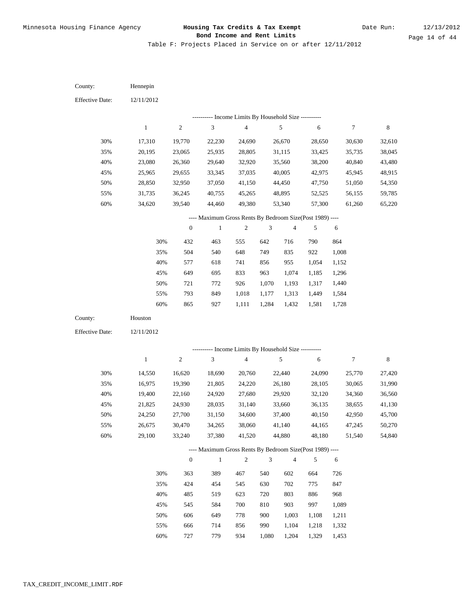Table F: Projects Placed in Service on or after 12/11/2012

| County:                | Hennepin      |                  |                                                          |                |                |                |                |                |             |
|------------------------|---------------|------------------|----------------------------------------------------------|----------------|----------------|----------------|----------------|----------------|-------------|
| <b>Effective Date:</b> | 12/11/2012    |                  |                                                          |                |                |                |                |                |             |
|                        |               |                  | --------- Income Limits By Household Size ----------     |                |                |                |                |                |             |
|                        | $\mathbf{1}$  | $\sqrt{2}$       | 3                                                        | $\overline{4}$ |                | $\sqrt{5}$     | $\sqrt{6}$     | 7              | $\,$ 8 $\,$ |
| 30%                    | 17,310        | 19,770           | 22,230                                                   | 24,690         |                | 26,670         | 28,650         | 30,630         | 32,610      |
| 35%                    | 20,195        | 23,065           | 25,935                                                   | 28,805         |                | 31,115         | 33,425         | 35,735         | 38,045      |
| 40%                    | 23,080        | 26,360           | 29,640                                                   | 32,920         |                | 35,560         | 38,200         | 40,840         | 43,480      |
| 45%                    | 25,965        | 29,655           | 33,345                                                   | 37,035         |                | 40,005         | 42,975         | 45,945         | 48,915      |
| 50%                    | 28,850        | 32,950           | 37,050                                                   | 41,150         |                | 44,450         | 47,750         | 51,050         | 54,350      |
| 55%                    | 31,735        | 36,245           | 40,755                                                   | 45,265         |                | 48,895         | 52,525         | 56,155         | 59,785      |
| 60%                    | 34,620        | 39,540           | 44,460                                                   | 49,380         |                | 53,340         | 57,300         | 61,260         | 65,220      |
|                        |               |                  | ---- Maximum Gross Rents By Bedroom Size(Post 1989) ---- |                |                |                |                |                |             |
|                        |               | $\boldsymbol{0}$ | $\mathbf{1}$                                             | $\sqrt{2}$     | $\mathfrak{Z}$ | $\overline{4}$ | 5              | 6              |             |
|                        | 30%           | 432              | 463                                                      | 555            | 642            | 716            | 790            | 864            |             |
|                        | 35%           | 504              | 540                                                      | 648            | 749            | 835            | 922            | 1,008          |             |
|                        | 40%           | 577              | 618                                                      | 741            | 856            | 955            | 1,054          | 1,152          |             |
|                        | 45%           | 649              | 695                                                      | 833            | 963            | 1,074          | 1,185          | 1,296          |             |
|                        | 50%           | 721              | 772                                                      | 926            | 1,070          | 1,193          | 1,317          | 1,440          |             |
|                        | 55%           | 793              | 849                                                      | 1,018          | 1,177          | 1,313          | 1,449          | 1,584          |             |
|                        | 60%           | 865              | 927                                                      | 1,111          | 1,284          | 1,432          | 1,581          | 1,728          |             |
| County:                | Houston       |                  |                                                          |                |                |                |                |                |             |
| <b>Effective Date:</b> | 12/11/2012    |                  |                                                          |                |                |                |                |                |             |
|                        |               |                  |                                                          |                |                |                |                |                |             |
|                        |               | $\sqrt{2}$       | --------- Income Limits By Household Size ----------     |                |                | 5              |                |                |             |
|                        | $\,1$         |                  | 3                                                        | $\overline{4}$ |                |                | $\sqrt{6}$     | 7              | $\,8\,$     |
| 30%                    | 14,550        | 16,620           | 18,690                                                   | 20,760         |                | 22,440         | 24,090         | 25,770         | 27,420      |
| 35%                    | 16,975        | 19,390           | 21,805                                                   | 24,220         |                | 26,180         | 28,105         | 30,065         | 31,990      |
| 40%                    | 19,400        | 22,160           | 24,920                                                   | 27,680         |                | 29,920         | 32,120         | 34,360         | 36,560      |
| 45%                    | 21,825        | 24,930           | 28,035                                                   | 31,140         |                | 33,660         | 36,135         | 38,655         | 41,130      |
| 50%                    | 24,250        | 27,700           | 31,150                                                   | 34,600         |                | 37,400         | 40,150         | 42,950         | 45,700      |
| 55%                    | 26,675        | 30,470           | 34,265                                                   | 38,060         |                | 41,140         | 44,165         | 47,245         | 50,270      |
| 60%                    | 29,100        | 33,240           | 37,380                                                   | 41,520         |                | 44,880         | 48,180         | 51,540         | 54,840      |
|                        |               |                  | ---- Maximum Gross Rents By Bedroom Size(Post 1989) ---- |                |                |                |                |                |             |
|                        |               | $\mathbf{0}$     | $\,1\,$                                                  | $\sqrt{2}$     | $\mathfrak z$  | $\overline{4}$ | 5              | 6              |             |
|                        | 30%           | 363              | 389                                                      | 467            | 540            | 602            | 664            | 726            |             |
|                        | 35%           | 424              | 454                                                      | 545            | 630            | 702            | 775            | 847            |             |
|                        | 40%           | 485              | 519                                                      | 623            | 720            | 803            | 886            | 968            |             |
|                        | 45%           | 545              | 584                                                      | 700            | 810            | 903            | 997            | 1,089          |             |
|                        | 50%           | 606              | 649                                                      | 778            | 900            | 1,003          | 1,108          | 1,211          |             |
|                        |               |                  |                                                          |                |                |                |                |                |             |
|                        | 55%<br>$60\%$ | 666<br>727       | 714<br>779                                               | 856<br>934     | 990<br>1,080   | 1,104<br>1,204 | 1,218<br>1,329 | 1,332<br>1,453 |             |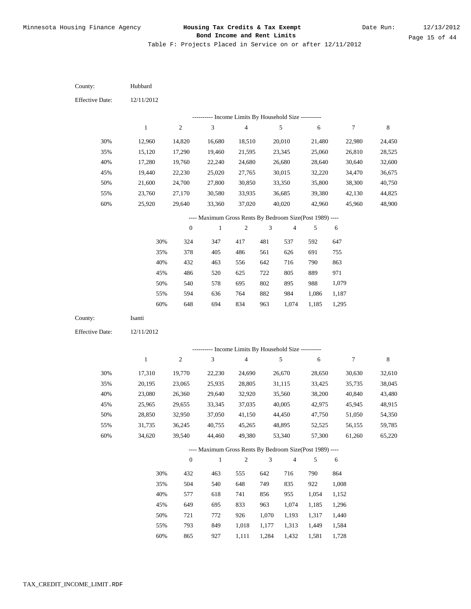| County:                | Hubbard      |                  |                                                          |                |                |                |                |                |             |
|------------------------|--------------|------------------|----------------------------------------------------------|----------------|----------------|----------------|----------------|----------------|-------------|
| <b>Effective Date:</b> | 12/11/2012   |                  |                                                          |                |                |                |                |                |             |
|                        |              |                  | --------- Income Limits By Household Size ----------     |                |                |                |                |                |             |
|                        | $\mathbf{1}$ | $\boldsymbol{2}$ | $\ensuremath{\mathfrak{Z}}$                              | $\overline{4}$ |                | 5              | 6              | 7              | $\,$ 8 $\,$ |
| 30%                    | 12,960       | 14,820           | 16,680                                                   | 18,510         |                | 20,010         | 21,480         | 22,980         | 24,450      |
| 35%                    | 15,120       | 17,290           | 19,460                                                   | 21,595         |                | 23,345         | 25,060         | 26,810         | 28,525      |
| 40%                    | 17,280       | 19,760           | 22,240                                                   | 24,680         |                | 26,680         | 28,640         | 30,640         | 32,600      |
| 45%                    | 19,440       | 22,230           | 25,020                                                   | 27,765         |                | 30,015         | 32,220         | 34,470         | 36,675      |
| 50%                    | 21,600       | 24,700           | 27,800                                                   | 30,850         |                | 33,350         | 35,800         | 38,300         | 40,750      |
| 55%                    | 23,760       | 27,170           | 30,580                                                   | 33,935         |                | 36,685         | 39,380         | 42,130         | 44,825      |
| 60%                    | 25,920       | 29,640           | 33,360                                                   | 37,020         |                | 40,020         | 42,960         | 45,960         | 48,900      |
|                        |              |                  | ---- Maximum Gross Rents By Bedroom Size(Post 1989) ---- |                |                |                |                |                |             |
|                        |              | $\boldsymbol{0}$ | $\mathbf{1}$                                             | $\sqrt{2}$     | 3              | $\overline{4}$ | 5              | 6              |             |
|                        | 30%          | 324              | 347                                                      | 417            | 481            | 537            | 592            | 647            |             |
|                        | 35%          | 378              | 405                                                      | 486            | 561            | 626            | 691            | 755            |             |
|                        | 40%          | 432              | 463                                                      | 556            | 642            | 716            | 790            | 863            |             |
|                        | 45%          | 486              | 520                                                      | 625            | 722            | 805            | 889            | 971            |             |
|                        | 50%          | 540              | 578                                                      | 695            | 802            | 895            | 988            | 1,079          |             |
|                        | 55%          | 594              | 636                                                      | 764            | 882            | 984            | 1,086          | 1,187          |             |
|                        | $60\%$       | 648              | 694                                                      | 834            | 963            | 1,074          | 1,185          | 1,295          |             |
|                        |              |                  |                                                          |                |                |                |                |                |             |
| County:                | Isanti       |                  |                                                          |                |                |                |                |                |             |
| <b>Effective Date:</b> | 12/11/2012   |                  |                                                          |                |                |                |                |                |             |
|                        |              |                  |                                                          |                |                |                |                |                |             |
|                        |              |                  | --------- Income Limits By Household Size ----------     |                |                |                |                |                |             |
|                        | $\mathbf{1}$ | $\boldsymbol{2}$ | $\mathfrak{Z}$                                           | $\overline{4}$ |                | 5              | $\sqrt{6}$     | 7              | $\,8\,$     |
| 30%                    | 17,310       | 19,770           | 22,230                                                   | 24,690         |                | 26,670         | 28,650         | 30,630         | 32,610      |
| 35%                    | 20,195       | 23,065           | 25,935                                                   | 28,805         |                | 31,115         | 33,425         | 35,735         | 38,045      |
| 40%                    | 23,080       | 26,360           | 29,640                                                   | 32,920         |                | 35,560         | 38,200         | 40,840         | 43,480      |
| 45%                    | 25,965       | 29,655           | 33,345                                                   | 37,035         |                | 40,005         | 42,975         | 45,945         | 48,915      |
| 50%                    | 28,850       | 32,950           | 37,050                                                   | 41,150         |                | 44,450         | 47,750         | 51,050         | 54,350      |
| 55%                    | 31,735       | 36,245           | 40,755                                                   | 45,265         |                | 48,895         | 52,525         | 56,155         | 59,785      |
| 60%                    | 34,620       | 39,540           | 44,460                                                   | 49,380         |                | 53,340         | 57,300         | 61,260         | 65,220      |
|                        |              |                  | ---- Maximum Gross Rents By Bedroom Size(Post 1989) ---- |                |                |                |                |                |             |
|                        |              | $\boldsymbol{0}$ | $\mathbf{1}$                                             | $\sqrt{2}$     | $\mathfrak 3$  | $\overline{4}$ | 5              | 6              |             |
|                        | 30%          | 432              | 463                                                      | 555            | 642            | 716            | 790            | 864            |             |
|                        | 35%          | 504              | 540                                                      | 648            | 749            | 835            | 922            | 1,008          |             |
|                        | 40%          | 577              | 618                                                      | 741            | 856            | 955            | 1,054          | 1,152          |             |
|                        | 45%          | 649              | 695                                                      | 833            | 963            | 1,074          | 1,185          | 1,296          |             |
|                        | 50%<br>55%   | 721<br>793       | 772<br>849                                               | 926<br>1,018   | 1,070<br>1,177 | 1,193<br>1,313 | 1,317<br>1,449 | 1,440<br>1,584 |             |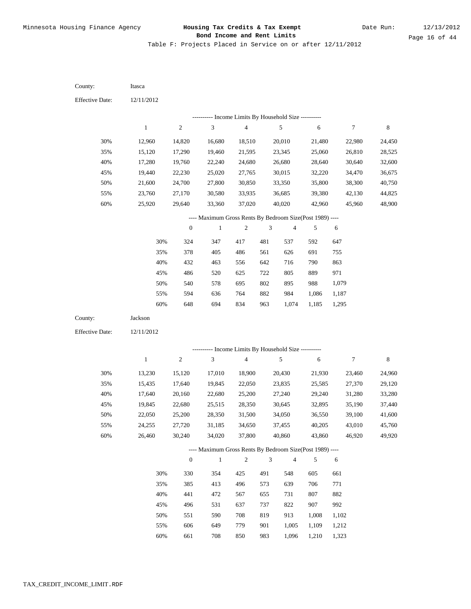Table F: Projects Placed in Service on or after 12/11/2012

| <b>Effective Date:</b><br>12/11/2012<br>--------- Income Limits By Household Size ----------<br>3<br>$\sqrt{4}$<br>$\,$ 8 $\,$<br>$\mathbf{1}$<br>$\sqrt{2}$<br>$\sqrt{5}$<br>7<br>6<br>30%<br>12,960<br>14,820<br>16,680<br>18,510<br>20,010<br>21,480<br>22,980<br>24,450<br>35%<br>19,460<br>21,595<br>23,345<br>25,060<br>26,810<br>28,525<br>15,120<br>17,290 |
|--------------------------------------------------------------------------------------------------------------------------------------------------------------------------------------------------------------------------------------------------------------------------------------------------------------------------------------------------------------------|
|                                                                                                                                                                                                                                                                                                                                                                    |
|                                                                                                                                                                                                                                                                                                                                                                    |
|                                                                                                                                                                                                                                                                                                                                                                    |
|                                                                                                                                                                                                                                                                                                                                                                    |
|                                                                                                                                                                                                                                                                                                                                                                    |
| 40%<br>24,680<br>26,680<br>28,640<br>30,640<br>32,600<br>17,280<br>19,760<br>22,240                                                                                                                                                                                                                                                                                |
| 45%<br>30,015<br>36,675<br>19,440<br>22,230<br>25,020<br>27,765<br>32,220<br>34,470                                                                                                                                                                                                                                                                                |
| 50%<br>30,850<br>35,800<br>40,750<br>21,600<br>24,700<br>27,800<br>33,350<br>38,300                                                                                                                                                                                                                                                                                |
| 55%<br>23,760<br>27,170<br>30,580<br>33,935<br>36,685<br>39,380<br>42,130<br>44,825                                                                                                                                                                                                                                                                                |
| 60%<br>25,920<br>29,640<br>37,020<br>40,020<br>42,960<br>45,960<br>48,900<br>33,360                                                                                                                                                                                                                                                                                |
| ---- Maximum Gross Rents By Bedroom Size(Post 1989) ----                                                                                                                                                                                                                                                                                                           |
| $\ensuremath{\mathfrak{Z}}$<br>$\boldsymbol{0}$<br>$\mathbf{1}$<br>$\sqrt{2}$<br>$\overline{4}$<br>5<br>6                                                                                                                                                                                                                                                          |
| 30%<br>481<br>324<br>347<br>417<br>537<br>592<br>647                                                                                                                                                                                                                                                                                                               |
| 35%<br>378<br>405<br>486<br>561<br>626<br>691<br>755                                                                                                                                                                                                                                                                                                               |
| 40%<br>432<br>463<br>556<br>642<br>716<br>790<br>863                                                                                                                                                                                                                                                                                                               |
| 45%<br>486<br>520<br>625<br>805<br>889<br>971<br>722                                                                                                                                                                                                                                                                                                               |
| 50%<br>540<br>695<br>802<br>895<br>988<br>578<br>1,079                                                                                                                                                                                                                                                                                                             |
| 55%<br>594<br>636<br>764<br>882<br>984<br>1,086<br>1,187                                                                                                                                                                                                                                                                                                           |
| 60%<br>648<br>694<br>834<br>963<br>1,074<br>1,185<br>1,295                                                                                                                                                                                                                                                                                                         |
| County:<br>Jackson                                                                                                                                                                                                                                                                                                                                                 |
| <b>Effective Date:</b><br>12/11/2012                                                                                                                                                                                                                                                                                                                               |
|                                                                                                                                                                                                                                                                                                                                                                    |
| --------- Income Limits By Household Size ----------<br>3<br>5<br>$\mathbf{1}$<br>$\boldsymbol{2}$<br>$\overline{4}$<br>6<br>7<br>$\,8\,$                                                                                                                                                                                                                          |
|                                                                                                                                                                                                                                                                                                                                                                    |
| 30%<br>13,230<br>15,120<br>17,010<br>18,900<br>24,960<br>20,430<br>21,930<br>23,460                                                                                                                                                                                                                                                                                |
| 35%<br>29,120<br>15,435<br>17,640<br>19,845<br>22,050<br>23,835<br>25,585<br>27,370                                                                                                                                                                                                                                                                                |
| 40%<br>17,640<br>20,160<br>22,680<br>25,200<br>27,240<br>29,240<br>31,280<br>33,280                                                                                                                                                                                                                                                                                |
| 45%<br>37,440<br>19,845<br>22,680<br>25,515<br>28,350<br>30,645<br>32,895<br>35,190                                                                                                                                                                                                                                                                                |
| 50%<br>22,050<br>28,350<br>31,500<br>34,050<br>36,550<br>39,100<br>41,600<br>25,200                                                                                                                                                                                                                                                                                |
| 55%<br>24,255<br>27,720<br>31,185<br>37,455<br>40,205<br>43,010<br>45,760<br>34,650                                                                                                                                                                                                                                                                                |
| 60%<br>26,460<br>30,240<br>34,020<br>37,800<br>40,860<br>43,860<br>46,920<br>49,920                                                                                                                                                                                                                                                                                |
| ---- Maximum Gross Rents By Bedroom Size(Post 1989) ----<br>$\overline{2}$<br>3<br>$\overline{4}$                                                                                                                                                                                                                                                                  |
| $\mathbf{1}$<br>5<br>$\boldsymbol{0}$<br>6                                                                                                                                                                                                                                                                                                                         |
| 30%<br>330<br>354<br>425<br>491<br>548<br>605<br>661                                                                                                                                                                                                                                                                                                               |
| 35%<br>385<br>413<br>496<br>573<br>639<br>706<br>771                                                                                                                                                                                                                                                                                                               |
| 40%<br>441<br>472<br>567<br>655<br>731<br>807<br>882                                                                                                                                                                                                                                                                                                               |
| 992<br>45%<br>496<br>531<br>637<br>737<br>822<br>907                                                                                                                                                                                                                                                                                                               |
| 50%<br>551<br>590<br>708<br>913<br>1,008<br>819<br>1,102<br>779<br>649<br>901                                                                                                                                                                                                                                                                                      |
| 55%<br>606<br>1,005<br>1,109<br>1,212<br>$60\%$<br>661<br>708<br>850<br>983<br>1,096<br>1,210<br>1,323                                                                                                                                                                                                                                                             |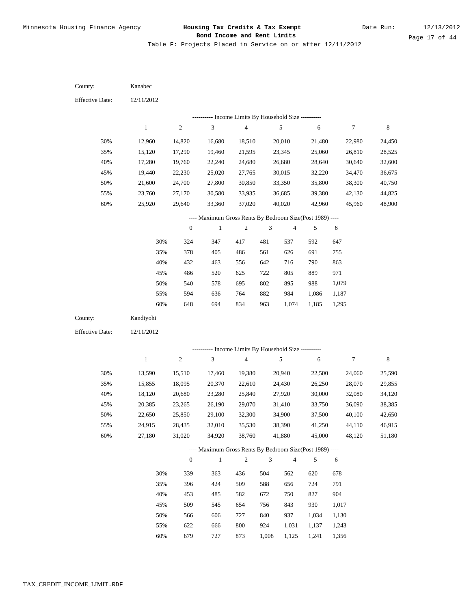| County:                | Kanabec      |                  |                                                          |                          |                |                |            |        |             |
|------------------------|--------------|------------------|----------------------------------------------------------|--------------------------|----------------|----------------|------------|--------|-------------|
| <b>Effective Date:</b> | 12/11/2012   |                  |                                                          |                          |                |                |            |        |             |
|                        |              |                  | --------- Income Limits By Household Size ----------     |                          |                |                |            |        |             |
|                        | $\mathbf{1}$ | $\sqrt{2}$       | $\ensuremath{\mathfrak{Z}}$                              | $\sqrt{4}$               |                | $\sqrt{5}$     | $\sqrt{6}$ | $\tau$ | $\,$ 8 $\,$ |
| 30%                    | 12,960       | 14,820           | 16,680                                                   | 18,510                   |                | 20,010         | 21,480     | 22,980 | 24,450      |
| 35%                    | 15,120       | 17,290           | 19,460                                                   | 21,595                   |                | 23,345         | 25,060     | 26,810 | 28,525      |
| 40%                    | 17,280       | 19,760           | 22,240                                                   | 24,680                   |                | 26,680         | 28,640     | 30,640 | 32,600      |
| 45%                    | 19,440       | 22,230           | 25,020                                                   | 27,765                   |                | 30,015         | 32,220     | 34,470 | 36,675      |
| 50%                    | 21,600       | 24,700           | 27,800                                                   | 30,850                   |                | 33,350         | 35,800     | 38,300 | 40,750      |
| 55%                    | 23,760       | 27,170           | 30,580                                                   | 33,935                   |                | 36,685         | 39,380     | 42,130 | 44,825      |
| 60%                    | 25,920       | 29,640           | 33,360                                                   | 37,020                   |                | 40,020         | 42,960     | 45,960 | 48,900      |
|                        |              |                  | ---- Maximum Gross Rents By Bedroom Size(Post 1989) ---- |                          |                |                |            |        |             |
|                        |              | $\boldsymbol{0}$ | $\mathbf{1}$                                             | $\sqrt{2}$               | $\mathfrak{Z}$ | $\overline{4}$ | 5          | 6      |             |
|                        | 30%          | 324              | 347                                                      | 417                      | 481            | 537            | 592        | 647    |             |
|                        | 35%          | 378              | 405                                                      | 486                      | 561            | 626            | 691        | 755    |             |
|                        | 40%          | 432              | 463                                                      | 556                      | 642            | 716            | 790        | 863    |             |
|                        | 45%          | 486              | 520                                                      | 625                      | 722            | 805            | 889        | 971    |             |
|                        | 50%          | 540              | 578                                                      | 695                      | 802            | 895            | 988        | 1,079  |             |
|                        | 55%          | 594              | 636                                                      | 764                      | 882            | 984            | 1,086      | 1,187  |             |
|                        | 60%          | 648              | 694                                                      | 834                      | 963            | 1,074          | 1,185      | 1,295  |             |
|                        |              |                  |                                                          |                          |                |                |            |        |             |
| County:                | Kandiyohi    |                  |                                                          |                          |                |                |            |        |             |
| <b>Effective Date:</b> | 12/11/2012   |                  |                                                          |                          |                |                |            |        |             |
|                        |              |                  |                                                          |                          |                |                |            |        |             |
|                        |              |                  | --------- Income Limits By Household Size ----------     |                          |                |                |            |        |             |
|                        | $\,1$        | $\mathbf{2}$     | 3                                                        | $\overline{\mathcal{A}}$ |                | 5              | $\sqrt{6}$ | 7      | 8           |
| 30%                    | 13,590       | 15,510           | 17,460                                                   | 19,380                   |                | 20,940         | 22,500     | 24,060 | 25,590      |
| 35%                    | 15,855       | 18,095           | 20,370                                                   | 22,610                   |                | 24,430         | 26,250     | 28,070 | 29,855      |
| 40%                    | 18,120       | 20,680           | 23,280                                                   | 25,840                   |                | 27,920         | 30,000     | 32,080 | 34,120      |
| 45%                    | 20,385       | 23,265           | 26,190                                                   | 29,070                   |                | 31,410         | 33,750     | 36,090 | 38,385      |
| 50%                    | 22,650       | 25,850           | 29,100                                                   | 32,300                   |                | 34,900         | 37,500     | 40,100 | 42,650      |
| 55%                    | 24,915       | 28,435           | 32,010                                                   | 35,530                   |                | 38,390         | 41,250     | 44,110 | 46,915      |
| 60%                    | 27,180       | 31,020           | 34,920                                                   | 38,760                   |                | 41,880         | 45,000     | 48,120 | 51,180      |
|                        |              |                  | ---- Maximum Gross Rents By Bedroom Size(Post 1989) ---- |                          |                |                |            |        |             |
|                        |              | $\boldsymbol{0}$ | $1\,$                                                    | $\sqrt{2}$               | $\sqrt{3}$     | $\overline{4}$ | 5          | 6      |             |
|                        | 30%          | 339              | 363                                                      | 436                      | 504            | 562            | 620        | 678    |             |
|                        | 35%          | 396              | 424                                                      | 509                      | 588            | 656            | 724        | 791    |             |
|                        | 40%          | 453              | 485                                                      | 582                      | 672            | 750            | 827        | 904    |             |
|                        | 45%          | 509              | 545                                                      | 654                      | 756            | 843            | 930        | 1,017  |             |
|                        | 50%          | 566              | 606                                                      | 727                      | 840            | 937            | 1,034      | 1,130  |             |
|                        | 55%          | 622              | 666                                                      | $800\,$                  | 924            | 1,031          | 1,137      | 1,243  |             |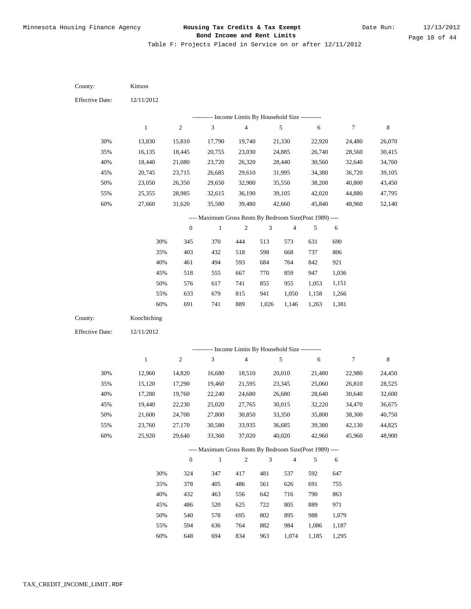Table F: Projects Placed in Service on or after 12/11/2012

| County:                | Kittson      |                  |                                                                                     |                |            |                |            |        |         |
|------------------------|--------------|------------------|-------------------------------------------------------------------------------------|----------------|------------|----------------|------------|--------|---------|
| <b>Effective Date:</b> | 12/11/2012   |                  |                                                                                     |                |            |                |            |        |         |
|                        |              |                  |                                                                                     |                |            |                |            |        |         |
|                        | $\mathbf{1}$ | $\sqrt{2}$       | --------- Income Limits By Household Size ----------<br>$\ensuremath{\mathfrak{Z}}$ | $\sqrt{4}$     |            | $\sqrt{5}$     | $\sqrt{6}$ | $\tau$ | $\,8\,$ |
|                        |              |                  |                                                                                     |                |            |                |            |        |         |
| 30%                    | 13,830       | 15,810           | 17,790                                                                              | 19,740         |            | 21,330         | 22,920     | 24,480 | 26,070  |
| 35%                    | 16,135       | 18,445           | 20,755                                                                              | 23,030         |            | 24,885         | 26,740     | 28,560 | 30,415  |
| 40%                    | 18,440       | 21,080           | 23,720                                                                              | 26,320         |            | 28,440         | 30,560     | 32,640 | 34,760  |
| 45%                    | 20,745       | 23,715           | 26,685                                                                              | 29,610         |            | 31,995         | 34,380     | 36,720 | 39,105  |
| 50%                    | 23,050       | 26,350           | 29,650                                                                              | 32,900         |            | 35,550         | 38,200     | 40,800 | 43,450  |
| 55%                    | 25,355       | 28,985           | 32,615                                                                              | 36,190         |            | 39,105         | 42,020     | 44,880 | 47,795  |
| $60\%$                 | 27,660       | 31,620           | 35,580                                                                              | 39,480         |            | 42,660         | 45,840     | 48,960 | 52,140  |
|                        |              |                  | ---- Maximum Gross Rents By Bedroom Size(Post 1989) ----                            |                |            |                |            |        |         |
|                        |              | $\boldsymbol{0}$ | $\mathbf{1}$                                                                        | $\sqrt{2}$     | $\sqrt{3}$ | $\sqrt{4}$     | $\sqrt{5}$ | 6      |         |
|                        | 30%          | 345              | 370                                                                                 | 444            | 513        | 573            | 631        | 690    |         |
|                        | 35%          | 403              | 432                                                                                 | 518            | 598        | 668            | 737        | 806    |         |
|                        | 40%          | 461              | 494                                                                                 | 593            | 684        | 764            | 842        | 921    |         |
|                        | 45%          | 518              | 555                                                                                 | 667            | 770        | 859            | 947        | 1,036  |         |
|                        | 50%          | 576              | 617                                                                                 | 741            | 855        | 955            | 1,053      | 1,151  |         |
|                        | 55%          | 633              | 679                                                                                 | 815            | 941        | 1,050          | 1,158      | 1,266  |         |
|                        | 60%          | 691              | 741                                                                                 | 889            | 1,026      | 1,146          | 1,263      | 1,381  |         |
|                        |              |                  |                                                                                     |                |            |                |            |        |         |
| County:                | Koochiching  |                  |                                                                                     |                |            |                |            |        |         |
| <b>Effective Date:</b> | 12/11/2012   |                  |                                                                                     |                |            |                |            |        |         |
|                        |              |                  |                                                                                     |                |            |                |            |        |         |
|                        |              |                  | --------- Income Limits By Household Size ----------                                |                |            |                |            |        |         |
|                        | $\mathbf{1}$ | $\boldsymbol{2}$ | $\mathfrak{Z}$                                                                      | $\overline{4}$ |            | 5              | 6          | 7      | $\,8\,$ |
| 30%                    | 12,960       | 14,820           | 16,680                                                                              | 18,510         |            | 20,010         | 21,480     | 22,980 | 24,450  |
| 35%                    | 15,120       | 17,290           | 19,460                                                                              | 21,595         |            | 23,345         | 25,060     | 26,810 | 28,525  |
| 40%                    | 17,280       | 19,760           | 22,240                                                                              | 24,680         |            | 26,680         | 28,640     | 30,640 | 32,600  |
| 45%                    | 19,440       | 22,230           | 25,020                                                                              | 27,765         |            | 30,015         | 32,220     | 34,470 | 36,675  |
| 50%                    | 21,600       | 24,700           | 27,800                                                                              | 30,850         |            | 33,350         | 35,800     | 38,300 | 40,750  |
| 55%                    | 23,760       | 27,170           | 30,580                                                                              | 33,935         |            | 36,685         | 39,380     | 42,130 | 44,825  |
| 60%                    | 25,920       | 29,640           | 33,360                                                                              | 37,020         |            | 40,020         | 42,960     | 45,960 | 48,900  |
|                        |              |                  | ---- Maximum Gross Rents By Bedroom Size(Post 1989) ----                            |                |            |                |            |        |         |
|                        |              | $\boldsymbol{0}$ | $\mathbf{1}$                                                                        | $\overline{2}$ | $\sqrt{3}$ | $\overline{4}$ | 5          | 6      |         |
|                        | 30%          | 324              | 347                                                                                 | 417            | 481        | 537            | 592        | 647    |         |
|                        | 35%          | 378              | 405                                                                                 | 486            | 561        | 626            | 691        | 755    |         |
|                        | 40%          | 432              | 463                                                                                 | 556            | 642        | 716            | 790        | 863    |         |
|                        | 45%          | 486              | 520                                                                                 | 625            | 722        | 805            | 889        | 971    |         |
|                        | 50%          | 540              | 578                                                                                 | 695            | 802        | 895            | 988        | 1,079  |         |
|                        | 55%          | 594              | 636                                                                                 | 764            | 882        | 984            | 1,086      | 1,187  |         |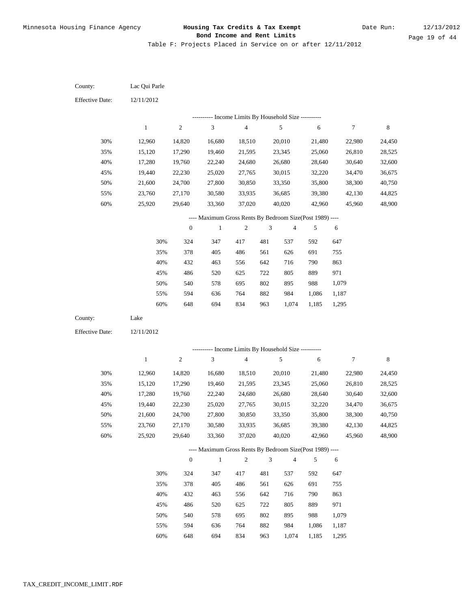Table F: Projects Placed in Service on or after 12/11/2012

| County:                | Lac Qui Parle |                  |                                                          |                |               |                |                |                |         |
|------------------------|---------------|------------------|----------------------------------------------------------|----------------|---------------|----------------|----------------|----------------|---------|
| <b>Effective Date:</b> | 12/11/2012    |                  |                                                          |                |               |                |                |                |         |
|                        |               |                  | --------- Income Limits By Household Size ----------     |                |               |                |                |                |         |
|                        | $\mathbf{1}$  | $\sqrt{2}$       | $\mathfrak{Z}$                                           | $\overline{4}$ |               | 5              | 6              | 7              | $\,8\,$ |
| 30%                    | 12,960        | 14,820           | 16,680                                                   | 18,510         |               | 20,010         | 21,480         | 22,980         | 24,450  |
| 35%                    | 15,120        | 17,290           | 19,460                                                   | 21,595         |               | 23,345         | 25,060         | 26,810         | 28,525  |
| 40%                    | 17,280        | 19,760           | 22,240                                                   | 24,680         |               | 26,680         | 28,640         | 30,640         | 32,600  |
| 45%                    | 19,440        | 22,230           | 25,020                                                   | 27,765         |               | 30,015         | 32,220         | 34,470         | 36,675  |
| 50%                    | 21,600        | 24,700           | 27,800                                                   | 30,850         |               | 33,350         | 35,800         | 38,300         | 40,750  |
| 55%                    | 23,760        | 27,170           | 30,580                                                   | 33,935         |               | 36,685         | 39,380         | 42,130         | 44,825  |
| 60%                    | 25,920        | 29,640           | 33,360                                                   | 37,020         |               | 40,020         | 42,960         | 45,960         | 48,900  |
|                        |               |                  | ---- Maximum Gross Rents By Bedroom Size(Post 1989) ---- |                |               |                |                |                |         |
|                        |               | $\boldsymbol{0}$ | $\mathbf{1}$                                             | $\sqrt{2}$     | 3             | 4              | 5              | 6              |         |
|                        | 30%           | 324              | 347                                                      | 417            | 481           | 537            | 592            | 647            |         |
|                        | 35%           | 378              | 405                                                      | 486            | 561           | 626            | 691            | 755            |         |
|                        | 40%           | 432              | 463                                                      | 556            | 642           | 716            | 790            | 863            |         |
|                        | 45%           | 486              | 520                                                      | 625            | 722           | 805            | 889            | 971            |         |
|                        | 50%           | 540              | 578                                                      | 695            | 802           | 895            | 988            | 1,079          |         |
|                        | 55%           | 594              | 636                                                      | 764            | 882           | 984            | 1,086          | 1,187          |         |
|                        | 60%           | 648              | 694                                                      | 834            | 963           | 1,074          | 1,185          | 1,295          |         |
| County:                | Lake          |                  |                                                          |                |               |                |                |                |         |
| <b>Effective Date:</b> | 12/11/2012    |                  |                                                          |                |               |                |                |                |         |
|                        |               |                  | --------- Income Limits By Household Size ----------     |                |               |                |                |                |         |
|                        | $\mathbf{1}$  | $\sqrt{2}$       | 3                                                        | $\sqrt{4}$     |               | 5              | 6              | 7              | $\,8\,$ |
|                        |               |                  |                                                          |                |               |                |                |                |         |
| 30%                    | 12,960        | 14,820           | 16,680                                                   | 18,510         |               | 20,010         | 21,480         | 22,980         | 24,450  |
| 35%                    | 15,120        | 17,290           | 19,460                                                   | 21,595         |               | 23,345         | 25,060         | 26,810         | 28,525  |
| 40%                    | 17,280        | 19,760           | 22,240                                                   | 24,680         |               | 26,680         | 28,640         | 30,640         | 32,600  |
| 45%                    | 19,440        | 22,230           | 25,020                                                   | 27,765         |               | 30,015         | 32,220         | 34,470         | 36,675  |
| 50%                    | 21,600        | 24,700           | 27,800                                                   | 30,850         |               | 33,350         | 35,800         | 38,300         | 40,750  |
| 55%                    | 23,760        | 27,170           | 30,580                                                   | 33,935         |               | 36,685         | 39,380         | 42,130         | 44,825  |
| 60%                    | 25,920        | 29,640           | 33,360                                                   | 37,020         |               | 40,020         | 42,960         | 45,960         | 48,900  |
|                        |               |                  | ---- Maximum Gross Rents By Bedroom Size(Post 1989) ---- | $\sqrt{2}$     |               | $\overline{4}$ |                |                |         |
|                        |               | $\mathbf{0}$     | $\mathbf{1}$                                             |                | $\mathfrak z$ |                | 5              | 6              |         |
|                        | 30%           | 324              | 347                                                      | 417            | 481           | 537            | 592            | 647            |         |
|                        | 35%           | 378              | 405                                                      | 486            | 561           | 626            | 691            | 755            |         |
|                        | 40%           | 432              | 463                                                      | 556            | 642           | 716            | 790            | 863            |         |
|                        |               |                  | 520                                                      | 625            |               | 805            | 889            | 971            |         |
|                        | 45%           | 486              |                                                          |                | 722           |                |                |                |         |
|                        | 50%           | 540              | 578                                                      | 695            | 802           | 895            | 988            | 1,079          |         |
|                        | 55%<br>$60\%$ | 594<br>648       | 636<br>694                                               | 764<br>834     | 882<br>963    | 984<br>1,074   | 1,086<br>1,185 | 1,187<br>1,295 |         |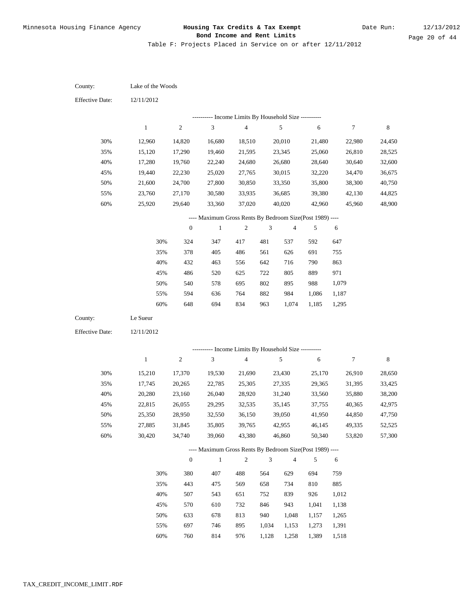Table F: Projects Placed in Service on or after 12/11/2012

| County:                | Lake of the Woods |                  |                                                                          |                          |              |                  |                  |                  |                  |
|------------------------|-------------------|------------------|--------------------------------------------------------------------------|--------------------------|--------------|------------------|------------------|------------------|------------------|
| <b>Effective Date:</b> | 12/11/2012        |                  |                                                                          |                          |              |                  |                  |                  |                  |
|                        |                   |                  | ---------- Income Limits By Household Size ----------                    |                          |              |                  |                  |                  |                  |
|                        | $\mathbf{1}$      | $\sqrt{2}$       | 3                                                                        | $\overline{\mathcal{L}}$ |              | 5                | 6                | $\tau$           | $\,8\,$          |
| 30%                    | 12,960            | 14,820           | 16,680                                                                   | 18,510                   |              | 20,010           | 21,480           | 22,980           | 24,450           |
| 35%                    | 15,120            | 17,290           | 19,460                                                                   | 21,595                   |              | 23,345           | 25,060           | 26,810           | 28,525           |
| 40%                    | 17,280            | 19,760           | 22,240                                                                   | 24,680                   |              | 26,680           | 28,640           | 30,640           | 32,600           |
| 45%                    | 19,440            | 22,230           | 25,020                                                                   | 27,765                   |              | 30,015           | 32,220           | 34,470           | 36,675           |
| 50%                    | 21,600            | 24,700           | 27,800                                                                   | 30,850                   |              | 33,350           | 35,800           | 38,300           | 40,750           |
| 55%                    | 23,760            | 27,170           | 30,580                                                                   | 33,935                   |              | 36,685           | 39,380           | 42,130           | 44,825           |
| $60\%$                 | 25,920            | 29,640           | 33,360                                                                   | 37,020                   |              | 40,020           | 42,960           | 45,960           | 48,900           |
|                        |                   |                  | ---- Maximum Gross Rents By Bedroom Size(Post 1989) ----                 |                          |              |                  |                  |                  |                  |
|                        |                   | $\boldsymbol{0}$ | $\mathbf{1}$                                                             | $\mathbf{2}$             | 3            | 4                | 5                | 6                |                  |
|                        | 30%               | 324              | 347                                                                      | 417                      | 481          | 537              | 592              | 647              |                  |
|                        | 35%               | 378              | 405                                                                      | 486                      | 561          | 626              | 691              | 755              |                  |
|                        | 40%               | 432              | 463                                                                      | 556                      | 642          | 716              | 790              | 863              |                  |
|                        | 45%               | 486              | 520                                                                      | 625                      | 722          | 805              | 889              | 971              |                  |
|                        | 50%               | 540              | 578                                                                      | 695                      | 802          | 895              | 988              | 1,079            |                  |
|                        | 55%               | 594              | 636                                                                      | 764                      | 882          | 984              | 1,086            | 1,187            |                  |
|                        | 60%               | 648              | 694                                                                      | 834                      | 963          | 1,074            | 1,185            | 1,295            |                  |
| County:                | Le Sueur          |                  |                                                                          |                          |              |                  |                  |                  |                  |
| <b>Effective Date:</b> | 12/11/2012        |                  |                                                                          |                          |              |                  |                  |                  |                  |
|                        |                   |                  | --------- Income Limits By Household Size ----------                     |                          |              |                  |                  |                  |                  |
|                        | $\mathbf{1}$      | $\sqrt{2}$       | 3                                                                        | $\overline{\mathcal{A}}$ |              | 5                | 6                | $\tau$           | $\,$ 8 $\,$      |
|                        |                   |                  |                                                                          |                          |              |                  |                  |                  |                  |
| 30%                    | 15,210            | 17,370           | 19,530                                                                   | 21,690                   |              | 23,430           | 25,170           | 26,910           | 28,650           |
| 35%                    | 17,745            | 20,265           | 22,785                                                                   | 25,305                   |              | 27,335           | 29,365           | 31,395           | 33,425           |
| 40%<br>45%             | 20,280<br>22,815  | 23,160<br>26,055 | 26,040<br>29,295                                                         | 28,920<br>32,535         |              | 31,240           | 33,560           | 35,880<br>40,365 | 38,200           |
| 50%                    | 25,350            |                  |                                                                          | 36,150                   |              | 35,145<br>39,050 | 37,755           | 44,850           | 42,975<br>47,750 |
| 55%                    | 27,885            | 28,950<br>31,845 | 32,550<br>35,805                                                         | 39,765                   |              | 42,955           | 41,950           | 49,335           | 52,525           |
| $60\%$                 | 30,420            | 34,740           | 39,060                                                                   | 43,380                   |              | 46,860           | 46,145<br>50,340 | 53,820           | 57,300           |
|                        |                   |                  |                                                                          |                          |              |                  |                  |                  |                  |
|                        |                   | $\boldsymbol{0}$ | ---- Maximum Gross Rents By Bedroom Size(Post 1989) ----<br>$\mathbf{1}$ | $\mathbf{2}$             | 3            | 4                | 5                | 6                |                  |
|                        | 30%               | 380              | 407                                                                      | 488                      | 564          | 629              | 694              | 759              |                  |
|                        | 35%               | 443              | 475                                                                      | 569                      | 658          | 734              | 810              | 885              |                  |
|                        | 40%               | 507              | 543                                                                      | 651                      | 752          | 839              | 926              | 1,012            |                  |
|                        | 45%               | 570              | 610                                                                      | 732                      | 846          | 943              | 1,041            | 1,138            |                  |
|                        |                   |                  |                                                                          |                          |              |                  |                  |                  |                  |
|                        |                   |                  |                                                                          |                          |              |                  |                  |                  |                  |
|                        | 50%<br>55%        | 633<br>697       | 678<br>746                                                               | 813<br>895               | 940<br>1,034 | 1,048<br>1,153   | 1,157<br>1,273   | 1,265<br>1,391   |                  |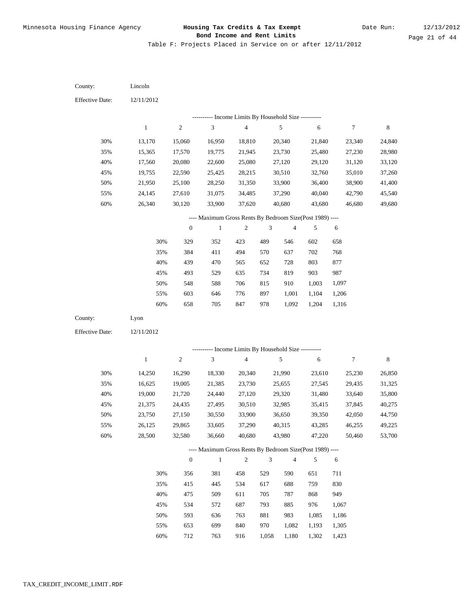| County:                | Lincoln      |                  |                                                          |                |                |                |                |                |             |
|------------------------|--------------|------------------|----------------------------------------------------------|----------------|----------------|----------------|----------------|----------------|-------------|
| <b>Effective Date:</b> | 12/11/2012   |                  |                                                          |                |                |                |                |                |             |
|                        |              |                  | --------- Income Limits By Household Size ----------     |                |                |                |                |                |             |
|                        | $\mathbf{1}$ | $\sqrt{2}$       | $\ensuremath{\mathfrak{Z}}$                              | $\overline{4}$ |                | 5              | $\sqrt{6}$     | 7              | $\,$ 8 $\,$ |
| 30%                    | 13,170       | 15,060           | 16,950                                                   | 18,810         |                | 20,340         | 21,840         | 23,340         | 24,840      |
| 35%                    | 15,365       | 17,570           | 19,775                                                   | 21,945         |                | 23,730         | 25,480         | 27,230         | 28,980      |
| 40%                    | 17,560       | 20,080           | 22,600                                                   | 25,080         |                | 27,120         | 29,120         | 31,120         | 33,120      |
| 45%                    | 19,755       | 22,590           | 25,425                                                   | 28,215         |                | 30,510         | 32,760         | 35,010         | 37,260      |
| 50%                    | 21,950       | 25,100           | 28,250                                                   | 31,350         |                | 33,900         | 36,400         | 38,900         | 41,400      |
| 55%                    | 24,145       | 27,610           | 31,075                                                   | 34,485         |                | 37,290         | 40,040         | 42,790         | 45,540      |
| 60%                    | 26,340       | 30,120           | 33,900                                                   | 37,620         |                | 40,680         | 43,680         | 46,680         | 49,680      |
|                        |              |                  | ---- Maximum Gross Rents By Bedroom Size(Post 1989) ---- |                |                |                |                |                |             |
|                        |              | $\boldsymbol{0}$ | $\mathbf{1}$                                             | $\sqrt{2}$     | $\mathfrak{Z}$ | $\overline{4}$ | 5              | 6              |             |
|                        | 30%          | 329              | 352                                                      | 423            | 489            | 546            | 602            | 658            |             |
|                        | 35%          | 384              | 411                                                      | 494            | 570            | 637            | 702            | 768            |             |
|                        | 40%          | 439              | 470                                                      | 565            | 652            | 728            | 803            | 877            |             |
|                        | 45%          | 493              | 529                                                      | 635            | 734            | 819            | 903            | 987            |             |
|                        | 50%          | 548              | 588                                                      | 706            | 815            | 910            | 1,003          | 1,097          |             |
|                        | 55%          | 603              | 646                                                      | 776            | 897            | 1,001          | 1,104          | 1,206          |             |
|                        | 60%          | 658              | 705                                                      | 847            | 978            | 1,092          | 1,204          | 1,316          |             |
|                        |              |                  |                                                          |                |                |                |                |                |             |
| County:                | Lyon         |                  |                                                          |                |                |                |                |                |             |
| <b>Effective Date:</b> | 12/11/2012   |                  |                                                          |                |                |                |                |                |             |
|                        |              |                  |                                                          |                |                |                |                |                |             |
|                        |              |                  | --------- Income Limits By Household Size ----------     |                |                |                |                |                |             |
|                        | $\mathbf{1}$ | $\sqrt{2}$       | $\mathfrak{Z}$                                           | $\overline{4}$ |                | 5              | 6              | 7              | 8           |
| 30%                    | 14,250       | 16,290           | 18,330                                                   | 20,340         |                | 21,990         | 23,610         | 25,230         | 26,850      |
| 35%                    | 16,625       | 19,005           | 21,385                                                   | 23,730         |                | 25,655         | 27,545         | 29,435         | 31,325      |
| 40%                    | 19,000       | 21,720           | 24,440                                                   | 27,120         |                | 29,320         | 31,480         | 33,640         | 35,800      |
| 45%                    | 21,375       | 24,435           | 27,495                                                   | 30,510         |                | 32,985         | 35,415         | 37,845         | 40,275      |
| 50%                    | 23,750       | 27,150           | 30,550                                                   | 33,900         |                | 36,650         | 39,350         | 42,050         | 44,750      |
| 55%                    | 26,125       | 29,865           | 33,605                                                   | 37,290         |                | 40,315         | 43,285         | 46,255         | 49,225      |
| 60%                    | 28,500       | 32,580           | 36,660                                                   | 40,680         |                | 43,980         | 47,220         | 50,460         | 53,700      |
|                        |              |                  | ---- Maximum Gross Rents By Bedroom Size(Post 1989) ---- |                |                |                |                |                |             |
|                        |              | $\mathbf{0}$     | $\mathbf{1}$                                             | $\sqrt{2}$     | $\mathfrak z$  | $\overline{4}$ | 5              | 6              |             |
|                        | 30%          | 356              | 381                                                      | 458            | 529            | 590            | 651            | 711            |             |
|                        | 35%          | 415              | 445                                                      | 534            | 617            | 688            | 759            | 830            |             |
|                        | 40%          | 475              | 509                                                      | 611            | 705            | 787            | 868            | 949            |             |
|                        | 45%          | 534              | 572                                                      | 687            | 793            | 885            | 976            | 1,067          |             |
|                        | 50%<br>55%   | 593<br>653       | 636<br>699                                               | 763<br>840     | 881<br>970     | 983<br>1,082   | 1,085<br>1,193 | 1,186<br>1,305 |             |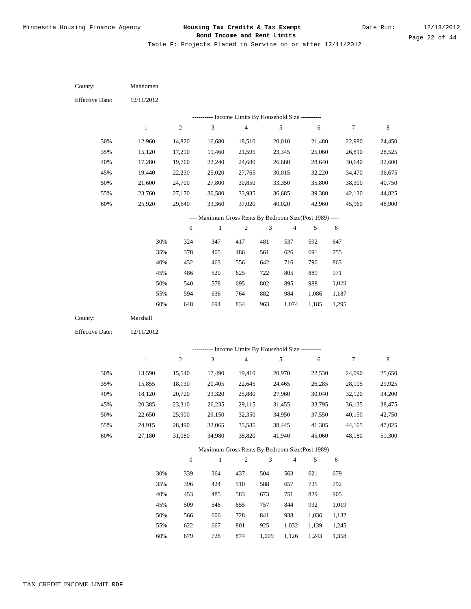| County:                | Mahnomen     |                  |                                                          |                |            |                |            |        |             |
|------------------------|--------------|------------------|----------------------------------------------------------|----------------|------------|----------------|------------|--------|-------------|
| <b>Effective Date:</b> | 12/11/2012   |                  |                                                          |                |            |                |            |        |             |
|                        |              |                  | ---------- Income Limits By Household Size ----------    |                |            |                |            |        |             |
|                        | $\mathbf{1}$ | $\sqrt{2}$       | 3                                                        | $\sqrt{4}$     |            | 5              | $\sqrt{6}$ | 7      | $\,$ 8 $\,$ |
| 30%                    | 12,960       | 14,820           | 16,680                                                   | 18,510         |            | 20,010         | 21,480     | 22,980 | 24,450      |
| 35%                    | 15,120       | 17,290           | 19,460                                                   | 21,595         |            | 23,345         | 25,060     | 26,810 | 28,525      |
| 40%                    | 17,280       | 19,760           | 22,240                                                   | 24,680         |            | 26,680         | 28,640     | 30,640 | 32,600      |
| 45%                    | 19,440       | 22,230           | 25,020                                                   | 27,765         |            | 30,015         | 32,220     | 34,470 | 36,675      |
| 50%                    | 21,600       | 24,700           | 27,800                                                   | 30,850         |            | 33,350         | 35,800     | 38,300 | 40,750      |
| 55%                    | 23,760       | 27,170           | 30,580                                                   | 33,935         |            | 36,685         | 39,380     | 42,130 | 44,825      |
| 60%                    | 25,920       | 29,640           | 33,360                                                   | 37,020         |            | 40,020         | 42,960     | 45,960 | 48,900      |
|                        |              |                  | ---- Maximum Gross Rents By Bedroom Size(Post 1989) ---- |                |            |                |            |        |             |
|                        |              | $\boldsymbol{0}$ | $\mathbf{1}$                                             | $\sqrt{2}$     | 3          | $\overline{4}$ | 5          | 6      |             |
|                        | 30%          | 324              | 347                                                      | 417            | 481        | 537            | 592        | 647    |             |
|                        | 35%          | 378              | 405                                                      | 486            | 561        | 626            | 691        | 755    |             |
|                        | 40%          | 432              | 463                                                      | 556            | 642        | 716            | 790        | 863    |             |
|                        | 45%          | 486              | 520                                                      | 625            | 722        | 805            | 889        | 971    |             |
|                        | 50%          | 540              | 578                                                      | 695            | 802        | 895            | 988        | 1,079  |             |
|                        | 55%          | 594              | 636                                                      | 764            | 882        | 984            | 1,086      | 1,187  |             |
|                        | 60%          | 648              | 694                                                      | 834            | 963        | 1,074          | 1,185      | 1,295  |             |
|                        |              |                  |                                                          |                |            |                |            |        |             |
| County:                | Marshall     |                  |                                                          |                |            |                |            |        |             |
| <b>Effective Date:</b> | 12/11/2012   |                  |                                                          |                |            |                |            |        |             |
|                        |              |                  |                                                          |                |            |                |            |        |             |
|                        |              |                  | --------- Income Limits By Household Size ----------     |                |            |                |            |        |             |
|                        | $\mathbf{1}$ | $\sqrt{2}$       | 3                                                        | $\overline{4}$ |            | 5              | $\sqrt{6}$ | 7      | 8           |
| 30%                    | 13,590       | 15,540           | 17,490                                                   | 19,410         |            | 20,970         | 22,530     | 24,090 | 25,650      |
| 35%                    | 15,855       | 18,130           | 20,405                                                   | 22,645         |            | 24,465         | 26,285     | 28,105 | 29,925      |
| 40%                    | 18,120       | 20,720           | 23,320                                                   | 25,880         |            | 27,960         | 30,040     | 32,120 | 34,200      |
| 45%                    | 20,385       | 23,310           | 26,235                                                   | 29,115         |            | 31,455         | 33,795     | 36,135 | 38,475      |
| 50%                    | 22,650       | 25,900           | 29,150                                                   | 32,350         |            | 34,950         | 37,550     | 40,150 | 42,750      |
| 55%                    | 24,915       | 28,490           | 32,065                                                   | 35,585         |            | 38,445         | 41,305     | 44,165 | 47,025      |
| 60%                    | 27,180       | 31,080           | 34,980                                                   | 38,820         |            | 41,940         | 45,060     | 48,180 | 51,300      |
|                        |              |                  | ---- Maximum Gross Rents By Bedroom Size(Post 1989) ---- |                |            |                |            |        |             |
|                        |              | $\mathbf{0}$     | $\,1\,$                                                  | $\overline{2}$ | $\sqrt{3}$ | $\overline{4}$ | 5          | 6      |             |
|                        | 30%          | 339              | 364                                                      | 437            | 504        | 563            | 621        | 679    |             |
|                        | 35%          | 396              | 424                                                      | 510            | 588        | 657            | 725        | 792    |             |
|                        | 40%          | 453              | 485                                                      | 583            | 673        | 751            | 829        | 905    |             |
|                        | 45%          | 509              | 546                                                      | 655            | 757        | 844            | 932        | 1,019  |             |
|                        | 50%          | 566              | 606                                                      | 728            | 841        | 938            | 1,036      | 1,132  |             |
|                        | 55%          | 622              | 667                                                      | 801            | 925        | 1,032          | 1,139      | 1,245  |             |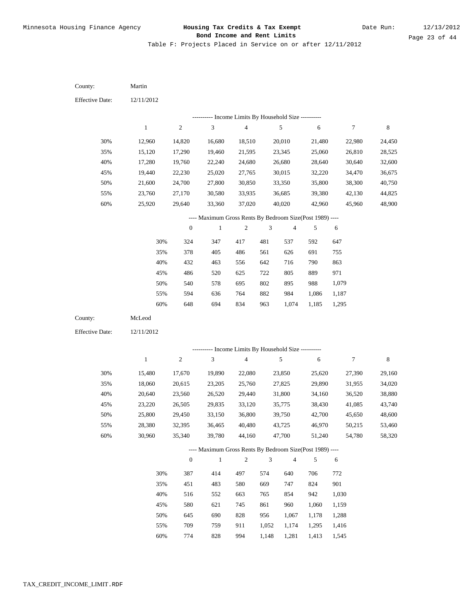| County:                | Martin       |                  |                                                          |                          |                             |                |                |                |             |
|------------------------|--------------|------------------|----------------------------------------------------------|--------------------------|-----------------------------|----------------|----------------|----------------|-------------|
| <b>Effective Date:</b> | 12/11/2012   |                  |                                                          |                          |                             |                |                |                |             |
|                        |              |                  | --------- Income Limits By Household Size ----------     |                          |                             |                |                |                |             |
|                        | $\mathbf{1}$ | $\sqrt{2}$       | $\ensuremath{\mathfrak{Z}}$                              | $\sqrt{4}$               |                             | $\sqrt{5}$     | $\sqrt{6}$     | $\tau$         | $\,$ 8 $\,$ |
| 30%                    | 12,960       | 14,820           | 16,680                                                   | 18,510                   |                             | 20,010         | 21,480         | 22,980         | 24,450      |
| 35%                    | 15,120       | 17,290           | 19,460                                                   | 21,595                   |                             | 23,345         | 25,060         | 26,810         | 28,525      |
| 40%                    | 17,280       | 19,760           | 22,240                                                   | 24,680                   |                             | 26,680         | 28,640         | 30,640         | 32,600      |
| 45%                    | 19,440       | 22,230           | 25,020                                                   | 27,765                   |                             | 30,015         | 32,220         | 34,470         | 36,675      |
| 50%                    | 21,600       | 24,700           | 27,800                                                   | 30,850                   |                             | 33,350         | 35,800         | 38,300         | 40,750      |
| 55%                    | 23,760       | 27,170           | 30,580                                                   | 33,935                   |                             | 36,685         | 39,380         | 42,130         | 44,825      |
| 60%                    | 25,920       | 29,640           | 33,360                                                   | 37,020                   |                             | 40,020         | 42,960         | 45,960         | 48,900      |
|                        |              |                  | ---- Maximum Gross Rents By Bedroom Size(Post 1989) ---- |                          |                             |                |                |                |             |
|                        |              | $\boldsymbol{0}$ | $\mathbf{1}$                                             | $\sqrt{2}$               | $\mathfrak{Z}$              | $\overline{4}$ | 5              | 6              |             |
|                        | 30%          | 324              | 347                                                      | 417                      | 481                         | 537            | 592            | 647            |             |
|                        | 35%          | 378              | 405                                                      | 486                      | 561                         | 626            | 691            | 755            |             |
|                        | 40%          | 432              | 463                                                      | 556                      | 642                         | 716            | 790            | 863            |             |
|                        | 45%          | 486              | 520                                                      | 625                      | 722                         | 805            | 889            | 971            |             |
|                        | 50%          | 540              | 578                                                      | 695                      | 802                         | 895            | 988            | 1,079          |             |
|                        | 55%          | 594              | 636                                                      | 764                      | 882                         | 984            | 1,086          | 1,187          |             |
|                        | 60%          | 648              | 694                                                      | 834                      | 963                         | 1,074          | 1,185          | 1,295          |             |
| County:                | McLeod       |                  |                                                          |                          |                             |                |                |                |             |
| <b>Effective Date:</b> | 12/11/2012   |                  |                                                          |                          |                             |                |                |                |             |
|                        |              |                  |                                                          |                          |                             |                |                |                |             |
|                        |              |                  | ---------- Income Limits By Household Size ----------    |                          |                             |                |                |                |             |
|                        | $\mathbf{1}$ | $\mathbf{2}$     | 3                                                        | $\overline{\mathcal{A}}$ |                             | 5              | $\sqrt{6}$     | 7              | 8           |
| 30%                    | 15,480       | 17,670           | 19,890                                                   | 22,080                   |                             | 23,850         | 25,620         | 27,390         | 29,160      |
| 35%                    | 18,060       | 20,615           | 23,205                                                   | 25,760                   |                             | 27,825         | 29,890         | 31,955         | 34,020      |
| 40%                    | 20,640       | 23,560           | 26,520                                                   | 29,440                   |                             | 31,800         | 34,160         | 36,520         | 38,880      |
| 45%                    | 23,220       | 26,505           | 29,835                                                   | 33,120                   |                             | 35,775         | 38,430         | 41,085         | 43,740      |
| 50%                    | 25,800       | 29,450           | 33,150                                                   | 36,800                   |                             | 39,750         | 42,700         | 45,650         | 48,600      |
| 55%                    | 28,380       | 32,395           | 36,465                                                   | 40,480                   |                             | 43,725         | 46,970         | 50,215         | 53,460      |
| 60%                    | 30,960       | 35,340           | 39,780                                                   | 44,160                   |                             | 47,700         | 51,240         | 54,780         | 58,320      |
|                        |              |                  | ---- Maximum Gross Rents By Bedroom Size(Post 1989) ---- |                          |                             |                |                |                |             |
|                        |              | $\boldsymbol{0}$ | $\mathbf{1}$                                             | $\sqrt{2}$               | $\ensuremath{\mathfrak{Z}}$ | $\overline{4}$ | 5              | 6              |             |
|                        | 30%          | 387              | 414                                                      | 497                      | 574                         | 640            | 706            | 772            |             |
|                        |              |                  |                                                          |                          |                             |                |                |                |             |
|                        | 35%          | 451              | 483                                                      | 580                      | 669                         | 747            | 824            | 901            |             |
|                        | 40%          | 516              | 552                                                      | 663                      | 765                         | 854            | 942            | 1,030          |             |
|                        | 45%          | 580              | 621                                                      | 745                      | 861                         | 960            | 1,060          | 1,159          |             |
|                        | 50%          | 645              | 690                                                      | 828                      | 956                         | 1,067          | 1,178          | 1,288          |             |
|                        | 55%<br>60%   | 709<br>774       | 759<br>828                                               | 911<br>994               | 1,052<br>1,148              | 1,174<br>1,281 | 1,295<br>1,413 | 1,416<br>1,545 |             |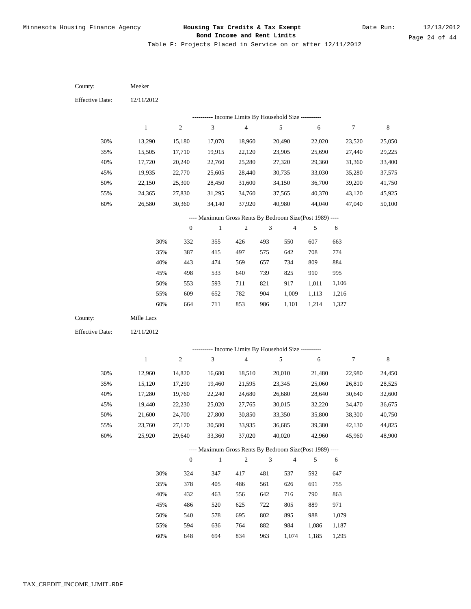| County:                | Meeker       |                  |                                                          |                |                |                |            |        |             |
|------------------------|--------------|------------------|----------------------------------------------------------|----------------|----------------|----------------|------------|--------|-------------|
| <b>Effective Date:</b> | 12/11/2012   |                  |                                                          |                |                |                |            |        |             |
|                        |              |                  | --------- Income Limits By Household Size ----------     |                |                |                |            |        |             |
|                        | $\mathbf{1}$ | $\boldsymbol{2}$ | 3                                                        | $\sqrt{4}$     |                | $\sqrt{5}$     | $\sqrt{6}$ | 7      | $\,$ 8 $\,$ |
| 30%                    | 13,290       | 15,180           | 17,070                                                   | 18,960         |                | 20,490         | 22,020     | 23,520 | 25,050      |
| 35%                    | 15,505       | 17,710           | 19,915                                                   | 22,120         |                | 23,905         | 25,690     | 27,440 | 29,225      |
| 40%                    | 17,720       | 20,240           | 22,760                                                   | 25,280         |                | 27,320         | 29,360     | 31,360 | 33,400      |
| 45%                    | 19,935       | 22,770           | 25,605                                                   | 28,440         |                | 30,735         | 33,030     | 35,280 | 37,575      |
| 50%                    | 22,150       | 25,300           | 28,450                                                   | 31,600         |                | 34,150         | 36,700     | 39,200 | 41,750      |
| 55%                    | 24,365       | 27,830           | 31,295                                                   | 34,760         |                | 37,565         | 40,370     | 43,120 | 45,925      |
| 60%                    | 26,580       | 30,360           | 34,140                                                   | 37,920         |                | 40,980         | 44,040     | 47,040 | 50,100      |
|                        |              |                  | ---- Maximum Gross Rents By Bedroom Size(Post 1989) ---- |                |                |                |            |        |             |
|                        |              | $\boldsymbol{0}$ | $\mathbf{1}$                                             | $\sqrt{2}$     | $\mathfrak{Z}$ | $\overline{4}$ | 5          | 6      |             |
|                        | 30%          | 332              | 355                                                      | 426            | 493            | 550            | 607        | 663    |             |
|                        | 35%          | 387              | 415                                                      | 497            | 575            | 642            | 708        | 774    |             |
|                        | 40%          | 443              | 474                                                      | 569            | 657            | 734            | 809        | 884    |             |
|                        | 45%          | 498              | 533                                                      | 640            | 739            | 825            | 910        | 995    |             |
|                        | 50%          | 553              | 593                                                      | 711            | 821            | 917            | 1,011      | 1,106  |             |
|                        | 55%          | 609              | 652                                                      | 782            | 904            | 1,009          | 1,113      | 1,216  |             |
|                        | 60%          | 664              | 711                                                      | 853            | 986            | 1,101          | 1,214      | 1,327  |             |
|                        |              |                  |                                                          |                |                |                |            |        |             |
| County:                | Mille Lacs   |                  |                                                          |                |                |                |            |        |             |
| <b>Effective Date:</b> |              |                  |                                                          |                |                |                |            |        |             |
|                        | 12/11/2012   |                  |                                                          |                |                |                |            |        |             |
|                        |              |                  | --------- Income Limits By Household Size ----------     |                |                |                |            |        |             |
|                        | $\mathbf{1}$ | $\sqrt{2}$       | 3                                                        | $\overline{4}$ |                | 5              | $\sqrt{6}$ | 7      | 8           |
| 30%                    | 12,960       | 14,820           | 16,680                                                   | 18,510         |                | 20,010         | 21,480     | 22,980 | 24,450      |
| 35%                    | 15,120       | 17,290           | 19,460                                                   | 21,595         |                | 23,345         | 25,060     | 26,810 | 28,525      |
| 40%                    | 17,280       | 19,760           | 22,240                                                   | 24,680         |                | 26,680         | 28,640     | 30,640 | 32,600      |
| 45%                    | 19,440       | 22,230           | 25,020                                                   | 27,765         |                | 30,015         | 32,220     | 34,470 | 36,675      |
| 50%                    | 21,600       | 24,700           | 27,800                                                   | 30,850         |                | 33,350         | 35,800     | 38,300 | 40,750      |
| 55%                    | 23,760       | 27,170           | 30,580                                                   | 33,935         |                | 36,685         | 39,380     | 42,130 |             |
| 60%                    | 25,920       | 29,640           | 33,360                                                   | 37,020         |                | 40,020         | 42,960     | 45,960 | 48,900      |
|                        |              |                  | ---- Maximum Gross Rents By Bedroom Size(Post 1989) ---- |                |                |                |            |        | 44,825      |
|                        |              | $\mathbf{0}$     | $\,1\,$                                                  | $\sqrt{2}$     | $\mathfrak{Z}$ | $\overline{4}$ | 5          | 6      |             |
|                        | 30%          | 324              | 347                                                      | 417            | 481            | 537            | 592        | 647    |             |
|                        | 35%          | 378              | 405                                                      | 486            | 561            | 626            | 691        | 755    |             |
|                        | 40%          | 432              | 463                                                      | 556            | 642            | 716            | 790        | 863    |             |
|                        | 45%          | 486              | 520                                                      | 625            | 722            | 805            | 889        | 971    |             |
|                        | 50%          | 540              | 578                                                      | 695            | 802            | 895            | 988        | 1,079  |             |
|                        | 55%          | 594              | 636                                                      | 764            | 882            | 984            | 1,086      | 1,187  |             |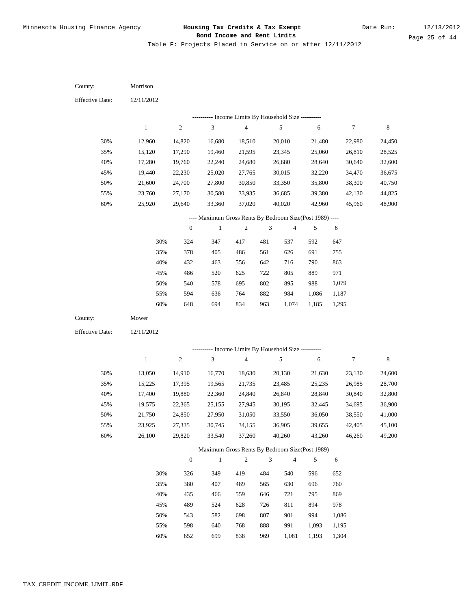| County:                | Morrison     |                  |                                                                          |                  |            |                |            |              |             |
|------------------------|--------------|------------------|--------------------------------------------------------------------------|------------------|------------|----------------|------------|--------------|-------------|
| <b>Effective Date:</b> | 12/11/2012   |                  |                                                                          |                  |            |                |            |              |             |
|                        |              |                  | --------- Income Limits By Household Size ----------                     |                  |            |                |            |              |             |
|                        | $\mathbf{1}$ | $\sqrt{2}$       | $\ensuremath{\mathfrak{Z}}$                                              | $\sqrt{4}$       |            | 5              | 6          | 7            | $\,$ 8 $\,$ |
| 30%                    | 12,960       | 14,820           | 16,680                                                                   | 18,510           |            | 20,010         | 21,480     | 22,980       | 24,450      |
| 35%                    | 15,120       | 17,290           | 19,460                                                                   | 21,595           |            | 23,345         | 25,060     | 26,810       | 28,525      |
| 40%                    | 17,280       | 19,760           | 22,240                                                                   | 24,680           |            | 26,680         | 28,640     | 30,640       | 32,600      |
| 45%                    | 19,440       | 22,230           | 25,020                                                                   | 27,765           |            | 30,015         | 32,220     | 34,470       | 36,675      |
| 50%                    | 21,600       | 24,700           | 27,800                                                                   | 30,850           |            | 33,350         | 35,800     | 38,300       | 40,750      |
| 55%                    | 23,760       | 27,170           | 30,580                                                                   | 33,935           |            | 36,685         | 39,380     | 42,130       | 44,825      |
| 60%                    | 25,920       | 29,640           | 33,360                                                                   | 37,020           |            | 40,020         | 42,960     | 45,960       | 48,900      |
|                        |              |                  | ---- Maximum Gross Rents By Bedroom Size(Post 1989) ----                 |                  |            |                |            |              |             |
|                        |              | $\boldsymbol{0}$ | $\mathbf{1}$                                                             | $\boldsymbol{2}$ | $\sqrt{3}$ | $\overline{4}$ | 5          | 6            |             |
|                        | 30%          | 324              | 347                                                                      | 417              | 481        | 537            | 592        | 647          |             |
|                        | 35%          | 378              | 405                                                                      | 486              | 561        | 626            | 691        | 755          |             |
|                        | 40%          | 432              | 463                                                                      | 556              | 642        | 716            | 790        | 863          |             |
|                        | 45%          | 486              | 520                                                                      | 625              | 722        | 805            | 889        | 971          |             |
|                        | 50%          | 540              | 578                                                                      | 695              | 802        | 895            | 988        | 1,079        |             |
|                        | 55%          | 594              | 636                                                                      | 764              | 882        | 984            | 1,086      | 1,187        |             |
|                        | 60%          | 648              | 694                                                                      | 834              | 963        | 1,074          | 1,185      | 1,295        |             |
|                        |              |                  |                                                                          |                  |            |                |            |              |             |
| County:                | Mower        |                  |                                                                          |                  |            |                |            |              |             |
| <b>Effective Date:</b> | 12/11/2012   |                  |                                                                          |                  |            |                |            |              |             |
|                        |              |                  |                                                                          |                  |            |                |            |              |             |
|                        |              |                  | ---------- Income Limits By Household Size ----------                    |                  |            |                |            |              |             |
|                        | $\mathbf{1}$ | $\sqrt{2}$       | $\ensuremath{\mathfrak{Z}}$                                              | $\overline{4}$   |            | 5              | 6          | 7            | 8           |
| 30%                    | 13,050       | 14,910           | 16,770                                                                   | 18,630           |            | 20,130         | 21,630     | 23,130       | 24,600      |
| 35%                    | 15,225       | 17,395           | 19,565                                                                   | 21,735           |            | 23,485         | 25,235     | 26,985       | 28,700      |
| 40%                    | 17,400       | 19,880           | 22,360                                                                   | 24,840           |            | 26,840         | 28,840     | 30,840       | 32,800      |
| 45%                    | 19,575       | 22,365           | 25,155                                                                   | 27,945           |            | 30,195         | 32,445     | 34,695       | 36,900      |
| 50%                    | 21,750       | 24,850           | 27,950                                                                   | 31,050           |            | 33,550         | 36,050     | 38,550       | 41,000      |
| 55%                    | 23,925       | 27,335           | 30,745                                                                   | 34,155           |            | 36,905         | 39,655     | 42,405       | 45,100      |
| 60%                    | 26,100       | 29,820           | 33,540                                                                   | 37,260           |            | 40,260         | 43,260     | 46,260       | 49,200      |
|                        |              | $\mathbf{0}$     | ---- Maximum Gross Rents By Bedroom Size(Post 1989) ----<br>$\mathbf{1}$ | $\overline{2}$   | $\sqrt{3}$ | $\overline{4}$ | 5          | 6            |             |
|                        |              |                  |                                                                          |                  |            |                |            |              |             |
|                        | 30%          | 326              | 349                                                                      | 419              | 484        | 540            | 596        | 652          |             |
|                        | 35%          | 380              | 407                                                                      | 489              | 565        | 630            | 696        | 760          |             |
|                        | 40%          | 435              | 466                                                                      | 559              | 646        | 721<br>811     | 795<br>894 | 869          |             |
|                        | 45%<br>50%   | 489<br>543       | 524<br>582                                                               | 628<br>698       | 726<br>807 | 901            | 994        | 978<br>1,086 |             |
|                        | 55%          | 598              | 640                                                                      | 768              | 888        | 991            | 1,093      | 1,195        |             |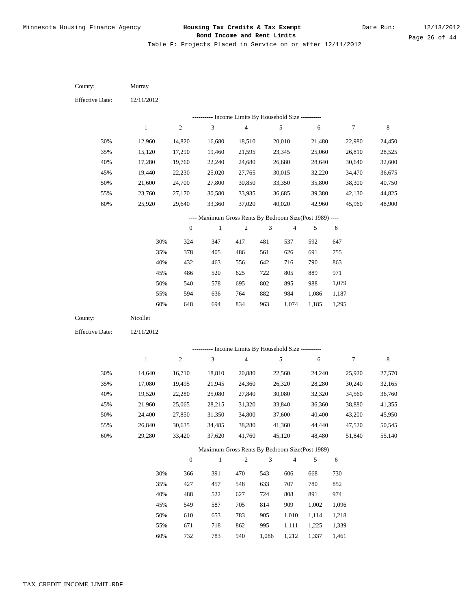| County:                | Murray       |                  |                                                          |                |            |                |            |        |             |
|------------------------|--------------|------------------|----------------------------------------------------------|----------------|------------|----------------|------------|--------|-------------|
| <b>Effective Date:</b> | 12/11/2012   |                  |                                                          |                |            |                |            |        |             |
|                        |              |                  | ---------- Income Limits By Household Size ----------    |                |            |                |            |        |             |
|                        | $\mathbf{1}$ | $\sqrt{2}$       | 3                                                        | $\sqrt{4}$     |            | 5              | $\sqrt{6}$ | 7      | $\,$ 8 $\,$ |
| 30%                    | 12,960       | 14,820           | 16,680                                                   | 18,510         |            | 20,010         | 21,480     | 22,980 | 24,450      |
| 35%                    | 15,120       | 17,290           | 19,460                                                   | 21,595         |            | 23,345         | 25,060     | 26,810 | 28,525      |
| 40%                    | 17,280       | 19,760           | 22,240                                                   | 24,680         |            | 26,680         | 28,640     | 30,640 | 32,600      |
| 45%                    | 19,440       | 22,230           | 25,020                                                   | 27,765         |            | 30,015         | 32,220     | 34,470 | 36,675      |
| 50%                    | 21,600       | 24,700           | 27,800                                                   | 30,850         |            | 33,350         | 35,800     | 38,300 | 40,750      |
| 55%                    | 23,760       | 27,170           | 30,580                                                   | 33,935         |            | 36,685         | 39,380     | 42,130 | 44,825      |
| 60%                    | 25,920       | 29,640           | 33,360                                                   | 37,020         |            | 40,020         | 42,960     | 45,960 | 48,900      |
|                        |              |                  | ---- Maximum Gross Rents By Bedroom Size(Post 1989) ---- |                |            |                |            |        |             |
|                        |              | $\boldsymbol{0}$ | $\mathbf{1}$                                             | $\sqrt{2}$     | 3          | $\overline{4}$ | 5          | 6      |             |
|                        | 30%          | 324              | 347                                                      | 417            | 481        | 537            | 592        | 647    |             |
|                        | 35%          | 378              | 405                                                      | 486            | 561        | 626            | 691        | 755    |             |
|                        | 40%          | 432              | 463                                                      | 556            | 642        | 716            | 790        | 863    |             |
|                        | 45%          | 486              | 520                                                      | 625            | 722        | 805            | 889        | 971    |             |
|                        | 50%          | 540              | 578                                                      | 695            | 802        | 895            | 988        | 1,079  |             |
|                        | 55%          | 594              | 636                                                      | 764            | 882        | 984            | 1,086      | 1,187  |             |
|                        | 60%          | 648              | 694                                                      | 834            | 963        | 1,074          | 1,185      | 1,295  |             |
| County:                | Nicollet     |                  |                                                          |                |            |                |            |        |             |
| <b>Effective Date:</b> |              |                  |                                                          |                |            |                |            |        |             |
|                        | 12/11/2012   |                  |                                                          |                |            |                |            |        |             |
|                        |              |                  |                                                          |                |            |                |            |        |             |
|                        |              |                  | ---------- Income Limits By Household Size ----------    |                |            |                |            |        |             |
|                        | $\mathbf{1}$ | $\sqrt{2}$       | 3                                                        | $\overline{4}$ |            | 5              | $\sqrt{6}$ | 7      | 8           |
| 30%                    | 14,640       | 16,710           | 18,810                                                   | 20,880         |            | 22,560         | 24,240     | 25,920 | 27,570      |
| 35%                    | 17,080       | 19,495           | 21,945                                                   | 24,360         |            | 26,320         | 28,280     | 30,240 | 32,165      |
| 40%                    | 19,520       | 22,280           | 25,080                                                   | 27,840         |            | 30,080         | 32,320     | 34,560 | 36,760      |
| 45%                    | 21,960       | 25,065           | 28,215                                                   | 31,320         |            | 33,840         | 36,360     | 38,880 | 41,355      |
| 50%                    | 24,400       | 27,850           | 31,350                                                   | 34,800         |            | 37,600         | 40,400     | 43,200 | 45,950      |
| 55%                    | 26,840       | 30,635           | 34,485                                                   | 38,280         |            | 41,360         | 44,440     | 47,520 |             |
| 60%                    | 29,280       | 33,420           | 37,620                                                   | 41,760         |            | 45,120         | 48,480     | 51,840 | 55,140      |
|                        |              |                  | ---- Maximum Gross Rents By Bedroom Size(Post 1989) ---- |                |            |                |            |        | 50,545      |
|                        |              | $\mathbf{0}$     | $1\,$                                                    | $\sqrt{2}$     | $\sqrt{3}$ | $\overline{4}$ | 5          | 6      |             |
|                        | 30%          | 366              | 391                                                      | 470            | 543        | 606            | 668        | 730    |             |
|                        | 35%          | 427              | 457                                                      | 548            | 633        | 707            | 780        | 852    |             |
|                        | 40%          | 488              | 522                                                      | 627            | 724        | 808            | 891        | 974    |             |
|                        | 45%          | 549              | 587                                                      | 705            | 814        | 909            | 1,002      | 1,096  |             |
|                        | 50%          | 610              | 653                                                      | 783            | 905        | 1,010          | 1,114      | 1,218  |             |
|                        | 55%          | 671              | 718                                                      | 862            | 995        | 1,111          | 1,225      | 1,339  |             |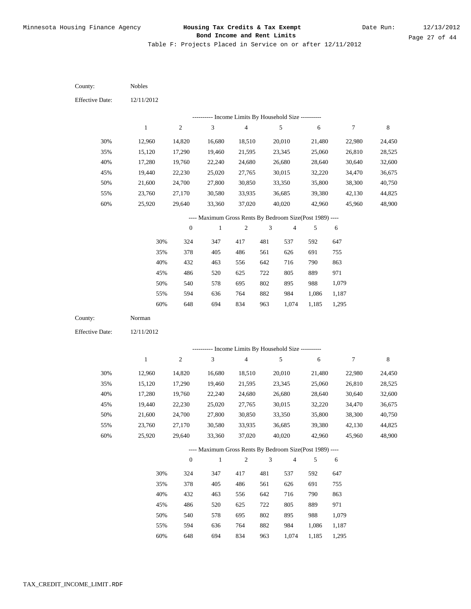| County:                | Nobles       |                  |                                                          |                |                |                |        |                  |        |
|------------------------|--------------|------------------|----------------------------------------------------------|----------------|----------------|----------------|--------|------------------|--------|
| <b>Effective Date:</b> | 12/11/2012   |                  |                                                          |                |                |                |        |                  |        |
|                        |              |                  | --------- Income Limits By Household Size ----------     |                |                |                |        |                  |        |
|                        | $\mathbf{1}$ | $\sqrt{2}$       | 3                                                        | $\sqrt{4}$     |                | 5              | 6      | $\boldsymbol{7}$ | 8      |
| 30%                    | 12,960       | 14,820           | 16,680                                                   | 18,510         |                | 20,010         | 21,480 | 22,980           | 24,450 |
| 35%                    | 15,120       | 17,290           | 19,460                                                   | 21,595         |                | 23,345         | 25,060 | 26,810           | 28,525 |
| 40%                    | 17,280       | 19,760           | 22,240                                                   | 24,680         |                | 26,680         | 28,640 | 30,640           | 32,600 |
| 45%                    | 19,440       | 22,230           | 25,020                                                   | 27,765         |                | 30,015         | 32,220 | 34,470           | 36,675 |
| 50%                    | 21,600       | 24,700           | 27,800                                                   | 30,850         |                | 33,350         | 35,800 | 38,300           | 40,750 |
| 55%                    | 23,760       | 27,170           | 30,580                                                   | 33,935         |                | 36,685         | 39,380 | 42,130           | 44,825 |
| 60%                    | 25,920       | 29,640           | 33,360                                                   | 37,020         |                | 40,020         | 42,960 | 45,960           | 48,900 |
|                        |              |                  | ---- Maximum Gross Rents By Bedroom Size(Post 1989) ---- |                |                |                |        |                  |        |
|                        |              | $\boldsymbol{0}$ | $\mathbf{1}$                                             | $\sqrt{2}$     | 3              | $\overline{4}$ | 5      | 6                |        |
|                        | 30%          | 324              | 347                                                      | 417            | 481            | 537            | 592    | 647              |        |
|                        | 35%          | 378              | 405                                                      | 486            | 561            | 626            | 691    | 755              |        |
|                        | 40%          | 432              | 463                                                      | 556            | 642            | 716            | 790    | 863              |        |
|                        | 45%          | 486              | 520                                                      | 625            | 722            | 805            | 889    | 971              |        |
|                        | 50%          | 540              | 578                                                      | 695            | 802            | 895            | 988    | 1,079            |        |
|                        | 55%          | 594              | 636                                                      | 764            | 882            | 984            | 1,086  | 1,187            |        |
|                        | 60%          | 648              | 694                                                      | 834            | 963            | 1,074          | 1,185  | 1,295            |        |
| County:                | Norman       |                  |                                                          |                |                |                |        |                  |        |
|                        |              |                  |                                                          |                |                |                |        |                  |        |
| <b>Effective Date:</b> | 12/11/2012   |                  |                                                          |                |                |                |        |                  |        |
|                        |              |                  |                                                          |                |                |                |        |                  |        |
|                        |              |                  | --------- Income Limits By Household Size ----------     |                |                |                |        |                  |        |
|                        | $\mathbf{1}$ | $\sqrt{2}$       | $\mathfrak{Z}$                                           | $\overline{4}$ |                | 5              | 6      | 7                | 8      |
| 30%                    | 12,960       | 14,820           | 16,680                                                   | 18,510         |                | 20,010         | 21,480 | 22,980           | 24,450 |
| 35%                    | 15,120       | 17,290           | 19,460                                                   | 21,595         |                | 23,345         | 25,060 | 26,810           | 28,525 |
| 40%                    | 17,280       | 19,760           | 22,240                                                   | 24,680         |                | 26,680         | 28,640 | 30,640           | 32,600 |
| 45%                    | 19,440       | 22,230           | 25,020                                                   | 27,765         |                | 30,015         | 32,220 | 34,470           | 36,675 |
| 50%                    | 21,600       | 24,700           | 27,800                                                   | 30,850         |                | 33,350         | 35,800 | 38,300           | 40,750 |
| 55%                    | 23,760       | 27,170           | 30,580                                                   | 33,935         |                | 36,685         | 39,380 | 42,130           | 44,825 |
| 60%                    | 25,920       | 29,640           | 33,360                                                   | 37,020         |                | 40,020         | 42,960 | 45,960           | 48,900 |
|                        |              |                  | ---- Maximum Gross Rents By Bedroom Size(Post 1989) ---- |                |                |                |        |                  |        |
|                        |              | $\mathbf{0}$     | $\mathbf{1}$                                             | $\sqrt{2}$     | $\mathfrak{Z}$ | $\overline{4}$ | 5      | 6                |        |
|                        | 30%          | 324              | 347                                                      | 417            | 481            | 537            | 592    | 647              |        |
|                        | 35%          | 378              | 405                                                      | 486            | 561            | 626            | 691    | 755              |        |
|                        | 40%          | 432              | 463                                                      | 556            | 642            | 716            | 790    | 863              |        |
|                        | 45%          | 486              | 520                                                      | 625            | 722            | 805            | 889    | 971              |        |
|                        | 50%          | 540              | 578                                                      | 695            | 802            | 895            | 988    | 1,079            |        |
|                        | 55%          | 594              | 636                                                      | 764            | 882            | 984            | 1,086  | 1,187            |        |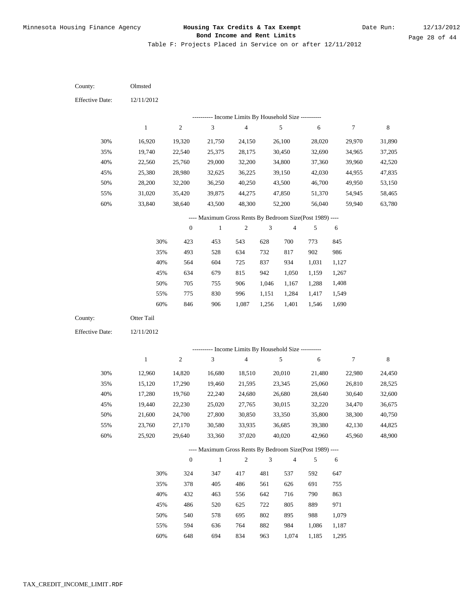Table F: Projects Placed in Service on or after 12/11/2012

| County:                | Olmsted      |                  |                                                          |                |                |                |            |        |             |
|------------------------|--------------|------------------|----------------------------------------------------------|----------------|----------------|----------------|------------|--------|-------------|
| <b>Effective Date:</b> | 12/11/2012   |                  |                                                          |                |                |                |            |        |             |
|                        |              |                  | --------- Income Limits By Household Size ----------     |                |                |                |            |        |             |
|                        | $\mathbf{1}$ | $\sqrt{2}$       | 3                                                        | $\overline{4}$ |                | 5              | $\sqrt{6}$ | 7      | $\,$ 8 $\,$ |
| 30%                    | 16,920       | 19,320           | 21,750                                                   | 24,150         |                | 26,100         | 28,020     | 29,970 | 31,890      |
| 35%                    | 19,740       | 22,540           | 25,375                                                   | 28,175         |                | 30,450         | 32,690     | 34,965 | 37,205      |
| 40%                    | 22,560       | 25,760           | 29,000                                                   | 32,200         |                | 34,800         | 37,360     | 39,960 | 42,520      |
| 45%                    | 25,380       | 28,980           | 32,625                                                   | 36,225         |                | 39,150         | 42,030     | 44,955 | 47,835      |
| 50%                    | 28,200       | 32,200           | 36,250                                                   | 40,250         |                | 43,500         | 46,700     | 49,950 | 53,150      |
| 55%                    | 31,020       | 35,420           | 39,875                                                   | 44,275         |                | 47,850         | 51,370     | 54,945 | 58,465      |
| 60%                    | 33,840       | 38,640           | 43,500                                                   | 48,300         |                | 52,200         | 56,040     | 59,940 | 63,780      |
|                        |              |                  | ---- Maximum Gross Rents By Bedroom Size(Post 1989) ---- |                |                |                |            |        |             |
|                        |              | $\boldsymbol{0}$ | $\mathbf{1}$                                             | $\sqrt{2}$     | $\mathfrak{Z}$ | $\overline{4}$ | 5          | 6      |             |
|                        | 30%          | 423              | 453                                                      | 543            | 628            | 700            | 773        | 845    |             |
|                        | 35%          | 493              | 528                                                      | 634            | 732            | 817            | 902        | 986    |             |
|                        | 40%          | 564              | 604                                                      | 725            | 837            | 934            | 1,031      | 1,127  |             |
|                        | 45%          | 634              | 679                                                      | 815            | 942            | 1,050          | 1,159      | 1,267  |             |
|                        | 50%          | 705              | 755                                                      | 906            | 1,046          | 1,167          | 1,288      | 1,408  |             |
|                        | 55%          | 775              | 830                                                      | 996            | 1,151          | 1,284          | 1,417      | 1,549  |             |
|                        | 60%          | 846              | 906                                                      | 1,087          | 1,256          | 1,401          | 1,546      | 1,690  |             |
| County:                | Otter Tail   |                  |                                                          |                |                |                |            |        |             |
| <b>Effective Date:</b> | 12/11/2012   |                  |                                                          |                |                |                |            |        |             |
|                        |              |                  |                                                          |                |                |                |            |        |             |
|                        |              |                  |                                                          |                |                |                |            |        |             |
|                        |              |                  | --------- Income Limits By Household Size ----------     |                |                |                |            |        |             |
|                        | $\mathbf{1}$ | $\sqrt{2}$       | 3                                                        | $\overline{4}$ |                | 5              | $\sqrt{6}$ | 7      | 8           |
| 30%                    | 12,960       | 14,820           | 16,680                                                   | 18,510         |                | 20,010         | 21,480     | 22,980 | 24,450      |
| 35%                    | 15,120       | 17,290           | 19,460                                                   | 21,595         |                | 23,345         | 25,060     | 26,810 | 28,525      |
| 40%                    | 17,280       | 19,760           | 22,240                                                   | 24,680         |                | 26,680         | 28,640     | 30,640 | 32,600      |
| 45%                    | 19,440       | 22,230           | 25,020                                                   | 27,765         |                | 30,015         | 32,220     | 34,470 | 36,675      |
| 50%                    | 21,600       | 24,700           | 27,800                                                   | 30,850         |                | 33,350         | 35,800     | 38,300 | 40,750      |
| 55%                    | 23,760       | 27,170           | 30,580                                                   | 33,935         |                | 36,685         | 39,380     | 42,130 | 44,825      |
| 60%                    | 25,920       | 29,640           | 33,360                                                   | 37,020         |                | 40,020         | 42,960     | 45,960 | 48,900      |
|                        |              |                  | ---- Maximum Gross Rents By Bedroom Size(Post 1989) ---- |                |                |                |            |        |             |
|                        |              | $\mathbf{0}$     | $\,1\,$                                                  | $\overline{2}$ | $\mathfrak{Z}$ | $\overline{4}$ | 5          | 6      |             |
|                        | 30%          | 324              | 347                                                      | 417            | 481            | 537            | 592        | 647    |             |
|                        | 35%          | 378              | 405                                                      | 486            | 561            | 626            | 691        | 755    |             |
|                        | 40%          | 432              | 463                                                      | 556            | 642            | 716            | 790        | 863    |             |
|                        | 45%          | 486              | 520                                                      | 625            | 722            | 805            | 889        | 971    |             |
|                        | 50%          | 540              | 578                                                      | 695            | 802            | 895            | 988        | 1,079  |             |
|                        | 55%          | 594              | 636                                                      | 764            | 882            | 984            | 1,086      | 1,187  |             |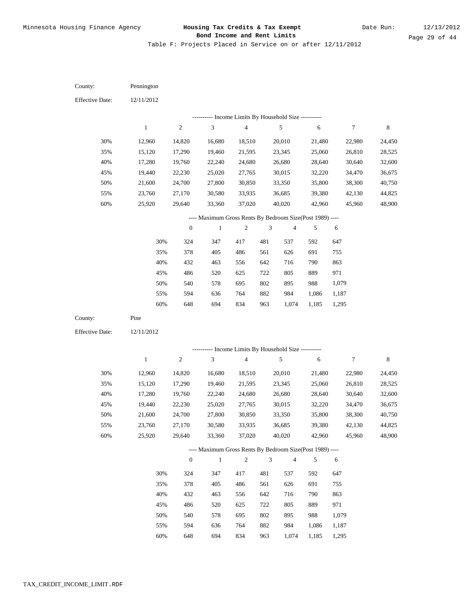Table F: Projects Placed in Service on or after 12/11/2012

| County:                | Pennington    |                  |                                                           |                |                             |                |                |                |         |
|------------------------|---------------|------------------|-----------------------------------------------------------|----------------|-----------------------------|----------------|----------------|----------------|---------|
| <b>Effective Date:</b> | 12/11/2012    |                  |                                                           |                |                             |                |                |                |         |
|                        |               |                  | ---------- Income Limits By Household Size ----------     |                |                             |                |                |                |         |
|                        | $\mathbf{1}$  | $\sqrt{2}$       | 3                                                         | $\sqrt{4}$     |                             | $\mathfrak{S}$ | $\sqrt{6}$     | 7              | $\,8\,$ |
| 30%                    | 12,960        | 14,820           | 16,680                                                    | 18,510         |                             | 20,010         | 21,480         | 22,980         | 24,450  |
| 35%                    | 15,120        | 17,290           | 19,460                                                    | 21,595         |                             | 23,345         | 25,060         | 26,810         | 28,525  |
| 40%                    | 17,280        | 19,760           | 22,240                                                    | 24,680         |                             | 26,680         | 28,640         | 30,640         | 32,600  |
| 45%                    | 19,440        | 22,230           | 25,020                                                    | 27,765         |                             | 30,015         | 32,220         | 34,470         | 36,675  |
| 50%                    | 21,600        | 24,700           | 27,800                                                    | 30,850         |                             | 33,350         | 35,800         | 38,300         | 40,750  |
| 55%                    | 23,760        | 27,170           | 30,580                                                    | 33,935         |                             | 36,685         | 39,380         | 42,130         | 44,825  |
| 60%                    | 25,920        | 29,640           | 33,360                                                    | 37,020         |                             | 40,020         | 42,960         | 45,960         | 48,900  |
|                        |               |                  | ---- Maximum Gross Rents By Bedroom Size(Post 1989) ----  |                |                             |                |                |                |         |
|                        |               | $\boldsymbol{0}$ | $\mathbf{1}$                                              | $\sqrt{2}$     | $\ensuremath{\mathfrak{Z}}$ | $\overline{4}$ | 5              | 6              |         |
|                        | 30%           | 324              | 347                                                       | 417            | 481                         | 537            | 592            | 647            |         |
|                        | 35%           | 378              | 405                                                       | 486            | 561                         | 626            | 691            | 755            |         |
|                        | 40%           | 432              | 463                                                       | 556            | 642                         | 716            | 790            | 863            |         |
|                        | 45%           | 486              | 520                                                       | 625            | 722                         | 805            | 889            | 971            |         |
|                        | 50%           | 540              | 578                                                       | 695            | 802                         | 895            | 988            | 1,079          |         |
|                        | 55%           | 594              | 636                                                       | 764            | 882                         | 984            | 1,086          | 1,187          |         |
|                        | 60%           | 648              | 694                                                       | 834            | 963                         | 1,074          | 1,185          | 1,295          |         |
| County:                | Pine          |                  |                                                           |                |                             |                |                |                |         |
| <b>Effective Date:</b> | 12/11/2012    |                  |                                                           |                |                             |                |                |                |         |
|                        |               |                  |                                                           |                |                             |                |                |                |         |
|                        | $\mathbf{1}$  | $\sqrt{2}$       | --------- Income Limits By Household Size ----------<br>3 | $\overline{4}$ |                             | 5              | 6              | 7              | $\,8\,$ |
|                        |               |                  |                                                           |                |                             |                |                |                |         |
| 30%                    | 12,960        | 14,820           | 16,680                                                    | 18,510         |                             | 20,010         | 21,480         | 22,980         | 24,450  |
| 35%                    | 15,120        | 17,290           | 19,460                                                    | 21,595         |                             | 23,345         | 25,060         | 26,810         | 28,525  |
| 40%                    | 17,280        | 19,760           | 22,240                                                    | 24,680         |                             | 26,680         | 28,640         | 30,640         | 32,600  |
| 45%                    | 19,440        | 22,230           | 25,020                                                    | 27,765         |                             | 30,015         | 32,220         | 34,470         | 36,675  |
| 50%                    | 21,600        | 24,700           | 27,800                                                    | 30,850         |                             | 33,350         | 35,800         | 38,300         | 40,750  |
| 55%                    |               |                  |                                                           |                |                             |                |                |                |         |
| 60%                    | 23,760        | 27,170           | 30,580                                                    | 33,935         |                             | 36,685         | 39,380         | 42,130         | 44,825  |
|                        | 25,920        | 29,640           | 33,360                                                    | 37,020         |                             | 40,020         | 42,960         | 45,960         | 48,900  |
|                        |               |                  | ---- Maximum Gross Rents By Bedroom Size(Post 1989) ----  |                |                             |                |                |                |         |
|                        |               | $\overline{0}$   | $\,1\,$                                                   | $\overline{2}$ | $\mathfrak z$               | $\overline{4}$ | 5              | 6              |         |
|                        | 30%           | 324              | 347                                                       | 417            | 481                         | 537            | 592            | 647            |         |
|                        | 35%           | 378              | 405                                                       | 486            | 561                         | 626            | 691            | 755            |         |
|                        | 40%           | 432              | 463                                                       | 556            | 642                         | 716            | 790            | 863            |         |
|                        | 45%           | 486              | 520                                                       | 625            | 722                         | 805            | 889            | 971            |         |
|                        | 50%           | 540              | 578                                                       | 695            | 802                         | 895            | 988            | 1,079          |         |
|                        | 55%<br>$60\%$ | 594<br>648       | 636<br>694                                                | 764<br>834     | 882<br>963                  | 984<br>1,074   | 1,086<br>1,185 | 1,187<br>1,295 |         |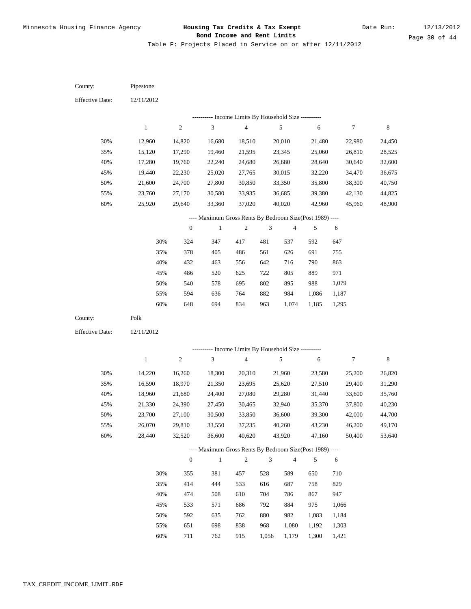Table F: Projects Placed in Service on or after 12/11/2012

| County:                | Pipestone             |                  |                                                          |                |                             |                |            |                  |             |
|------------------------|-----------------------|------------------|----------------------------------------------------------|----------------|-----------------------------|----------------|------------|------------------|-------------|
| Effective Date:        | 12/11/2012            |                  |                                                          |                |                             |                |            |                  |             |
|                        |                       |                  | --------- Income Limits By Household Size ----------     |                |                             |                |            |                  |             |
|                        | $\mathbf{1}$          | $\sqrt{2}$       | 3                                                        | $\sqrt{4}$     |                             | $\sqrt{5}$     | $\sqrt{6}$ | $\boldsymbol{7}$ | $\,$ 8 $\,$ |
| 30%                    | 12,960                | 14,820           | 16,680                                                   | 18,510         |                             | 20,010         | 21,480     | 22,980           | 24,450      |
| 35%                    | 15,120                | 17,290           | 19,460                                                   | 21,595         |                             | 23,345         | 25,060     | 26,810           | 28,525      |
| 40%                    | 17,280                | 19,760           | 22,240                                                   | 24,680         |                             | 26,680         | 28,640     | 30,640           | 32,600      |
| 45%                    | 19,440                | 22,230           | 25,020                                                   | 27,765         |                             | 30,015         | 32,220     | 34,470           | 36,675      |
| 50%                    | 21,600                | 24,700           | 27,800                                                   | 30,850         |                             | 33,350         | 35,800     | 38,300           | 40,750      |
| 55%                    | 23,760                | 27,170           | 30,580                                                   | 33,935         |                             | 36,685         | 39,380     | 42,130           | 44,825      |
| 60%                    | 25,920                | 29,640           | 33,360                                                   | 37,020         |                             | 40,020         | 42,960     | 45,960           | 48,900      |
|                        |                       |                  | ---- Maximum Gross Rents By Bedroom Size(Post 1989) ---- |                |                             |                |            |                  |             |
|                        |                       | $\boldsymbol{0}$ | $\mathbf{1}$                                             | $\sqrt{2}$     | $\ensuremath{\mathfrak{Z}}$ | $\overline{4}$ | 5          | 6                |             |
|                        | 30%                   | 324              | 347                                                      | 417            | 481                         | 537            | 592        | 647              |             |
|                        | 35%                   | 378              | 405                                                      | 486            | 561                         | 626            | 691        | 755              |             |
|                        | 40%                   | 432              | 463                                                      | 556            | 642                         | 716            | 790        | 863              |             |
|                        | 45%                   | 486              | 520                                                      | 625            | 722                         | 805            | 889        | 971              |             |
|                        | 50%                   | 540              | 578                                                      | 695            | 802                         | 895            | 988        | 1,079            |             |
|                        | 55%                   | 594              | 636                                                      | 764            | 882                         | 984            | 1,086      | 1,187            |             |
|                        | 60%                   | 648              | 694                                                      | 834            | 963                         | 1,074          | 1,185      | 1,295            |             |
|                        |                       |                  |                                                          |                |                             |                |            |                  |             |
| County:                | $\operatorname{Polk}$ |                  |                                                          |                |                             |                |            |                  |             |
| <b>Effective Date:</b> | 12/11/2012            |                  |                                                          |                |                             |                |            |                  |             |
|                        |                       |                  |                                                          |                |                             |                |            |                  |             |
|                        |                       |                  | ---------- Income Limits By Household Size ----------    |                |                             |                |            |                  |             |
|                        | $\mathbf{1}$          | $\sqrt{2}$       | 3                                                        | $\overline{4}$ |                             | 5              | $\sqrt{6}$ | 7                | 8           |
| 30%                    | 14,220                | 16,260           | 18,300                                                   | 20,310         |                             | 21,960         | 23,580     | 25,200           | 26,820      |
| 35%                    | 16,590                | 18,970           | 21,350                                                   | 23,695         |                             | 25,620         | 27,510     | 29,400           | 31,290      |
| 40%                    | 18,960                | 21,680           | 24,400                                                   | 27,080         |                             | 29,280         | 31,440     | 33,600           | 35,760      |
| 45%                    | 21,330                | 24,390           | 27,450                                                   | 30,465         |                             | 32,940         | 35,370     | 37,800           | 40,230      |
| 50%                    | 23,700                | 27,100           | 30,500                                                   | 33,850         |                             | 36,600         | 39,300     | 42,000           | 44,700      |
| 55%                    | 26,070                | 29,810           | 33,550                                                   | 37,235         |                             | 40,260         | 43,230     | 46,200           | 49,170      |
| 60%                    | 28,440                | 32,520           | 36,600                                                   | 40,620         |                             | 43,920         | 47,160     | 50,400           | 53,640      |
|                        |                       |                  | ---- Maximum Gross Rents By Bedroom Size(Post 1989) ---- |                |                             |                |            |                  |             |
|                        |                       | $\mathbf{0}$     | $\,1\,$                                                  | $\overline{2}$ | $\ensuremath{\mathfrak{Z}}$ | $\overline{4}$ | 5          | 6                |             |
|                        | 30%                   | 355              | 381                                                      | 457            | 528                         | 589            | 650        | 710              |             |
|                        | 35%                   | 414              | 444                                                      | 533            | 616                         | 687            | 758        | 829              |             |
|                        | 40%                   | 474              | 508                                                      | 610            | 704                         | 786            | 867        | 947              |             |
|                        | 45%                   | 533              | 571                                                      | 686            | 792                         | 884            | 975        | 1,066            |             |
|                        | 50%                   | 592              | 635                                                      | 762            | 880                         | 982            | 1,083      | 1,184            |             |
|                        | 55%                   | 651              | 698                                                      | 838            | 968                         | 1,080          | 1,192      | 1,303            |             |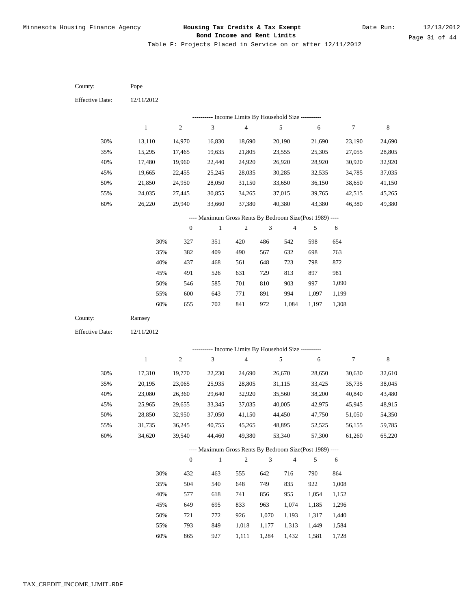| County:                | Pope         |                  |                                                                         |                          |                |                |                |                |             |
|------------------------|--------------|------------------|-------------------------------------------------------------------------|--------------------------|----------------|----------------|----------------|----------------|-------------|
| <b>Effective Date:</b> | 12/11/2012   |                  |                                                                         |                          |                |                |                |                |             |
|                        |              |                  | --------- Income Limits By Household Size ----------                    |                          |                |                |                |                |             |
|                        | $\mathbf{1}$ | $\boldsymbol{2}$ | $\ensuremath{\mathfrak{Z}}$                                             | $\overline{\mathcal{L}}$ |                | $\sqrt{5}$     | 6              | $\tau$         | $\,$ 8 $\,$ |
| 30%                    | 13,110       | 14,970           | 16,830                                                                  | 18,690                   |                | 20,190         | 21,690         | 23,190         | 24,690      |
| 35%                    | 15,295       | 17,465           | 19,635                                                                  | 21,805                   |                | 23,555         | 25,305         | 27,055         | 28,805      |
| 40%                    | 17,480       | 19,960           | 22,440                                                                  | 24,920                   |                | 26,920         | 28,920         | 30,920         | 32,920      |
| 45%                    | 19,665       | 22,455           | 25,245                                                                  | 28,035                   |                | 30,285         | 32,535         | 34,785         | 37,035      |
| 50%                    | 21,850       | 24,950           | 28,050                                                                  | 31,150                   |                | 33,650         | 36,150         | 38,650         | 41,150      |
| 55%                    | 24,035       | 27,445           | 30,855                                                                  | 34,265                   |                | 37,015         | 39,765         | 42,515         | 45,265      |
| 60%                    | 26,220       | 29,940           | 33,660                                                                  | 37,380                   |                | 40,380         | 43,380         | 46,380         | 49,380      |
|                        |              |                  | ---- Maximum Gross Rents By Bedroom Size(Post 1989) ----                |                          |                |                |                |                |             |
|                        |              | $\boldsymbol{0}$ | $\mathbf{1}$                                                            | $\sqrt{2}$               | 3              | $\overline{4}$ | 5              | 6              |             |
|                        | 30%          | 327              | 351                                                                     | 420                      | 486            | 542            | 598            | 654            |             |
|                        | 35%          | 382              | 409                                                                     | 490                      | 567            | 632            | 698            | 763            |             |
|                        | 40%          | 437              | 468                                                                     | 561                      | 648            | 723            | 798            | 872            |             |
|                        | 45%          | 491              | 526                                                                     | 631                      | 729            | 813            | 897            | 981            |             |
|                        | 50%          | 546              | 585                                                                     | 701                      | 810            | 903            | 997            | 1,090          |             |
|                        | 55%          | 600              | 643                                                                     | 771                      | 891            | 994            | 1,097          | 1,199          |             |
|                        | 60%          | 655              | 702                                                                     | 841                      | 972            | 1,084          | 1,197          | 1,308          |             |
| County:                | Ramsey       |                  |                                                                         |                          |                |                |                |                |             |
| <b>Effective Date:</b> | 12/11/2012   |                  |                                                                         |                          |                |                |                |                |             |
|                        |              |                  |                                                                         |                          |                |                |                |                |             |
|                        | $\mathbf{1}$ | $\sqrt{2}$       | ---------- Income Limits By Household Size ----------<br>$\mathfrak{Z}$ | 4                        |                | $\sqrt{5}$     | 6              | $\tau$         | 8           |
|                        |              |                  |                                                                         |                          |                |                |                |                |             |
| 30%                    | 17,310       | 19,770           | 22,230                                                                  | 24,690                   |                | 26,670         | 28,650         | 30,630         | 32,610      |
| 35%                    | 20,195       | 23,065           | 25,935                                                                  | 28,805                   |                | 31,115         | 33,425         | 35,735         | 38,045      |
| 40%                    | 23,080       | 26,360           | 29,640                                                                  | 32,920                   |                | 35,560         | 38,200         | 40,840         | 43,480      |
| 45%                    | 25,965       | 29,655           | 33,345                                                                  | 37,035                   |                | 40,005         | 42,975         | 45,945         | 48,915      |
| 50%                    | 28,850       | 32,950           | 37,050                                                                  | 41,150                   |                | 44,450         | 47,750         | 51,050         | 54,350      |
| 55%                    | 31,735       | 36,245           | 40,755                                                                  | 45,265                   |                | 48,895         | 52,525         | 56,155         | 59,785      |
| 60%                    | 34,620       | 39,540           | 44,460                                                                  | 49,380                   |                | 53,340         | 57,300         | 61,260         | 65,220      |
|                        |              |                  | ---- Maximum Gross Rents By Bedroom Size(Post 1989) ----                |                          |                |                |                |                |             |
|                        |              | $\boldsymbol{0}$ | $\mathbf{1}$                                                            | $\sqrt{2}$               | $\mathfrak z$  | $\overline{4}$ | 5              | 6              |             |
|                        | 30%          | 432              | 463                                                                     | 555                      | 642            | 716            | 790            | 864            |             |
|                        | 35%          | 504              | 540                                                                     | 648                      | 749            | 835            | 922            | 1,008          |             |
|                        | 40%          | 577              | 618                                                                     | 741                      | 856            | 955            | 1,054          | 1,152          |             |
|                        | 45%          | 649              | 695                                                                     | 833                      | 963            | 1,074          | 1,185          | 1,296          |             |
|                        |              |                  |                                                                         |                          |                |                |                |                |             |
|                        | 50%          | 721              | 772                                                                     | 926                      | 1,070          | 1,193          | 1,317          | 1,440          |             |
|                        | 55%<br>60%   | 793<br>865       | 849<br>927                                                              | 1,018<br>1,111           | 1,177<br>1,284 | 1,313<br>1,432 | 1,449<br>1,581 | 1,584<br>1,728 |             |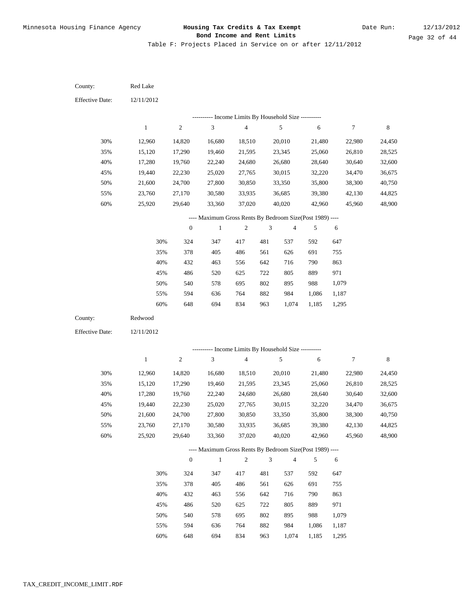Table F: Projects Placed in Service on or after 12/11/2012

| County:                | Red Lake     |                  |                                                          |                  |                |                |                  |        |                  |
|------------------------|--------------|------------------|----------------------------------------------------------|------------------|----------------|----------------|------------------|--------|------------------|
| <b>Effective Date:</b> | 12/11/2012   |                  |                                                          |                  |                |                |                  |        |                  |
|                        |              |                  | --------- Income Limits By Household Size ----------     |                  |                |                |                  |        |                  |
|                        | $\mathbf{1}$ | $\boldsymbol{2}$ | 3                                                        | $\sqrt{4}$       |                | 5              | 6                | 7      | $\,$ 8 $\,$      |
| 30%                    | 12,960       |                  |                                                          |                  |                | 20,010         |                  | 22,980 |                  |
| 35%                    | 15,120       | 14,820<br>17,290 | 16,680<br>19,460                                         | 18,510<br>21,595 |                | 23,345         | 21,480<br>25,060 | 26,810 | 24,450<br>28,525 |
| 40%                    | 17,280       | 19,760           | 22,240                                                   | 24,680           |                | 26,680         | 28,640           | 30,640 | 32,600           |
| 45%                    | 19,440       | 22,230           | 25,020                                                   | 27,765           |                | 30,015         | 32,220           | 34,470 | 36,675           |
| 50%                    | 21,600       | 24,700           | 27,800                                                   | 30,850           |                | 33,350         | 35,800           | 38,300 | 40,750           |
| 55%                    | 23,760       | 27,170           | 30,580                                                   | 33,935           |                | 36,685         | 39,380           | 42,130 | 44,825           |
| 60%                    | 25,920       | 29,640           | 33,360                                                   | 37,020           |                | 40,020         | 42,960           | 45,960 | 48,900           |
|                        |              |                  | ---- Maximum Gross Rents By Bedroom Size(Post 1989) ---- |                  |                |                |                  |        |                  |
|                        |              | $\boldsymbol{0}$ | $\mathbf{1}$                                             | $\sqrt{2}$       | $\mathfrak{Z}$ | $\overline{4}$ | 5                | 6      |                  |
|                        | 30%          | 324              | 347                                                      | 417              | 481            | 537            | 592              | 647    |                  |
|                        | 35%          | 378              | 405                                                      | 486              | 561            | 626            | 691              | 755    |                  |
|                        | 40%          | 432              | 463                                                      | 556              | 642            | 716            | 790              | 863    |                  |
|                        | 45%          | 486              | 520                                                      | 625              | 722            | 805            | 889              | 971    |                  |
|                        | 50%          | 540              | 578                                                      | 695              | 802            | 895            | 988              | 1,079  |                  |
|                        | 55%          | 594              | 636                                                      | 764              | 882            | 984            | 1,086            | 1,187  |                  |
|                        | 60%          | 648              | 694                                                      | 834              | 963            | 1,074          | 1,185            | 1,295  |                  |
|                        |              |                  |                                                          |                  |                |                |                  |        |                  |
| County:                | Redwood      |                  |                                                          |                  |                |                |                  |        |                  |
| <b>Effective Date:</b> | 12/11/2012   |                  |                                                          |                  |                |                |                  |        |                  |
|                        |              |                  |                                                          |                  |                |                |                  |        |                  |
|                        |              |                  | ---------- Income Limits By Household Size ----------    |                  |                |                |                  |        |                  |
|                        | $\mathbf{1}$ | $\sqrt{2}$       | 3                                                        | $\overline{4}$   |                | 5              | $\sqrt{6}$       | 7      | 8                |
| 30%                    | 12,960       | 14,820           | 16,680                                                   | 18,510           |                | 20,010         | 21,480           | 22,980 | 24,450           |
| 35%                    | 15,120       | 17,290           | 19,460                                                   | 21,595           |                | 23,345         | 25,060           | 26,810 | 28,525           |
| 40%                    | 17,280       | 19,760           | 22,240                                                   | 24,680           |                | 26,680         | 28,640           | 30,640 | 32,600           |
| 45%                    | 19,440       | 22,230           | 25,020                                                   | 27,765           |                | 30,015         | 32,220           | 34,470 | 36,675           |
| 50%                    | 21,600       | 24,700           | 27,800                                                   | 30,850           |                | 33,350         | 35,800           | 38,300 | 40,750           |
| 55%                    | 23,760       | 27,170           | 30,580                                                   | 33,935           |                | 36,685         | 39,380           | 42,130 | 44,825           |
| 60%                    | 25,920       | 29,640           | 33,360                                                   | 37,020           |                | 40,020         | 42,960           | 45,960 | 48,900           |
|                        |              |                  | ---- Maximum Gross Rents By Bedroom Size(Post 1989) ---- |                  |                |                |                  |        |                  |
|                        |              | $\mathbf{0}$     | $\mathbf{1}$                                             | $\sqrt{2}$       | $\mathfrak{Z}$ | $\overline{4}$ | 5                | 6      |                  |
|                        | 30%          | 324              | 347                                                      | 417              | 481            | 537            | 592              | 647    |                  |
|                        | 35%          | 378              | 405                                                      | 486              | 561            | 626            | 691              | 755    |                  |
|                        | 40%          | 432              | 463                                                      | 556              | 642            | 716            | 790              | 863    |                  |
|                        | 45%          | 486              | 520                                                      | 625              | 722            | 805            | 889              | 971    |                  |
|                        | 50%          | 540              | 578                                                      | 695              | 802            | 895            | 988              | 1,079  |                  |
|                        | 55%<br>60%   | 594<br>648       | 636<br>694                                               | 764<br>834       | 882<br>963     | 984<br>1,074   | 1,086<br>1,185   | 1,187  |                  |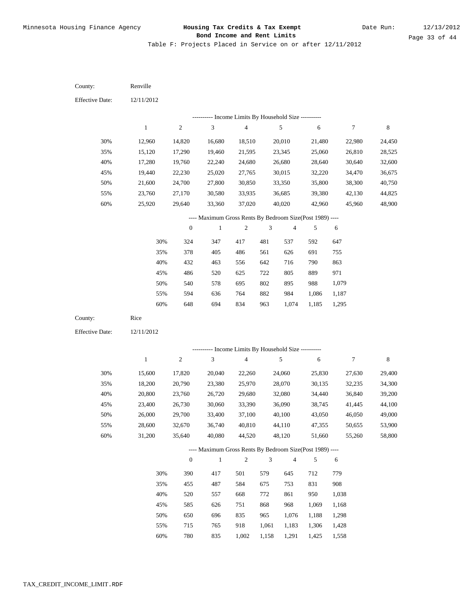| County:                | Renville         |                  |                                                                          |                  |                             |                  |                  |                  |                  |
|------------------------|------------------|------------------|--------------------------------------------------------------------------|------------------|-----------------------------|------------------|------------------|------------------|------------------|
| <b>Effective Date:</b> | 12/11/2012       |                  |                                                                          |                  |                             |                  |                  |                  |                  |
|                        |                  |                  | --------- Income Limits By Household Size ----------                     |                  |                             |                  |                  |                  |                  |
|                        | $\mathbf{1}$     | $\boldsymbol{2}$ | $\mathfrak{Z}$                                                           | $\sqrt{4}$       |                             | $\sqrt{5}$       | $\sqrt{6}$       | $\tau$           | $\,$ 8 $\,$      |
| 30%                    | 12,960           | 14,820           | 16,680                                                                   | 18,510           |                             | 20,010           | 21,480           | 22,980           | 24,450           |
| 35%                    | 15,120           | 17,290           | 19,460                                                                   | 21,595           |                             | 23,345           | 25,060           | 26,810           | 28,525           |
| 40%                    | 17,280           | 19,760           | 22,240                                                                   | 24,680           |                             | 26,680           | 28,640           | 30,640           | 32,600           |
| 45%                    | 19,440           | 22,230           | 25,020                                                                   | 27,765           |                             | 30,015           | 32,220           | 34,470           | 36,675           |
| 50%                    | 21,600           | 24,700           | 27,800                                                                   | 30,850           |                             | 33,350           | 35,800           | 38,300           | 40,750           |
| 55%                    | 23,760           | 27,170           | 30,580                                                                   | 33,935           |                             | 36,685           | 39,380           | 42,130           | 44,825           |
| 60%                    | 25,920           | 29,640           | 33,360                                                                   | 37,020           |                             | 40,020           | 42,960           | 45,960           | 48,900           |
|                        |                  |                  | ---- Maximum Gross Rents By Bedroom Size(Post 1989) ----                 |                  |                             |                  |                  |                  |                  |
|                        |                  | $\boldsymbol{0}$ | $\mathbf{1}$                                                             | $\sqrt{2}$       | $\ensuremath{\mathfrak{Z}}$ | $\overline{4}$   | 5                | 6                |                  |
|                        | 30%              | 324              | 347                                                                      | 417              | 481                         | 537              | 592              | 647              |                  |
|                        | 35%              | 378              | 405                                                                      | 486              | 561                         | 626              | 691              | 755              |                  |
|                        | 40%              | 432              | 463                                                                      | 556              | 642                         | 716              | 790              | 863              |                  |
|                        | 45%              | 486              | 520                                                                      | 625              | 722                         | 805              | 889              | 971              |                  |
|                        | 50%              | 540              | 578                                                                      | 695              | 802                         | 895              | 988              | 1,079            |                  |
|                        | 55%              | 594              | 636                                                                      | 764              | 882                         | 984              | 1,086            | 1,187            |                  |
|                        | 60%              | 648              | 694                                                                      | 834              | 963                         | 1,074            | 1,185            | 1,295            |                  |
|                        |                  |                  |                                                                          |                  |                             |                  |                  |                  |                  |
| County:                | Rice             |                  |                                                                          |                  |                             |                  |                  |                  |                  |
| <b>Effective Date:</b> | 12/11/2012       |                  |                                                                          |                  |                             |                  |                  |                  |                  |
|                        |                  |                  |                                                                          |                  |                             |                  |                  |                  |                  |
|                        |                  |                  | ---------- Income Limits By Household Size ----------                    |                  |                             |                  |                  |                  |                  |
|                        | $\mathbf{1}$     | $\sqrt{2}$       | $\mathfrak{Z}$                                                           | 4                |                             | 5                | $\sqrt{6}$       | $\tau$           | 8                |
| 30%                    | 15,600           | 17,820           | 20,040                                                                   | 22,260           |                             | 24,060           | 25,830           | 27,630           | 29,400           |
| 35%                    | 18,200           | 20,790           | 23,380                                                                   | 25,970           |                             | 28,070           | 30,135           | 32,235           | 34,300           |
| 40%                    | 20,800           | 23,760           | 26,720                                                                   | 29,680           |                             | 32,080           | 34,440           | 36,840           | 39,200           |
| 45%                    | 23,400           | 26,730           | 30,060                                                                   | 33,390           |                             | 36,090           | 38,745           | 41,445           | 44,100           |
| 50%                    | 26,000           | 29,700           | 33,400                                                                   | 37,100           |                             | 40,100           | 43,050           | 46,050           | 49,000           |
| 55%<br>60%             | 28,600<br>31,200 | 32,670<br>35,640 | 36,740<br>40,080                                                         | 40,810<br>44,520 |                             | 44,110<br>48,120 | 47,355<br>51,660 | 50,655<br>55,260 | 53,900<br>58,800 |
|                        |                  |                  |                                                                          |                  |                             |                  |                  |                  |                  |
|                        |                  | $\mathbf{0}$     | ---- Maximum Gross Rents By Bedroom Size(Post 1989) ----<br>$\mathbf{1}$ | $\sqrt{2}$       | $\mathfrak z$               | $\overline{4}$   | 5                | 6                |                  |
|                        | 30%              | 390              | 417                                                                      | 501              |                             | 645              | 712              | 779              |                  |
|                        | 35%              | 455              | 487                                                                      | 584              | 579<br>675                  | 753              | 831              | 908              |                  |
|                        | 40%              | 520              | 557                                                                      | 668              | 772                         | 861              | 950              | 1,038            |                  |
|                        | 45%              | 585              | 626                                                                      | 751              | 868                         | 968              | 1,069            | 1,168            |                  |
|                        | 50%              | 650              | 696                                                                      | 835              | 965                         | 1,076            | 1,188            | 1,298            |                  |
|                        | 55%              | 715              | 765                                                                      | 918              | 1,061                       | 1,183            | 1,306            | 1,428            |                  |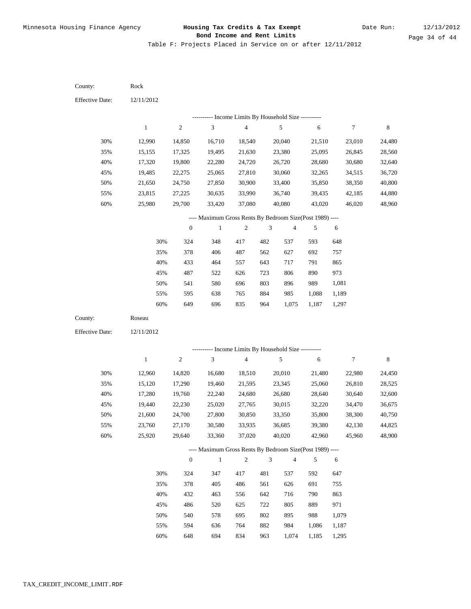| County:                | Rock           |                  |                                                          |                  |                |                |              |                |        |
|------------------------|----------------|------------------|----------------------------------------------------------|------------------|----------------|----------------|--------------|----------------|--------|
| <b>Effective Date:</b> | 12/11/2012     |                  |                                                          |                  |                |                |              |                |        |
|                        |                |                  | --------- Income Limits By Household Size ----------     |                  |                |                |              |                |        |
|                        | $\mathbf{1}$   | $\boldsymbol{2}$ | $\ensuremath{\mathfrak{Z}}$                              | 4                |                | $\sqrt{5}$     | 6            | 7              | 8      |
| 30%                    | 12,990         | 14,850           | 16,710                                                   | 18,540           |                | 20,040         | 21,510       | 23,010         | 24,480 |
| 35%                    | 15,155         | 17,325           | 19,495                                                   | 21,630           |                | 23,380         | 25,095       | 26,845         | 28,560 |
| 40%                    | 17,320         | 19,800           | 22,280                                                   | 24,720           |                | 26,720         | 28,680       | 30,680         | 32,640 |
| 45%                    | 19,485         | 22,275           | 25,065                                                   | 27,810           |                | 30,060         | 32,265       | 34,515         | 36,720 |
| 50%                    | 21,650         | 24,750           | 27,850                                                   | 30,900           |                | 33,400         | 35,850       | 38,350         | 40,800 |
| 55%                    | 23,815         | 27,225           | 30,635                                                   | 33,990           |                | 36,740         | 39,435       | 42,185         | 44,880 |
| 60%                    | 25,980         | 29,700           | 33,420                                                   | 37,080           |                | 40,080         | 43,020       | 46,020         | 48,960 |
|                        |                |                  | ---- Maximum Gross Rents By Bedroom Size(Post 1989) ---- |                  |                |                |              |                |        |
|                        |                | $\boldsymbol{0}$ | $\mathbf{1}$                                             | $\boldsymbol{2}$ | 3              | $\overline{4}$ | 5            | 6              |        |
|                        | 30%            | 324              | 348                                                      | 417              | 482            | 537            | 593          | 648            |        |
|                        | 35%            | 378              | 406                                                      | 487              | 562            | 627            | 692          | 757            |        |
|                        | 40%            | 433              | 464                                                      | 557              | 643            | 717            | 791          | 865            |        |
|                        | 45%            | 487              | 522                                                      | 626              | 723            | 806            | 890          | 973            |        |
|                        | 50%            | 541              | 580                                                      | 696              | 803            | 896            | 989          | 1,081          |        |
|                        | 55%            | 595              | 638                                                      | 765              | 884            | 985            | 1,088        | 1,189          |        |
|                        | 60%            | 649              | 696                                                      | 835              | 964            | 1,075          | 1,187        | 1,297          |        |
| County:                | Roseau         |                  |                                                          |                  |                |                |              |                |        |
| <b>Effective Date:</b> |                |                  |                                                          |                  |                |                |              |                |        |
|                        | $12/11/2012\,$ |                  |                                                          |                  |                |                |              |                |        |
|                        |                |                  |                                                          |                  |                |                |              |                |        |
|                        |                |                  | ---------- Income Limits By Household Size ----------    |                  |                |                |              |                |        |
|                        | $\mathbf{1}$   | $\boldsymbol{2}$ | $\ensuremath{\mathfrak{Z}}$                              | 4                |                | 5              | 6            | 7              | 8      |
| 30%                    | 12,960         | 14,820           | 16,680                                                   | 18,510           |                | 20,010         | 21,480       | 22,980         | 24,450 |
| 35%                    | 15,120         | 17,290           | 19,460                                                   | 21,595           |                | 23,345         | 25,060       | 26,810         | 28,525 |
| 40%                    | 17,280         | 19,760           | 22,240                                                   | 24,680           |                | 26,680         | 28,640       | 30,640         | 32,600 |
| 45%                    | 19,440         | 22,230           | 25,020                                                   | 27,765           |                | 30,015         | 32,220       | 34,470         | 36,675 |
| 50%                    | 21,600         | 24,700           | 27,800                                                   | 30,850           |                | 33,350         | 35,800       | 38,300         | 40,750 |
| 55%                    | 23,760         | 27,170           | 30,580                                                   | 33,935           |                | 36,685         | 39,380       | 42,130         |        |
| 60%                    | 25,920         | 29,640           | 33,360                                                   | 37,020           |                | 40,020         | 42,960       | 45,960         | 48,900 |
|                        |                |                  | ---- Maximum Gross Rents By Bedroom Size(Post 1989) ---- |                  |                |                |              |                | 44,825 |
|                        |                | $\mathbf{0}$     | $\mathbf{1}$                                             | $\sqrt{2}$       | $\mathfrak{Z}$ | $\overline{4}$ | 5            | 6              |        |
|                        | 30%            | 324              | 347                                                      | 417              | 481            | 537            | 592          | 647            |        |
|                        | 35%            | 378              | 405                                                      | 486              | 561            | 626            | 691          | 755            |        |
|                        | 40%            | 432              | 463                                                      | 556              | 642            | 716            | 790          | 863            |        |
|                        | 45%            | 486              | 520                                                      | 625              | 722            | 805            | 889          | 971            |        |
|                        | 50%<br>55%     | 540<br>594       | 578<br>636                                               | 695<br>764       | 802<br>882     | 895<br>984     | 988<br>1,086 | 1,079<br>1,187 |        |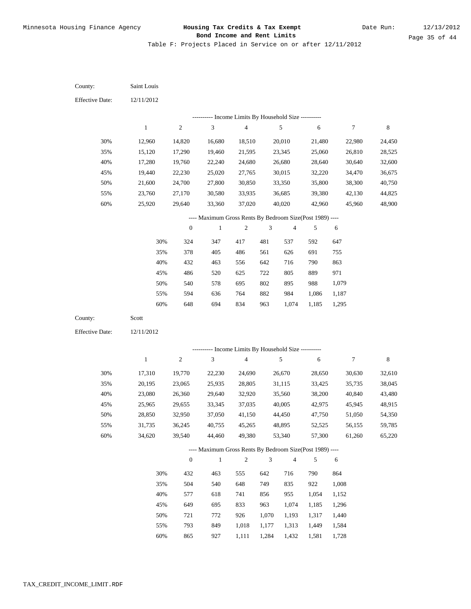| County:                | Saint Louis      |                  |                                                          |                  |            |                  |                  |                  |                  |
|------------------------|------------------|------------------|----------------------------------------------------------|------------------|------------|------------------|------------------|------------------|------------------|
| <b>Effective Date:</b> | 12/11/2012       |                  |                                                          |                  |            |                  |                  |                  |                  |
|                        |                  |                  | --------- Income Limits By Household Size ----------     |                  |            |                  |                  |                  |                  |
|                        | $\mathbf{1}$     | $\sqrt{2}$       | $\ensuremath{\mathfrak{Z}}$                              | $\overline{4}$   |            | $\mathfrak s$    | $\sqrt{6}$       | $\boldsymbol{7}$ | $\,$ 8 $\,$      |
| 30%                    |                  |                  |                                                          |                  |            |                  |                  |                  |                  |
| 35%                    | 12,960<br>15,120 | 14,820<br>17,290 | 16,680<br>19,460                                         | 18,510<br>21,595 |            | 20,010<br>23,345 | 21,480<br>25,060 | 22,980<br>26,810 | 24,450<br>28,525 |
| 40%                    | 17,280           | 19,760           | 22,240                                                   | 24,680           |            | 26,680           | 28,640           | 30,640           | 32,600           |
| 45%                    | 19,440           | 22,230           | 25,020                                                   | 27,765           |            | 30,015           | 32,220           | 34,470           | 36,675           |
| 50%                    | 21,600           | 24,700           | 27,800                                                   | 30,850           |            | 33,350           | 35,800           | 38,300           | 40,750           |
| 55%                    | 23,760           | 27,170           | 30,580                                                   | 33,935           |            | 36,685           | 39,380           | 42,130           | 44,825           |
| 60%                    | 25,920           | 29,640           | 33,360                                                   | 37,020           |            | 40,020           | 42,960           | 45,960           | 48,900           |
|                        |                  |                  | ---- Maximum Gross Rents By Bedroom Size(Post 1989) ---- |                  |            |                  |                  |                  |                  |
|                        |                  | $\boldsymbol{0}$ | $\mathbf{1}$                                             | $\sqrt{2}$       | $\sqrt{3}$ | $\sqrt{4}$       | 5                | 6                |                  |
|                        | 30%              | 324              | 347                                                      | 417              | 481        | 537              | 592              | 647              |                  |
|                        | 35%              | 378              | 405                                                      | 486              | 561        | 626              | 691              | 755              |                  |
|                        | 40%              | 432              | 463                                                      | 556              | 642        | 716              | 790              | 863              |                  |
|                        | 45%              | 486              | 520                                                      | 625              | 722        | 805              | 889              | 971              |                  |
|                        | 50%              | 540              | 578                                                      | 695              | 802        | 895              | 988              | 1,079            |                  |
|                        | 55%              | 594              | 636                                                      | 764              | 882        | 984              | 1,086            | 1,187            |                  |
|                        | 60%              | 648              | 694                                                      | 834              | 963        | 1,074            | 1,185            | 1,295            |                  |
|                        |                  |                  |                                                          |                  |            |                  |                  |                  |                  |
| County:                | Scott            |                  |                                                          |                  |            |                  |                  |                  |                  |
|                        |                  |                  |                                                          |                  |            |                  |                  |                  |                  |
| <b>Effective Date:</b> | 12/11/2012       |                  |                                                          |                  |            |                  |                  |                  |                  |
|                        |                  |                  | --------- Income Limits By Household Size ----------     |                  |            |                  |                  |                  |                  |
|                        | $\mathbf{1}$     | $\sqrt{2}$       | $\ensuremath{\mathfrak{Z}}$                              | $\overline{4}$   |            | 5                | 6                | 7                | 8                |
| 30%                    | 17,310           | 19,770           | 22,230                                                   | 24,690           |            | 26,670           | 28,650           | 30,630           | 32,610           |
| 35%                    | 20,195           | 23,065           | 25,935                                                   | 28,805           |            | 31,115           | 33,425           | 35,735           | 38,045           |
| 40%                    | 23,080           | 26,360           | 29,640                                                   | 32,920           |            | 35,560           | 38,200           | 40,840           | 43,480           |
| 45%                    | 25,965           | 29,655           | 33,345                                                   | 37,035           |            | 40,005           | 42,975           | 45,945           | 48,915           |
| 50%                    | 28,850           | 32,950           | 37,050                                                   | 41,150           |            | 44,450           | 47,750           | 51,050           | 54,350           |
| 55%                    | 31,735           | 36,245           | 40,755                                                   | 45,265           |            | 48,895           | 52,525           | 56,155           | 59,785           |
| 60%                    | 34,620           | 39,540           | 44,460                                                   | 49,380           |            | 53,340           | 57,300           | 61,260           | 65,220           |
|                        |                  |                  | ---- Maximum Gross Rents By Bedroom Size(Post 1989) ---- |                  |            |                  |                  |                  |                  |
|                        |                  | $\boldsymbol{0}$ | $\mathbf{1}$                                             | $\overline{c}$   | $\sqrt{3}$ | $\overline{4}$   | 5                | 6                |                  |
|                        | 30%              | 432              | 463                                                      | 555              | 642        | 716              | 790              | 864              |                  |
|                        | 35%              | 504              | 540                                                      | 648              | 749        | 835              | 922              | 1,008            |                  |
|                        | 40%              | 577              | 618                                                      | 741              | 856        | 955              | 1,054            | 1,152            |                  |
|                        | 45%              | 649              | 695                                                      | 833              | 963        | 1,074            | 1,185            | 1,296            |                  |
|                        | 50%              | 721              | 772                                                      | 926              | 1,070      | 1,193            | 1,317            | 1,440            |                  |
|                        | 55%              | 793              | 849                                                      | 1,018            | 1,177      | 1,313            | 1,449            | 1,584            |                  |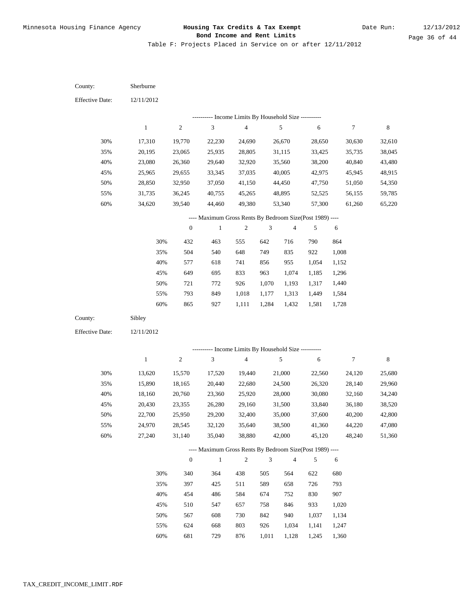| County:                | Sherburne        |                  |                                                                          |                  |                |                  |                  |                  |                  |
|------------------------|------------------|------------------|--------------------------------------------------------------------------|------------------|----------------|------------------|------------------|------------------|------------------|
| <b>Effective Date:</b> | 12/11/2012       |                  |                                                                          |                  |                |                  |                  |                  |                  |
|                        |                  |                  | --------- Income Limits By Household Size ----------                     |                  |                |                  |                  |                  |                  |
|                        | $\mathbf{1}$     | $\sqrt{2}$       | $\ensuremath{\mathfrak{Z}}$                                              | $\overline{4}$   |                | 5                | $\sqrt{6}$       | 7                | $\,$ 8 $\,$      |
| 30%                    | 17,310           | 19,770           | 22,230                                                                   | 24,690           |                | 26,670           | 28,650           | 30,630           | 32,610           |
| 35%                    | 20,195           | 23,065           | 25,935                                                                   | 28,805           |                | 31,115           | 33,425           | 35,735           | 38,045           |
| 40%                    | 23,080           | 26,360           | 29,640                                                                   | 32,920           |                | 35,560           | 38,200           | 40,840           | 43,480           |
| 45%                    | 25,965           | 29,655           | 33,345                                                                   | 37,035           |                | 40,005           | 42,975           | 45,945           | 48,915           |
| 50%                    | 28,850           | 32,950           | 37,050                                                                   | 41,150           |                | 44,450           | 47,750           | 51,050           | 54,350           |
| 55%                    | 31,735           | 36,245           | 40,755                                                                   | 45,265           |                | 48,895           | 52,525           | 56,155           | 59,785           |
| 60%                    | 34,620           | 39,540           | 44,460                                                                   | 49,380           |                | 53,340           | 57,300           | 61,260           | 65,220           |
|                        |                  |                  | ---- Maximum Gross Rents By Bedroom Size(Post 1989) ----                 |                  |                |                  |                  |                  |                  |
|                        |                  | $\boldsymbol{0}$ | $\mathbf{1}$                                                             | $\sqrt{2}$       | $\mathfrak{Z}$ | $\overline{4}$   | 5                | 6                |                  |
|                        | 30%              | 432              | 463                                                                      | 555              | 642            | 716              | 790              | 864              |                  |
|                        | 35%              | 504              | 540                                                                      | 648              | 749            | 835              | 922              | 1,008            |                  |
|                        | 40%              | 577              | 618                                                                      | 741              | 856            | 955              | 1,054            | 1,152            |                  |
|                        | 45%              | 649              | 695                                                                      | 833              | 963            | 1,074            | 1,185            | 1,296            |                  |
|                        | 50%              | 721              | 772                                                                      | 926              | 1,070          | 1,193            | 1,317            | 1,440            |                  |
|                        | 55%              | 793              | 849                                                                      | 1,018            | 1,177          | 1,313            | 1,449            | 1,584            |                  |
|                        | 60%              | 865              | 927                                                                      | 1,111            | 1,284          | 1,432            | 1,581            | 1,728            |                  |
|                        |                  |                  |                                                                          |                  |                |                  |                  |                  |                  |
| County:                | Sibley           |                  |                                                                          |                  |                |                  |                  |                  |                  |
| <b>Effective Date:</b> | 12/11/2012       |                  |                                                                          |                  |                |                  |                  |                  |                  |
|                        |                  |                  |                                                                          |                  |                |                  |                  |                  |                  |
|                        |                  |                  | --------- Income Limits By Household Size ----------                     |                  |                |                  |                  |                  |                  |
|                        | $\mathbf{1}$     | $\sqrt{2}$       | $\mathfrak{Z}$                                                           | $\overline{4}$   |                | 5                | 6                | 7                | 8                |
| 30%                    | 13,620           | 15,570           | 17,520                                                                   | 19,440           |                | 21,000           | 22,560           | 24,120           | 25,680           |
| 35%                    | 15,890           | 18,165           | 20,440                                                                   | 22,680           |                | 24,500           | 26,320           | 28,140           | 29,960           |
| 40%                    | 18,160           | 20,760           | 23,360                                                                   | 25,920           |                | 28,000           | 30,080           | 32,160           | 34,240           |
| 45%                    | 20,430           | 23,355           | 26,280                                                                   | 29,160           |                | 31,500           | 33,840           | 36,180           | 38,520           |
| 50%                    | 22,700           | 25,950           | 29,200                                                                   | 32,400           |                | 35,000           | 37,600           | 40,200           | 42,800           |
| 55%<br>60%             | 24,970<br>27,240 | 28,545<br>31,140 | 32,120<br>35,040                                                         | 35,640<br>38,880 |                | 38,500<br>42,000 | 41,360<br>45,120 | 44,220<br>48,240 | 47,080<br>51,360 |
|                        |                  |                  |                                                                          |                  |                |                  |                  |                  |                  |
|                        |                  | $\mathbf{0}$     | ---- Maximum Gross Rents By Bedroom Size(Post 1989) ----<br>$\mathbf{1}$ | $\sqrt{2}$       | $\mathfrak{Z}$ | $\overline{4}$   | 5                | 6                |                  |
|                        |                  |                  |                                                                          |                  |                |                  |                  |                  |                  |
|                        | 30%              | 340              | 364                                                                      | 438              | 505            | 564              | 622              | 680              |                  |
|                        | 35%<br>40%       | 397<br>454       | 425<br>486                                                               | 511              | 589<br>674     | 658<br>752       | 726<br>830       | 793<br>907       |                  |
|                        | 45%              | 510              | 547                                                                      | 584<br>657       | 758            | 846              | 933              | 1,020            |                  |
|                        | 50%              | 567              | 608                                                                      | 730              | 842            | 940              | 1,037            | 1,134            |                  |
|                        | 55%              | 624              | 668                                                                      | 803              | 926            | 1,034            | 1,141            | 1,247            |                  |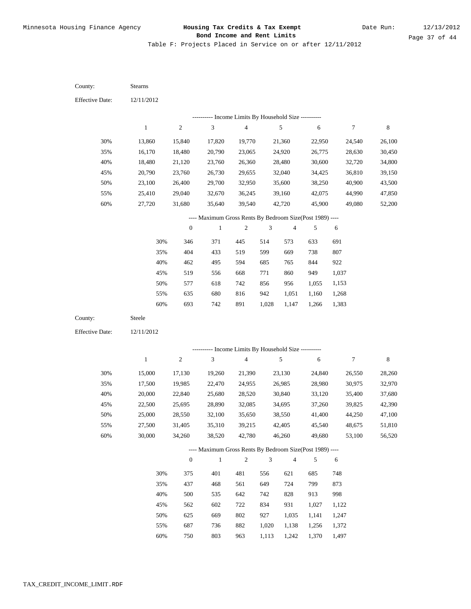| County:                | Stearns          |                  |                                                                          |                  |              |                  |                  |                  |                  |
|------------------------|------------------|------------------|--------------------------------------------------------------------------|------------------|--------------|------------------|------------------|------------------|------------------|
| <b>Effective Date:</b> | 12/11/2012       |                  |                                                                          |                  |              |                  |                  |                  |                  |
|                        |                  |                  | --------- Income Limits By Household Size ----------                     |                  |              |                  |                  |                  |                  |
|                        | $\mathbf{1}$     | $\sqrt{2}$       | $\ensuremath{\mathfrak{Z}}$                                              | $\overline{4}$   |              | $\mathfrak{S}$   | $\sqrt{6}$       | $\boldsymbol{7}$ | $\,$ 8 $\,$      |
| 30%                    |                  |                  |                                                                          |                  |              |                  |                  |                  |                  |
|                        | 13,860           | 15,840           | 17,820                                                                   | 19,770           |              | 21,360           | 22,950           | 24,540           | 26,100           |
| 35%<br>40%             | 16,170           | 18,480           | 20,790                                                                   | 23,065           |              | 24,920           | 26,775           | 28,630           | 30,450           |
| 45%                    | 18,480           | 21,120           | 23,760                                                                   | 26,360           |              | 28,480           | 30,600           | 32,720           | 34,800           |
| 50%                    | 20,790<br>23,100 | 23,760<br>26,400 | 26,730<br>29,700                                                         | 29,655<br>32,950 |              | 32,040<br>35,600 | 34,425<br>38,250 | 36,810<br>40,900 | 39,150<br>43,500 |
| 55%                    | 25,410           | 29,040           | 32,670                                                                   | 36,245           |              | 39,160           | 42,075           | 44,990           | 47,850           |
| 60%                    | 27,720           | 31,680           | 35,640                                                                   | 39,540           |              | 42,720           | 45,900           | 49,080           | 52,200           |
|                        |                  |                  |                                                                          |                  |              |                  |                  |                  |                  |
|                        |                  | $\boldsymbol{0}$ | ---- Maximum Gross Rents By Bedroom Size(Post 1989) ----<br>$\mathbf{1}$ | $\sqrt{2}$       | $\sqrt{3}$   | $\sqrt{4}$       | 5                | 6                |                  |
|                        |                  |                  |                                                                          |                  |              |                  |                  |                  |                  |
|                        | 30%              | 346              | 371                                                                      | 445              | 514          | 573              | 633              | 691              |                  |
|                        | 35%              | 404              | 433                                                                      | 519              | 599          | 669              | 738              | 807              |                  |
|                        | 40%              | 462              | 495                                                                      | 594              | 685          | 765              | 844              | 922              |                  |
|                        | 45%              | 519              | 556                                                                      | 668              | 771          | 860              | 949              | 1,037            |                  |
|                        | 50%              | 577              | 618                                                                      | 742              | 856          | 956              | 1,055            | 1,153            |                  |
|                        | 55%<br>60%       | 635<br>693       | 680<br>742                                                               | 816              | 942<br>1,028 | 1,051            | 1,160<br>1,266   | 1,268            |                  |
|                        |                  |                  |                                                                          | 891              |              | 1,147            |                  | 1,383            |                  |
|                        |                  |                  |                                                                          |                  |              |                  |                  |                  |                  |
| County:                | Steele           |                  |                                                                          |                  |              |                  |                  |                  |                  |
| <b>Effective Date:</b> | 12/11/2012       |                  |                                                                          |                  |              |                  |                  |                  |                  |
|                        |                  |                  | --------- Income Limits By Household Size ----------                     |                  |              |                  |                  |                  |                  |
|                        | $\mathbf{1}$     | $\sqrt{2}$       | $\ensuremath{\mathfrak{Z}}$                                              | $\overline{4}$   |              | 5                | 6                | 7                | 8                |
| 30%                    |                  |                  |                                                                          |                  |              |                  |                  |                  |                  |
| 35%                    | 15,000<br>17,500 | 17,130<br>19,985 | 19,260<br>22,470                                                         | 21,390<br>24,955 |              | 23,130<br>26,985 | 24,840<br>28,980 | 26,550<br>30,975 | 28,260<br>32,970 |
| 40%                    | 20,000           | 22,840           | 25,680                                                                   | 28,520           |              | 30,840           | 33,120           | 35,400           | 37,680           |
| 45%                    | 22,500           | 25,695           | 28,890                                                                   | 32,085           |              | 34,695           | 37,260           | 39,825           | 42,390           |
| 50%                    | 25,000           | 28,550           | 32,100                                                                   | 35,650           |              | 38,550           | 41,400           | 44,250           | 47,100           |
| 55%                    | 27,500           | 31,405           | 35,310                                                                   | 39,215           |              | 42,405           | 45,540           | 48,675           | 51,810           |
| 60%                    | 30,000           | 34,260           | 38,520                                                                   | 42,780           |              | 46,260           | 49,680           | 53,100           | 56,520           |
|                        |                  |                  | ---- Maximum Gross Rents By Bedroom Size(Post 1989) ----                 |                  |              |                  |                  |                  |                  |
|                        |                  | $\mathbf{0}$     | $\mathbf{1}$                                                             | $\overline{2}$   | 3            | $\overline{4}$   | 5                | 6                |                  |
|                        | 30%              | 375              | 401                                                                      | 481              | 556          | 621              | 685              | 748              |                  |
|                        | 35%              | 437              | 468                                                                      | 561              | 649          | 724              | 799              | 873              |                  |
|                        | 40%              | 500              | 535                                                                      | 642              | 742          | 828              | 913              | 998              |                  |
|                        | 45%              | 562              | 602                                                                      | 722              | 834          | 931              | 1,027            | 1,122            |                  |
|                        | 50%              | 625              | 669                                                                      | 802              | 927          | 1,035            | 1,141            | 1,247            |                  |
|                        | 55%              | 687              | 736                                                                      | 882              | 1,020        | 1,138            | 1,256            | 1,372            |                  |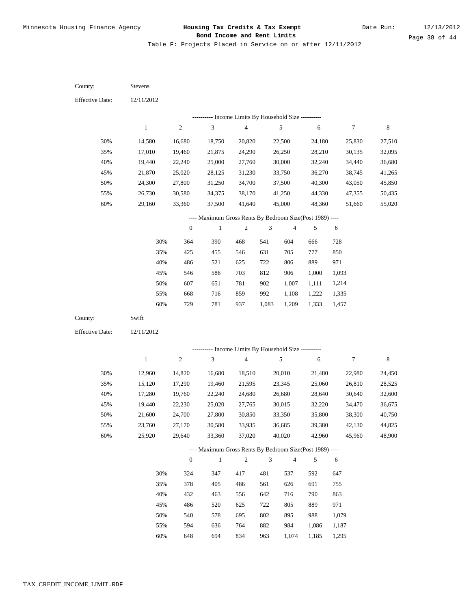| <b>Effective Date:</b><br>12/11/2012<br>---------- Income Limits By Household Size ----------                                     |             |
|-----------------------------------------------------------------------------------------------------------------------------------|-------------|
|                                                                                                                                   |             |
|                                                                                                                                   |             |
| 3<br>$\sqrt{4}$<br>5<br>$\sqrt{2}$<br>$\sqrt{6}$<br>7<br>$\mathbf{1}$                                                             | $\,$ 8 $\,$ |
| 30%<br>14,580<br>16,680<br>25,830<br>18,750<br>20,820<br>22,500<br>24,180                                                         | 27,510      |
| 35%<br>24,290<br>17,010<br>19,460<br>21,875<br>26,250<br>28,210<br>30,135                                                         | 32,095      |
| 40%<br>30,000<br>34,440<br>19,440<br>22,240<br>25,000<br>27,760<br>32,240                                                         | 36,680      |
| 45%<br>21,870<br>25,020<br>28,125<br>31,230<br>33,750<br>36,270<br>38,745                                                         | 41,265      |
| 50%<br>27,800<br>34,700<br>37,500<br>40,300<br>43,050<br>24,300<br>31,250                                                         | 45,850      |
| 26,730<br>38,170<br>55%<br>30,580<br>34,375<br>41,250<br>44,330<br>47,355                                                         | 50,435      |
| 60%<br>29,160<br>33,360<br>37,500<br>41,640<br>45,000<br>48,360<br>51,660                                                         | 55,020      |
| ---- Maximum Gross Rents By Bedroom Size(Post 1989) ----                                                                          |             |
| $\boldsymbol{0}$<br>$\mathbf{1}$<br>$\sqrt{2}$<br>3<br>$\overline{4}$<br>5<br>6                                                   |             |
| 30%<br>364<br>390<br>468<br>541<br>604<br>666<br>728                                                                              |             |
| 35%<br>425<br>546<br>631<br>705<br>777<br>850<br>455                                                                              |             |
| 40%<br>486<br>521<br>625<br>722<br>806<br>889<br>971                                                                              |             |
| 45%<br>586<br>703<br>812<br>906<br>1,000<br>546<br>1,093                                                                          |             |
| 50%<br>607<br>781<br>902<br>1,007<br>651<br>1,111<br>1,214                                                                        |             |
| 55%<br>668<br>716<br>859<br>992<br>1,108<br>1,222<br>1,335                                                                        |             |
| 60%<br>729<br>781<br>937<br>1,083<br>1,209<br>1,333<br>1,457                                                                      |             |
| County:<br>Swift                                                                                                                  |             |
| <b>Effective Date:</b><br>12/11/2012                                                                                              |             |
|                                                                                                                                   |             |
| --------- Income Limits By Household Size ----------<br>$\sqrt{2}$<br>3<br>5<br>$\mathbf{1}$<br>$\overline{4}$<br>$\sqrt{6}$<br>7 | 8           |
|                                                                                                                                   |             |
| 30%<br>20,010<br>12,960<br>14,820<br>16,680<br>18,510<br>21,480<br>22,980                                                         | 24,450      |
| 35%<br>15,120<br>17,290<br>19,460<br>21,595<br>23,345<br>25,060<br>26,810                                                         | 28,525      |
| 40%<br>24,680<br>17,280<br>19,760<br>22,240<br>26,680<br>28,640<br>30,640                                                         | 32,600      |
| 45%<br>27,765<br>30,015<br>19,440<br>22,230<br>25,020<br>32,220<br>34,470                                                         | 36,675      |
| 50%<br>21,600<br>30,850<br>38,300<br>24,700<br>27,800<br>33,350<br>35,800                                                         | 40,750      |
| 55%<br>23,760<br>27,170<br>30,580<br>33,935<br>36,685<br>39,380<br>42,130                                                         | 44,825      |
| 60%<br>25,920<br>29,640<br>33,360<br>37,020<br>40,020<br>42,960<br>45,960                                                         | 48,900      |
| ---- Maximum Gross Rents By Bedroom Size(Post 1989) ----                                                                          |             |
| $\sqrt{2}$<br>$\,1\,$<br>$\mathfrak z$<br>$\overline{4}$<br>$\mathbf{0}$<br>5<br>6                                                |             |
| 30%<br>324<br>347<br>417<br>481<br>537<br>592<br>647                                                                              |             |
| 35%<br>486<br>561<br>626<br>691<br>378<br>405<br>755                                                                              |             |
| 40%<br>432<br>642<br>716<br>790<br>863<br>463<br>556                                                                              |             |
| 45%<br>486<br>625<br>805<br>889<br>971<br>520<br>722                                                                              |             |
| 50%<br>540<br>695<br>802<br>895<br>988<br>1,079<br>578<br>55%<br>882<br>984                                                       |             |
| 594<br>764<br>636<br>1,086<br>1,187<br>$60\%$<br>648<br>694<br>834<br>963<br>1,074<br>1,185<br>1,295                              |             |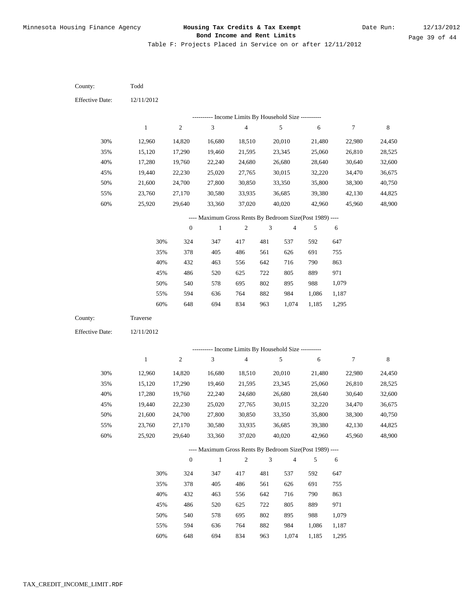Table F: Projects Placed in Service on or after 12/11/2012

| County:                | Todd             |                  |                                                                          |                  |                             |                  |                  |                  |                  |
|------------------------|------------------|------------------|--------------------------------------------------------------------------|------------------|-----------------------------|------------------|------------------|------------------|------------------|
| <b>Effective Date:</b> | 12/11/2012       |                  |                                                                          |                  |                             |                  |                  |                  |                  |
|                        |                  |                  | --------- Income Limits By Household Size ----------                     |                  |                             |                  |                  |                  |                  |
|                        | $\mathbf{1}$     | $\boldsymbol{2}$ | $\ensuremath{\mathfrak{Z}}$                                              | $\overline{4}$   |                             | 5                | $\sqrt{6}$       | 7                | $\,$ 8 $\,$      |
| 30%                    | 12,960           | 14,820           | 16,680                                                                   | 18,510           |                             | 20,010           | 21,480           | 22,980           | 24,450           |
| 35%                    | 15,120           | 17,290           | 19,460                                                                   | 21,595           |                             | 23,345           | 25,060           | 26,810           | 28,525           |
| 40%                    | 17,280           | 19,760           | 22,240                                                                   | 24,680           |                             | 26,680           | 28,640           | 30,640           | 32,600           |
| 45%                    | 19,440           | 22,230           | 25,020                                                                   | 27,765           |                             | 30,015           | 32,220           | 34,470           | 36,675           |
| 50%                    | 21,600           | 24,700           | 27,800                                                                   | 30,850           |                             | 33,350           | 35,800           | 38,300           | 40,750           |
| 55%                    | 23,760           | 27,170           | 30,580                                                                   | 33,935           |                             | 36,685           | 39,380           | 42,130           | 44,825           |
| 60%                    | 25,920           | 29,640           | 33,360                                                                   | 37,020           |                             | 40,020           | 42,960           | 45,960           | 48,900           |
|                        |                  |                  | ---- Maximum Gross Rents By Bedroom Size(Post 1989) ----                 |                  |                             |                  |                  |                  |                  |
|                        |                  | $\boldsymbol{0}$ | $\mathbf{1}$                                                             | $\sqrt{2}$       | $\ensuremath{\mathfrak{Z}}$ | $\overline{4}$   | 5                | 6                |                  |
|                        | 30%              | 324              | 347                                                                      | 417              | 481                         | 537              | 592              | 647              |                  |
|                        | 35%              | 378              | 405                                                                      | 486              | 561                         | 626              | 691              | 755              |                  |
|                        | 40%              | 432              | 463                                                                      | 556              | 642                         | 716              | 790              | 863              |                  |
|                        | 45%              | 486              | 520                                                                      | 625              | 722                         | 805              | 889              | 971              |                  |
|                        | 50%              | 540              | 578                                                                      | 695              | 802                         | 895              | 988              | 1,079            |                  |
|                        | 55%              | 594              | 636                                                                      | 764              | 882                         | 984              | 1,086            | 1,187            |                  |
|                        | 60%              | 648              | 694                                                                      | 834              | 963                         | 1,074            | 1,185            | 1,295            |                  |
|                        |                  |                  |                                                                          |                  |                             |                  |                  |                  |                  |
| County:                | Traverse         |                  |                                                                          |                  |                             |                  |                  |                  |                  |
| <b>Effective Date:</b> | 12/11/2012       |                  |                                                                          |                  |                             |                  |                  |                  |                  |
|                        |                  |                  |                                                                          |                  |                             |                  |                  |                  |                  |
|                        | $\mathbf{1}$     | $\sqrt{2}$       | --------- Income Limits By Household Size ----------<br>$\mathfrak{Z}$   | $\overline{4}$   |                             | 5                | 6                | 7                | 8                |
|                        |                  |                  |                                                                          |                  |                             |                  |                  |                  |                  |
| 30%                    | 12,960           | 14,820           | 16,680                                                                   | 18,510           |                             | 20,010           | 21,480           | 22,980           | 24,450           |
| 35%                    | 15,120           | 17,290           | 19,460                                                                   | 21,595           |                             | 23,345           | 25,060           | 26,810           | 28,525           |
| 40%                    | 17,280           | 19,760           | 22,240                                                                   | 24,680           |                             | 26,680           | 28,640           | 30,640           | 32,600           |
| 45%<br>50%             | 19,440           | 22,230           | 25,020                                                                   | 27,765           |                             | 30,015           | 32,220<br>35,800 | 34,470           | 36,675           |
|                        | 21,600           | 24,700           | 27,800                                                                   | 30,850           |                             | 33,350           |                  | 38,300           | 40,750           |
| 55%<br>60%             | 23,760<br>25,920 | 27,170<br>29,640 | 30,580<br>33,360                                                         | 33,935<br>37,020 |                             | 36,685<br>40,020 | 39,380<br>42,960 | 42,130<br>45,960 | 44,825<br>48,900 |
|                        |                  |                  |                                                                          |                  |                             |                  |                  |                  |                  |
|                        |                  | $\mathbf{0}$     | ---- Maximum Gross Rents By Bedroom Size(Post 1989) ----<br>$\mathbf{1}$ | $\sqrt{2}$       | $\ensuremath{\mathfrak{Z}}$ | $\overline{4}$   | 5                | 6                |                  |
|                        |                  |                  |                                                                          |                  |                             |                  |                  |                  |                  |
|                        | 30%<br>35%       | 324<br>378       | 347<br>405                                                               | 417<br>486       | 481<br>561                  | 537<br>626       | 592<br>691       | 647<br>755       |                  |
|                        | 40%              | 432              | 463                                                                      | 556              | 642                         | 716              | 790              | 863              |                  |
|                        | 45%              | 486              | 520                                                                      | 625              | 722                         | 805              | 889              | 971              |                  |
|                        | 50%              | 540              | 578                                                                      | 695              | 802                         | 895              | 988              | 1,079            |                  |
|                        | 55%              | 594              | 636                                                                      | 764              | 882                         | 984              | 1,086            | 1,187            |                  |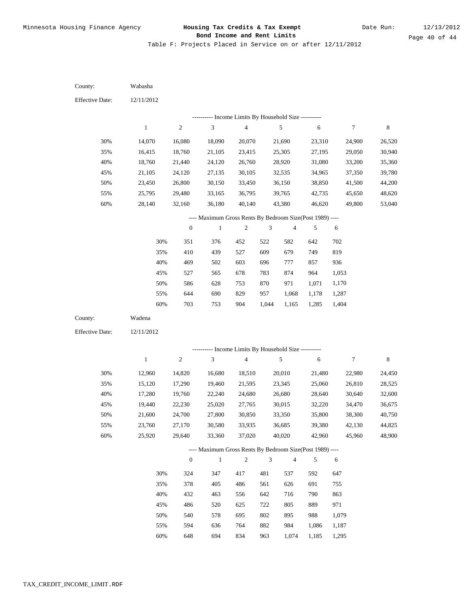Table F: Projects Placed in Service on or after 12/11/2012

| County:                | Wabasha          |                  |                                                                          |                  |                             |                  |                  |                  |                  |
|------------------------|------------------|------------------|--------------------------------------------------------------------------|------------------|-----------------------------|------------------|------------------|------------------|------------------|
| <b>Effective Date:</b> | 12/11/2012       |                  |                                                                          |                  |                             |                  |                  |                  |                  |
|                        |                  |                  | --------- Income Limits By Household Size ----------                     |                  |                             |                  |                  |                  |                  |
|                        | $\mathbf{1}$     | $\boldsymbol{2}$ | $\mathfrak{Z}$                                                           | $\overline{4}$   |                             | $\sqrt{5}$       | 6                | $\tau$           | $\,$ 8 $\,$      |
| 30%                    | 14,070           | 16,080           | 18,090                                                                   | 20,070           |                             | 21,690           | 23,310           | 24,900           | 26,520           |
| 35%                    | 16,415           | 18,760           | 21,105                                                                   | 23,415           |                             | 25,305           | 27,195           | 29,050           | 30,940           |
| 40%                    | 18,760           | 21,440           | 24,120                                                                   | 26,760           |                             | 28,920           | 31,080           | 33,200           | 35,360           |
| 45%                    | 21,105           | 24,120           | 27,135                                                                   | 30,105           |                             | 32,535           | 34,965           | 37,350           | 39,780           |
| 50%                    | 23,450           | 26,800           | 30,150                                                                   | 33,450           |                             | 36,150           | 38,850           | 41,500           | 44,200           |
| 55%                    | 25,795           | 29,480           | 33,165                                                                   | 36,795           |                             | 39,765           | 42,735           | 45,650           | 48,620           |
| 60%                    | 28,140           | 32,160           | 36,180                                                                   | 40,140           |                             | 43,380           | 46,620           | 49,800           | 53,040           |
|                        |                  |                  | ---- Maximum Gross Rents By Bedroom Size(Post 1989) ----                 |                  |                             |                  |                  |                  |                  |
|                        |                  | $\boldsymbol{0}$ | $\mathbf{1}$                                                             | $\sqrt{2}$       | $\ensuremath{\mathfrak{Z}}$ | $\overline{4}$   | 5                | 6                |                  |
|                        | 30%              | 351              | 376                                                                      | 452              | 522                         | 582              | 642              | 702              |                  |
|                        | 35%              | 410              | 439                                                                      | 527              | 609                         | 679              | 749              | 819              |                  |
|                        | 40%              | 469              | 502                                                                      | 603              | 696                         | 777              | 857              | 936              |                  |
|                        | 45%              | 527              | 565                                                                      | 678              | 783                         | 874              | 964              | 1,053            |                  |
|                        | 50%              | 586              | 628                                                                      | 753              | 870                         | 971              | 1,071            | 1,170            |                  |
|                        | 55%              | 644              | 690                                                                      | 829              | 957                         | 1,068            | 1,178            | 1,287            |                  |
|                        | 60%              | 703              | 753                                                                      | 904              | 1,044                       | 1,165            | 1,285            | 1,404            |                  |
|                        |                  |                  |                                                                          |                  |                             |                  |                  |                  |                  |
| County:                | Wadena           |                  |                                                                          |                  |                             |                  |                  |                  |                  |
| <b>Effective Date:</b> | 12/11/2012       |                  |                                                                          |                  |                             |                  |                  |                  |                  |
|                        |                  |                  |                                                                          |                  |                             |                  |                  |                  |                  |
|                        |                  |                  | ---------- Income Limits By Household Size ----------                    |                  |                             |                  |                  |                  |                  |
|                        | $\mathbf{1}$     | $\sqrt{2}$       | $\mathfrak{Z}$                                                           | 4                |                             | 5                | $\sqrt{6}$       | $\tau$           | 8                |
| 30%                    | 12,960           | 14,820           | 16,680                                                                   | 18,510           |                             | 20,010           | 21,480           | 22,980           | 24,450           |
| 35%                    | 15,120           | 17,290           | 19,460                                                                   | 21,595           |                             | 23,345           | 25,060           | 26,810           | 28,525           |
| 40%                    | 17,280           | 19,760           | 22,240                                                                   | 24,680           |                             | 26,680           | 28,640           | 30,640           | 32,600           |
| 45%                    | 19,440           | 22,230           | 25,020                                                                   | 27,765           |                             | 30,015           | 32,220           | 34,470           | 36,675           |
| 50%                    | 21,600           | 24,700           | 27,800                                                                   | 30,850           |                             | 33,350           | 35,800           | 38,300           | 40,750           |
| 55%<br>60%             | 23,760<br>25,920 | 27,170<br>29,640 | 30,580<br>33,360                                                         | 33,935<br>37,020 |                             | 36,685<br>40,020 | 39,380<br>42,960 | 42,130<br>45,960 | 44,825<br>48,900 |
|                        |                  |                  |                                                                          |                  |                             |                  |                  |                  |                  |
|                        |                  | $\mathbf{0}$     | ---- Maximum Gross Rents By Bedroom Size(Post 1989) ----<br>$\mathbf{1}$ | $\sqrt{2}$       | $\mathfrak{Z}$              | $\overline{4}$   | 5                | 6                |                  |
|                        | 30%              |                  | 347                                                                      | 417              | 481                         | 537              | 592              | 647              |                  |
|                        | 35%              | 324<br>378       | 405                                                                      | 486              | 561                         | 626              | 691              | 755              |                  |
|                        | 40%              | 432              | 463                                                                      | 556              | 642                         | 716              | 790              | 863              |                  |
|                        | 45%              | 486              | 520                                                                      | 625              | 722                         | 805              | 889              | 971              |                  |
|                        | 50%              | 540              | 578                                                                      | 695              | 802                         | 895              | 988              | 1,079            |                  |
|                        | 55%              | 594              | 636                                                                      | 764              | 882                         | 984              | 1,086            | 1,187            |                  |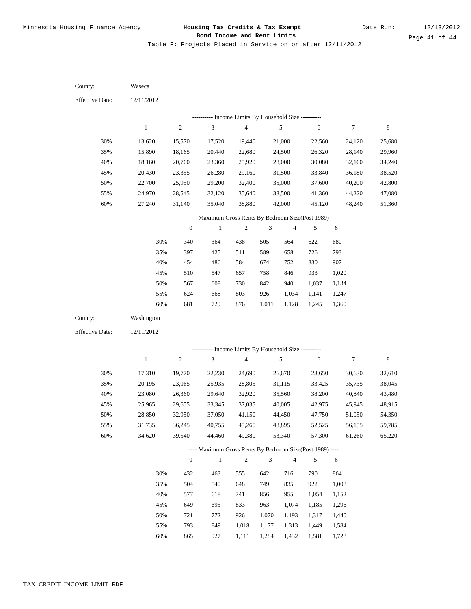| County:                | Waseca                                                   |                  |                                                                                     |                  |                             |                  |                  |                  |                  |  |  |  |
|------------------------|----------------------------------------------------------|------------------|-------------------------------------------------------------------------------------|------------------|-----------------------------|------------------|------------------|------------------|------------------|--|--|--|
| <b>Effective Date:</b> | 12/11/2012                                               |                  |                                                                                     |                  |                             |                  |                  |                  |                  |  |  |  |
|                        |                                                          |                  | --------- Income Limits By Household Size ----------                                |                  |                             |                  |                  |                  |                  |  |  |  |
|                        | $\mathbf{1}$                                             | $\boldsymbol{2}$ | $\ensuremath{\mathfrak{Z}}$                                                         | $\overline{4}$   |                             | 5                | $\sqrt{6}$       | $\tau$           | $\,$ 8 $\,$      |  |  |  |
| 30%                    | 13,620                                                   | 15,570           | 17,520                                                                              | 19,440           |                             | 21,000           | 22,560           | 24,120           | 25,680           |  |  |  |
| 35%                    | 15,890                                                   | 18,165           | 20,440                                                                              | 22,680           |                             | 24,500           | 26,320           | 28,140           | 29,960           |  |  |  |
| 40%                    | 18,160                                                   | 20,760           | 23,360                                                                              | 25,920           |                             | 28,000           | 30,080           | 32,160           | 34,240           |  |  |  |
| 45%                    | 20,430                                                   | 23,355           | 26,280                                                                              | 29,160           |                             | 31,500           | 33,840           | 36,180           | 38,520           |  |  |  |
| 50%                    | 22,700                                                   | 25,950           | 29,200                                                                              | 32,400           |                             | 35,000           | 37,600           | 40,200           | 42,800           |  |  |  |
| 55%                    | 24,970                                                   | 28,545           | 32,120                                                                              | 35,640           |                             | 38,500           | 41,360           | 44,220           | 47,080           |  |  |  |
| 60%                    | 27,240                                                   | 31,140           | 35,040                                                                              | 38,880           |                             | 42,000           | 45,120           | 48,240           | 51,360           |  |  |  |
|                        | ---- Maximum Gross Rents By Bedroom Size(Post 1989) ---- |                  |                                                                                     |                  |                             |                  |                  |                  |                  |  |  |  |
|                        |                                                          | $\boldsymbol{0}$ | $\mathbf{1}$                                                                        | $\boldsymbol{2}$ | $\mathfrak{Z}$              | $\overline{4}$   | $\sqrt{5}$       | 6                |                  |  |  |  |
|                        | 30%                                                      | 340              | 364                                                                                 | 438              | 505                         | 564              | 622              | 680              |                  |  |  |  |
|                        | 35%                                                      | 397              | 425                                                                                 | 511              | 589                         | 658              | 726              | 793              |                  |  |  |  |
|                        | 40%                                                      | 454              | 486                                                                                 | 584              | 674                         | 752              | 830              | 907              |                  |  |  |  |
|                        | 45%                                                      | 510              | 547                                                                                 | 657              | 758                         | 846              | 933              | 1,020            |                  |  |  |  |
|                        | 50%                                                      | 567              | 608                                                                                 | 730              | 842                         | 940              | 1,037            | 1,134            |                  |  |  |  |
|                        | 55%                                                      | 624              | 668                                                                                 | 803              | 926                         | 1,034            | 1,141            | 1,247            |                  |  |  |  |
|                        | 60%                                                      | 681              | 729                                                                                 | 876              | 1,011                       | 1,128            | 1,245            | 1,360            |                  |  |  |  |
|                        |                                                          |                  |                                                                                     |                  |                             |                  |                  |                  |                  |  |  |  |
| County:                | Washington                                               |                  |                                                                                     |                  |                             |                  |                  |                  |                  |  |  |  |
| <b>Effective Date:</b> | 12/11/2012                                               |                  |                                                                                     |                  |                             |                  |                  |                  |                  |  |  |  |
|                        |                                                          |                  |                                                                                     |                  |                             |                  |                  |                  |                  |  |  |  |
|                        | $\mathbf{1}$                                             | $\sqrt{2}$       | --------- Income Limits By Household Size ----------<br>$\ensuremath{\mathfrak{Z}}$ | 4                |                             | 5                | $\sqrt{6}$       | $\tau$           | 8                |  |  |  |
|                        |                                                          |                  |                                                                                     |                  |                             |                  |                  |                  |                  |  |  |  |
| 30%                    | 17,310                                                   | 19,770           | 22,230                                                                              | 24,690           |                             | 26,670           | 28,650           | 30,630           | 32,610           |  |  |  |
| 35%                    | 20,195                                                   | 23,065           | 25,935                                                                              | 28,805           |                             | 31,115           | 33,425           | 35,735           | 38,045           |  |  |  |
| 40%                    | 23,080                                                   | 26,360           | 29,640                                                                              | 32,920           |                             | 35,560           | 38,200           | 40,840           | 43,480           |  |  |  |
| 45%<br>50%             | 25,965                                                   | 29,655           | 33,345                                                                              | 37,035           |                             | 40,005           | 42,975           | 45,945           | 48,915           |  |  |  |
|                        | 28,850                                                   | 32,950           | 37,050                                                                              | 41,150<br>45,265 |                             | 44,450           | 47,750           | 51,050           | 54,350           |  |  |  |
| 55%<br>60%             | 31,735<br>34,620                                         | 36,245<br>39,540 | 40,755<br>44,460                                                                    | 49,380           |                             | 48,895<br>53,340 | 52,525<br>57,300 | 56,155<br>61,260 | 59,785<br>65,220 |  |  |  |
|                        |                                                          |                  | ---- Maximum Gross Rents By Bedroom Size(Post 1989) ----                            |                  |                             |                  |                  |                  |                  |  |  |  |
|                        |                                                          | $\mathbf{0}$     | $\mathbf{1}$                                                                        | $\overline{c}$   | $\ensuremath{\mathfrak{Z}}$ | $\overline{4}$   | 5                | 6                |                  |  |  |  |
|                        | 30%                                                      | 432              | 463                                                                                 | 555              | 642                         | 716              | 790              | 864              |                  |  |  |  |
|                        | 35%                                                      | 504              | 540                                                                                 | 648              | 749                         | 835              | 922              | 1,008            |                  |  |  |  |
|                        | 40%                                                      | 577              | 618                                                                                 | 741              | 856                         | 955              | 1,054            | 1,152            |                  |  |  |  |
|                        | 45%                                                      | 649              | 695                                                                                 | 833              | 963                         | 1,074            | 1,185            | 1,296            |                  |  |  |  |
|                        | 50%                                                      | 721              | 772                                                                                 | 926              | 1,070                       | 1,193            | 1,317            | 1,440            |                  |  |  |  |
|                        | 55%                                                      | 793              | 849                                                                                 | 1,018            | 1,177                       | 1,313            | 1,449            | 1,584            |                  |  |  |  |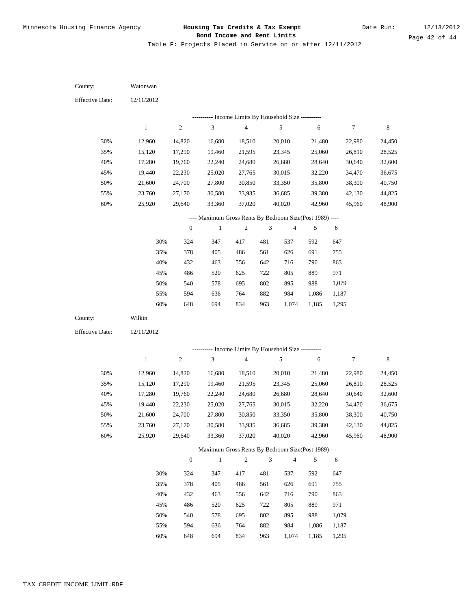Table F: Projects Placed in Service on or after 12/11/2012

| County:                | Watonwan         |                  |                                                                          |                  |                             |                  |                  |                  |                  |
|------------------------|------------------|------------------|--------------------------------------------------------------------------|------------------|-----------------------------|------------------|------------------|------------------|------------------|
| <b>Effective Date:</b> | 12/11/2012       |                  |                                                                          |                  |                             |                  |                  |                  |                  |
|                        |                  |                  | ---------- Income Limits By Household Size ----------                    |                  |                             |                  |                  |                  |                  |
|                        | $\mathbf{1}$     | $\sqrt{2}$       | 3                                                                        | $\overline{4}$   |                             | 5                | 6                | 7                | $\,$ 8 $\,$      |
| 30%                    | 12,960           | 14,820           | 16,680                                                                   | 18,510           |                             | 20,010           | 21,480           | 22,980           | 24,450           |
| 35%                    | 15,120           | 17,290           | 19,460                                                                   | 21,595           |                             | 23,345           | 25,060           | 26,810           | 28,525           |
| 40%                    | 17,280           | 19,760           | 22,240                                                                   | 24,680           |                             | 26,680           | 28,640           | 30,640           | 32,600           |
| 45%                    | 19,440           | 22,230           | 25,020                                                                   | 27,765           |                             | 30,015           | 32,220           | 34,470           | 36,675           |
| 50%                    | 21,600           | 24,700           | 27,800                                                                   | 30,850           |                             | 33,350           | 35,800           | 38,300           | 40,750           |
| 55%                    | 23,760           | 27,170           | 30,580                                                                   | 33,935           |                             | 36,685           | 39,380           | 42,130           | 44,825           |
| 60%                    | 25,920           | 29,640           | 33,360                                                                   | 37,020           |                             | 40,020           | 42,960           | 45,960           | 48,900           |
|                        |                  |                  | ---- Maximum Gross Rents By Bedroom Size(Post 1989) ----                 |                  |                             |                  |                  |                  |                  |
|                        |                  | $\boldsymbol{0}$ | $\mathbf{1}$                                                             | $\sqrt{2}$       | $\ensuremath{\mathfrak{Z}}$ | $\overline{4}$   | 5                | 6                |                  |
|                        | 30%              | 324              | 347                                                                      | 417              | 481                         | 537              | 592              | 647              |                  |
|                        | 35%              | 378              | 405                                                                      | 486              | 561                         | 626              | 691              | 755              |                  |
|                        | 40%              | 432              | 463                                                                      | 556              | 642                         | 716              | 790              | 863              |                  |
|                        | 45%              | 486              | 520                                                                      | 625              | 722                         | 805              | 889              | 971              |                  |
|                        | 50%              | 540              | 578                                                                      | 695              | 802                         | 895              | 988              | 1,079            |                  |
|                        | 55%              | 594              | 636                                                                      | 764              | 882                         | 984              | 1,086            | 1,187            |                  |
|                        | 60%              | 648              | 694                                                                      | 834              | 963                         | 1,074            | 1,185            | 1,295            |                  |
|                        |                  |                  |                                                                          |                  |                             |                  |                  |                  |                  |
| County:                | Wilkin           |                  |                                                                          |                  |                             |                  |                  |                  |                  |
| <b>Effective Date:</b> | 12/11/2012       |                  |                                                                          |                  |                             |                  |                  |                  |                  |
|                        |                  |                  |                                                                          |                  |                             |                  |                  |                  |                  |
|                        |                  |                  | ---------- Income Limits By Household Size ----------                    |                  |                             |                  |                  |                  |                  |
|                        | $\mathbf{1}$     | $\sqrt{2}$       | 3                                                                        | $\sqrt{4}$       |                             | 5                | 6                | 7                | $\,8\,$          |
| 30%                    | 12,960           | 14,820           | 16,680                                                                   | 18,510           |                             | 20,010           | 21,480           | 22,980           | 24,450           |
| 35%                    | 15,120           | 17,290           | 19,460                                                                   | 21,595           |                             | 23,345           | 25,060           | 26,810           | 28,525           |
| 40%                    | 17,280           | 19,760           | 22,240                                                                   | 24,680           |                             | 26,680           | 28,640           | 30,640           | 32,600           |
| 45%                    | 19,440           | 22,230           | 25,020                                                                   | 27,765           |                             | 30,015           | 32,220           | 34,470           | 36,675           |
| 50%                    | 21,600           | 24,700           | 27,800                                                                   | 30,850           |                             | 33,350           | 35,800           | 38,300           | 40,750           |
| 55%<br>60%             | 23,760<br>25,920 | 27,170<br>29,640 | 30,580<br>33,360                                                         | 33,935<br>37,020 |                             | 36,685<br>40,020 | 39,380<br>42,960 | 42,130<br>45,960 | 44,825<br>48,900 |
|                        |                  |                  |                                                                          |                  |                             |                  |                  |                  |                  |
|                        |                  | $\mathbf{0}$     | ---- Maximum Gross Rents By Bedroom Size(Post 1989) ----<br>$\mathbf{1}$ | $\overline{2}$   | $\mathfrak{Z}$              | $\overline{4}$   | 5                | 6                |                  |
|                        | 30%              |                  | 347                                                                      |                  | 481                         | 537              | 592              | 647              |                  |
|                        | 35%              | 324<br>378       | 405                                                                      | 417<br>486       | 561                         | 626              | 691              | 755              |                  |
|                        | 40%              | 432              | 463                                                                      | 556              | 642                         | 716              | 790              | 863              |                  |
|                        | 45%              | 486              | 520                                                                      | 625              | 722                         | 805              | 889              | 971              |                  |
|                        | 50%              | 540              | 578                                                                      | 695              | 802                         | 895              | 988              | 1,079            |                  |
|                        | 55%              | 594              | 636                                                                      | 764              | 882                         | 984              | 1,086            | 1,187            |                  |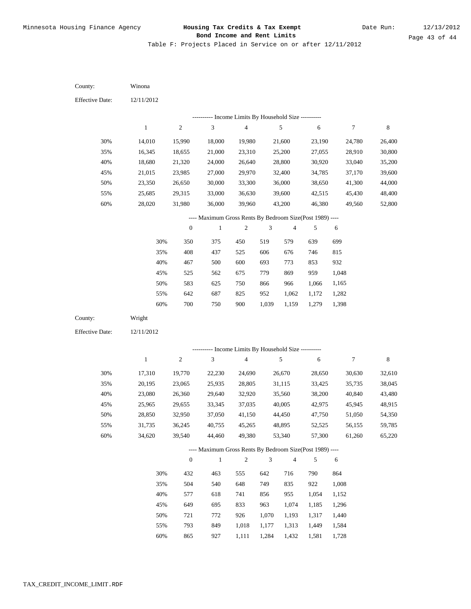| County:                | Winona           |                  |                                                                          |                  |                |                  |                  |                  |                  |
|------------------------|------------------|------------------|--------------------------------------------------------------------------|------------------|----------------|------------------|------------------|------------------|------------------|
| <b>Effective Date:</b> | 12/11/2012       |                  |                                                                          |                  |                |                  |                  |                  |                  |
|                        |                  |                  | --------- Income Limits By Household Size ----------                     |                  |                |                  |                  |                  |                  |
|                        | $\mathbf{1}$     | $\boldsymbol{2}$ | $\ensuremath{\mathfrak{Z}}$                                              | $\overline{4}$   |                | 5                | 6                | $\tau$           | $\,$ 8 $\,$      |
| 30%                    | 14,010           | 15,990           | 18,000                                                                   | 19,980           |                | 21,600           | 23,190           | 24,780           | 26,400           |
| 35%                    | 16,345           | 18,655           | 21,000                                                                   | 23,310           |                | 25,200           | 27,055           | 28,910           | 30,800           |
| 40%                    | 18,680           | 21,320           | 24,000                                                                   | 26,640           |                | 28,800           | 30,920           | 33,040           | 35,200           |
| 45%                    | 21,015           | 23,985           | 27,000                                                                   | 29,970           |                | 32,400           | 34,785           | 37,170           | 39,600           |
| 50%                    | 23,350           | 26,650           | 30,000                                                                   | 33,300           |                | 36,000           | 38,650           | 41,300           | 44,000           |
| 55%                    | 25,685           | 29,315           | 33,000                                                                   | 36,630           |                | 39,600           | 42,515           | 45,430           | 48,400           |
| 60%                    | 28,020           | 31,980           | 36,000                                                                   | 39,960           |                | 43,200           | 46,380           | 49,560           | 52,800           |
|                        |                  |                  | ---- Maximum Gross Rents By Bedroom Size(Post 1989) ----                 |                  |                |                  |                  |                  |                  |
|                        |                  | $\boldsymbol{0}$ | $\mathbf{1}$                                                             | $\boldsymbol{2}$ | $\mathfrak{Z}$ | $\overline{4}$   | $\sqrt{5}$       | 6                |                  |
|                        | 30%              | 350              | 375                                                                      | 450              | 519            | 579              | 639              | 699              |                  |
|                        | 35%              | 408              | 437                                                                      | 525              | 606            | 676              | 746              | 815              |                  |
|                        | 40%              | 467              | 500                                                                      | 600              | 693            | 773              | 853              | 932              |                  |
|                        | 45%              | 525              | 562                                                                      | 675              | 779            | 869              | 959              | 1,048            |                  |
|                        | 50%              | 583              | 625                                                                      | 750              | 866            | 966              | 1,066            | 1,165            |                  |
|                        | 55%              | 642              | 687                                                                      | 825              | 952            | 1,062            | 1,172            | 1,282            |                  |
|                        | 60%              | 700              | 750                                                                      | 900              | 1,039          | 1,159            | 1,279            | 1,398            |                  |
|                        |                  |                  |                                                                          |                  |                |                  |                  |                  |                  |
| County:                | Wright           |                  |                                                                          |                  |                |                  |                  |                  |                  |
| <b>Effective Date:</b> | 12/11/2012       |                  |                                                                          |                  |                |                  |                  |                  |                  |
|                        |                  |                  |                                                                          |                  |                |                  |                  |                  |                  |
|                        | $\mathbf{1}$     |                  | --------- Income Limits By Household Size ----------                     | 4                |                | 5                |                  | $\tau$           |                  |
|                        |                  | $\sqrt{2}$       | $\mathfrak z$                                                            |                  |                |                  | $\sqrt{6}$       |                  | 8                |
| 30%                    | 17,310           | 19,770           | 22,230                                                                   | 24,690           |                | 26,670           | 28,650           | 30,630           | 32,610           |
| 35%                    | 20,195           | 23,065           | 25,935                                                                   | 28,805           |                | 31,115           | 33,425           | 35,735           | 38,045           |
| 40%                    | 23,080           | 26,360           | 29,640                                                                   | 32,920           |                | 35,560           | 38,200           | 40,840           | 43,480           |
| 45%                    | 25,965           | 29,655           | 33,345                                                                   | 37,035           |                | 40,005           | 42,975           | 45,945           | 48,915           |
| 50%                    | 28,850           | 32,950           | 37,050                                                                   | 41,150           |                | 44,450           | 47,750           | 51,050           | 54,350           |
| 55%<br>60%             | 31,735<br>34,620 | 36,245<br>39,540 | 40,755<br>44,460                                                         | 45,265<br>49,380 |                | 48,895<br>53,340 | 52,525<br>57,300 | 56,155<br>61,260 | 59,785<br>65,220 |
|                        |                  |                  |                                                                          |                  |                |                  |                  |                  |                  |
|                        |                  | $\mathbf{0}$     | ---- Maximum Gross Rents By Bedroom Size(Post 1989) ----<br>$\mathbf{1}$ | $\overline{c}$   | $\mathfrak z$  | $\overline{4}$   | 5                | 6                |                  |
|                        | 30%              | 432              | 463                                                                      | 555              | 642            | 716              | 790              | 864              |                  |
|                        | 35%              | 504              | 540                                                                      | 648              | 749            | 835              | 922              | 1,008            |                  |
|                        | 40%              | 577              | 618                                                                      | 741              | 856            | 955              | 1,054            | 1,152            |                  |
|                        | 45%              | 649              | 695                                                                      | 833              | 963            | 1,074            | 1,185            | 1,296            |                  |
|                        | 50%              | 721              | 772                                                                      | 926              | 1,070          | 1,193            | 1,317            | 1,440            |                  |
|                        | 55%              | 793              | 849                                                                      | 1,018            | 1,177          | 1,313            | 1,449            | 1,584            |                  |